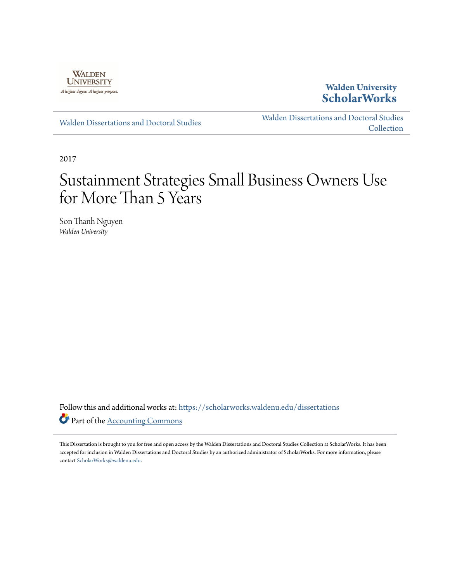

**Walden University [ScholarWorks](https://scholarworks.waldenu.edu?utm_source=scholarworks.waldenu.edu%2Fdissertations%2F3909&utm_medium=PDF&utm_campaign=PDFCoverPages)**

[Walden Dissertations and Doctoral Studies](https://scholarworks.waldenu.edu/dissertations?utm_source=scholarworks.waldenu.edu%2Fdissertations%2F3909&utm_medium=PDF&utm_campaign=PDFCoverPages)

[Walden Dissertations and Doctoral Studies](https://scholarworks.waldenu.edu/dissanddoc?utm_source=scholarworks.waldenu.edu%2Fdissertations%2F3909&utm_medium=PDF&utm_campaign=PDFCoverPages) **[Collection](https://scholarworks.waldenu.edu/dissanddoc?utm_source=scholarworks.waldenu.edu%2Fdissertations%2F3909&utm_medium=PDF&utm_campaign=PDFCoverPages)** 

2017

# Sustainment Strategies Small Business Owners Use for More Than 5 Years

Son Thanh Nguyen *Walden University*

Follow this and additional works at: [https://scholarworks.waldenu.edu/dissertations](https://scholarworks.waldenu.edu/dissertations?utm_source=scholarworks.waldenu.edu%2Fdissertations%2F3909&utm_medium=PDF&utm_campaign=PDFCoverPages) Part of the [Accounting Commons](http://network.bepress.com/hgg/discipline/625?utm_source=scholarworks.waldenu.edu%2Fdissertations%2F3909&utm_medium=PDF&utm_campaign=PDFCoverPages)

This Dissertation is brought to you for free and open access by the Walden Dissertations and Doctoral Studies Collection at ScholarWorks. It has been accepted for inclusion in Walden Dissertations and Doctoral Studies by an authorized administrator of ScholarWorks. For more information, please contact [ScholarWorks@waldenu.edu](mailto:ScholarWorks@waldenu.edu).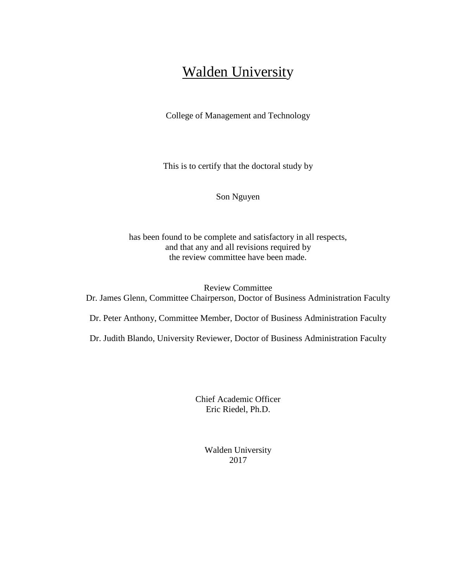## **Walden University**

College of Management and Technology

This is to certify that the doctoral study by

Son Nguyen

has been found to be complete and satisfactory in all respects, and that any and all revisions required by the review committee have been made.

Review Committee Dr. James Glenn, Committee Chairperson, Doctor of Business Administration Faculty

Dr. Peter Anthony, Committee Member, Doctor of Business Administration Faculty

Dr. Judith Blando, University Reviewer, Doctor of Business Administration Faculty

Chief Academic Officer Eric Riedel, Ph.D.

> Walden University 2017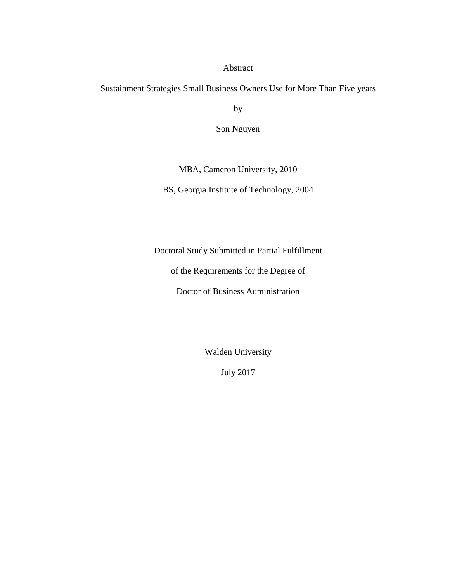#### Abstract

Sustainment Strategies Small Business Owners Use for More Than Five years

by

Son Nguyen

MBA, Cameron University, 2010

BS, Georgia Institute of Technology, 2004

Doctoral Study Submitted in Partial Fulfillment

of the Requirements for the Degree of

Doctor of Business Administration

Walden University

July 2017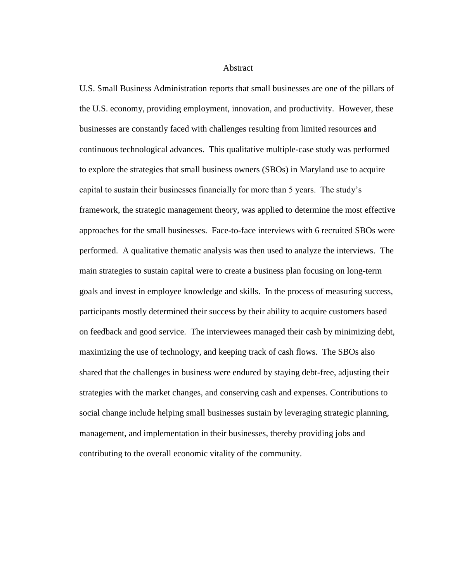#### **Abstract**

U.S. Small Business Administration reports that small businesses are one of the pillars of the U.S. economy, providing employment, innovation, and productivity. However, these businesses are constantly faced with challenges resulting from limited resources and continuous technological advances. This qualitative multiple-case study was performed to explore the strategies that small business owners (SBOs) in Maryland use to acquire capital to sustain their businesses financially for more than 5 years. The study's framework, the strategic management theory, was applied to determine the most effective approaches for the small businesses. Face-to-face interviews with 6 recruited SBOs were performed. A qualitative thematic analysis was then used to analyze the interviews. The main strategies to sustain capital were to create a business plan focusing on long-term goals and invest in employee knowledge and skills. In the process of measuring success, participants mostly determined their success by their ability to acquire customers based on feedback and good service. The interviewees managed their cash by minimizing debt, maximizing the use of technology, and keeping track of cash flows. The SBOs also shared that the challenges in business were endured by staying debt-free, adjusting their strategies with the market changes, and conserving cash and expenses. Contributions to social change include helping small businesses sustain by leveraging strategic planning, management, and implementation in their businesses, thereby providing jobs and contributing to the overall economic vitality of the community.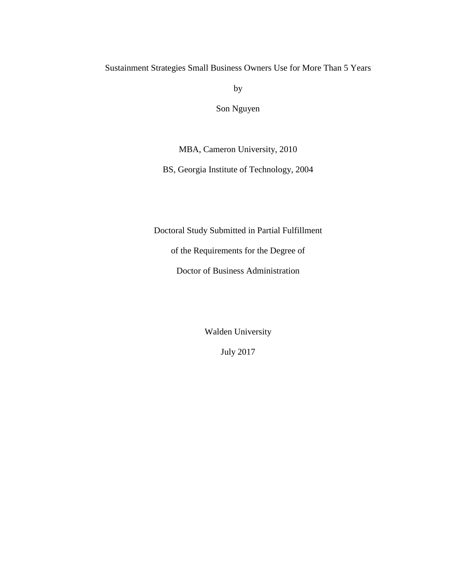Sustainment Strategies Small Business Owners Use for More Than 5 Years

by

Son Nguyen

MBA, Cameron University, 2010

BS, Georgia Institute of Technology, 2004

Doctoral Study Submitted in Partial Fulfillment

of the Requirements for the Degree of

Doctor of Business Administration

Walden University

July 2017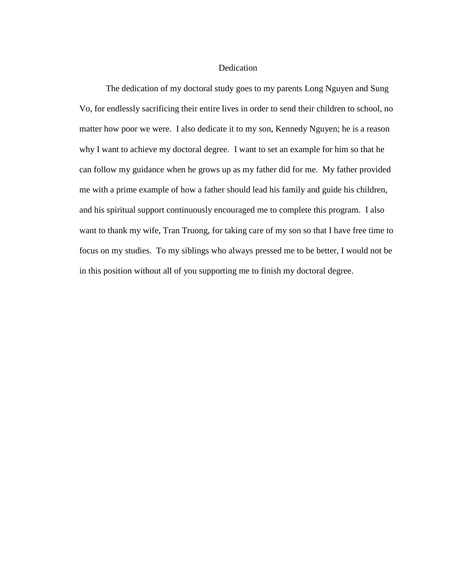#### Dedication

The dedication of my doctoral study goes to my parents Long Nguyen and Sung Vo, for endlessly sacrificing their entire lives in order to send their children to school, no matter how poor we were. I also dedicate it to my son, Kennedy Nguyen; he is a reason why I want to achieve my doctoral degree. I want to set an example for him so that he can follow my guidance when he grows up as my father did for me. My father provided me with a prime example of how a father should lead his family and guide his children, and his spiritual support continuously encouraged me to complete this program. I also want to thank my wife, Tran Truong, for taking care of my son so that I have free time to focus on my studies. To my siblings who always pressed me to be better, I would not be in this position without all of you supporting me to finish my doctoral degree.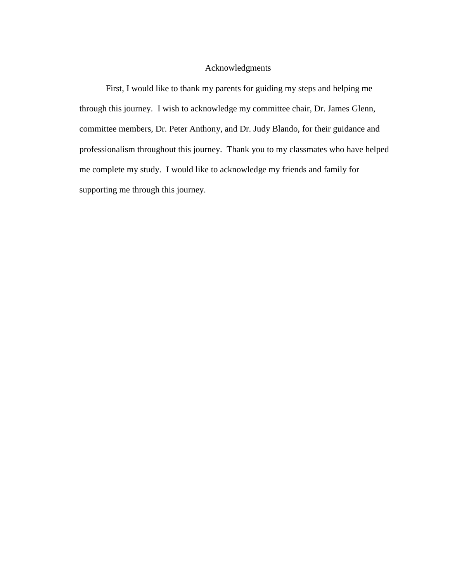#### Acknowledgments

First, I would like to thank my parents for guiding my steps and helping me through this journey. I wish to acknowledge my committee chair, Dr. James Glenn, committee members, Dr. Peter Anthony, and Dr. Judy Blando, for their guidance and professionalism throughout this journey. Thank you to my classmates who have helped me complete my study. I would like to acknowledge my friends and family for supporting me through this journey.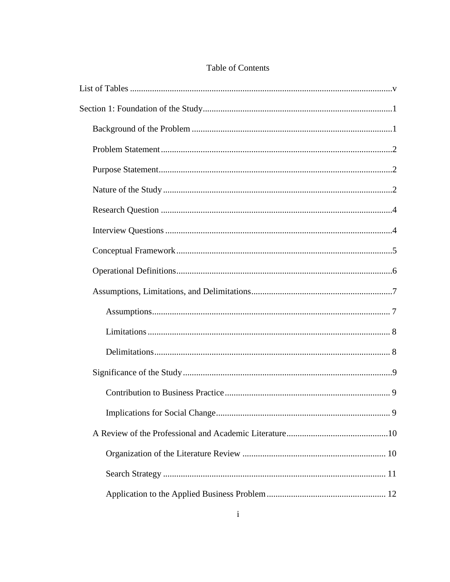### Table of Contents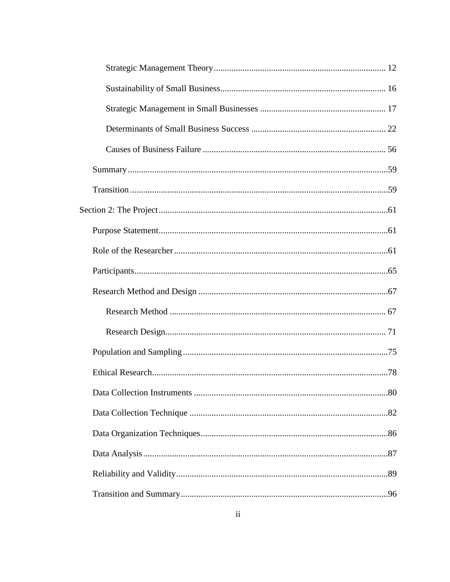| .80 |
|-----|
|     |
|     |
|     |
|     |
|     |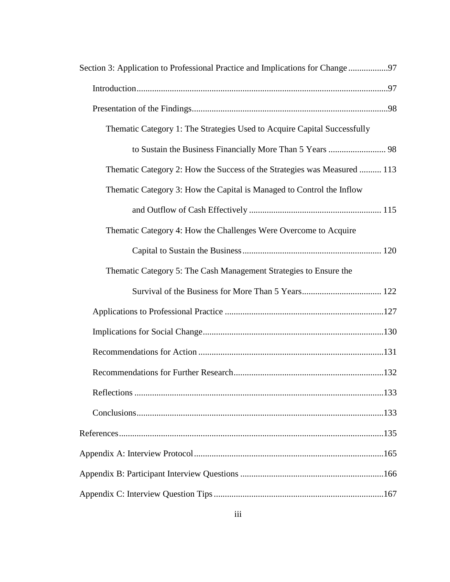| Section 3: Application to Professional Practice and Implications for Change97 |  |
|-------------------------------------------------------------------------------|--|
|                                                                               |  |
|                                                                               |  |
| Thematic Category 1: The Strategies Used to Acquire Capital Successfully      |  |
|                                                                               |  |
| Thematic Category 2: How the Success of the Strategies was Measured  113      |  |
| Thematic Category 3: How the Capital is Managed to Control the Inflow         |  |
|                                                                               |  |
| Thematic Category 4: How the Challenges Were Overcome to Acquire              |  |
|                                                                               |  |
| Thematic Category 5: The Cash Management Strategies to Ensure the             |  |
|                                                                               |  |
|                                                                               |  |
|                                                                               |  |
|                                                                               |  |
|                                                                               |  |
|                                                                               |  |
|                                                                               |  |
|                                                                               |  |
|                                                                               |  |
|                                                                               |  |
|                                                                               |  |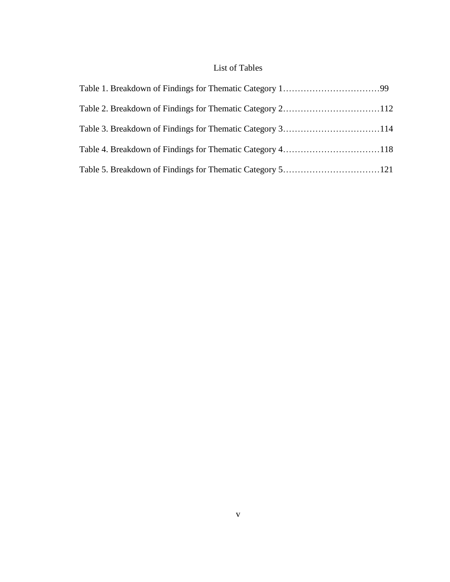## List of Tables

<span id="page-11-0"></span>

| Table 3. Breakdown of Findings for Thematic Category 3114 |  |
|-----------------------------------------------------------|--|
|                                                           |  |
|                                                           |  |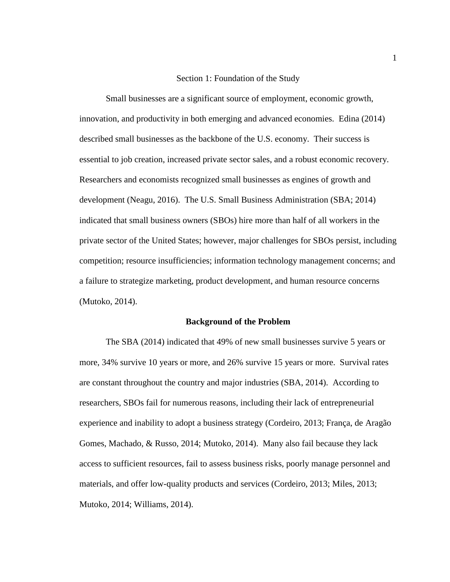#### Section 1: Foundation of the Study

<span id="page-12-0"></span>Small businesses are a significant source of employment, economic growth, innovation, and productivity in both emerging and advanced economies. Edina (2014) described small businesses as the backbone of the U.S. economy. Their success is essential to job creation, increased private sector sales, and a robust economic recovery. Researchers and economists recognized small businesses as engines of growth and development (Neagu, 2016). The U.S. Small Business Administration (SBA; 2014) indicated that small business owners (SBOs) hire more than half of all workers in the private sector of the United States; however, major challenges for SBOs persist, including competition; resource insufficiencies; information technology management concerns; and a failure to strategize marketing, product development, and human resource concerns (Mutoko, 2014).

#### **Background of the Problem**

<span id="page-12-1"></span>The SBA (2014) indicated that 49% of new small businesses survive 5 years or more, 34% survive 10 years or more, and 26% survive 15 years or more. Survival rates are constant throughout the country and major industries (SBA, 2014). According to researchers, SBOs fail for numerous reasons, including their lack of entrepreneurial experience and inability to adopt a business strategy (Cordeiro, 2013; França, de Aragão Gomes, Machado, & Russo, 2014; Mutoko, 2014). Many also fail because they lack access to sufficient resources, fail to assess business risks, poorly manage personnel and materials, and offer low-quality products and services (Cordeiro, 2013; Miles, 2013; Mutoko, 2014; Williams, 2014).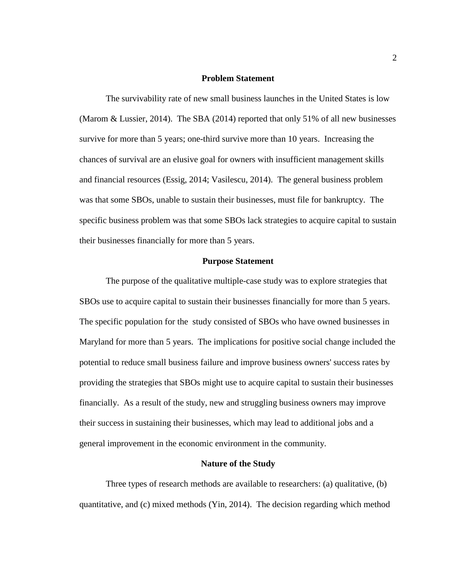#### **Problem Statement**

<span id="page-13-0"></span>The survivability rate of new small business launches in the United States is low (Marom & Lussier, 2014). The SBA (2014) reported that only 51% of all new businesses survive for more than 5 years; one-third survive more than 10 years. Increasing the chances of survival are an elusive goal for owners with insufficient management skills and financial resources (Essig, 2014; Vasilescu, 2014). The general business problem was that some SBOs, unable to sustain their businesses, must file for bankruptcy. The specific business problem was that some SBOs lack strategies to acquire capital to sustain their businesses financially for more than 5 years.

#### **Purpose Statement**

<span id="page-13-1"></span>The purpose of the qualitative multiple-case study was to explore strategies that SBOs use to acquire capital to sustain their businesses financially for more than 5 years. The specific population for the study consisted of SBOs who have owned businesses in Maryland for more than 5 years. The implications for positive social change included the potential to reduce small business failure and improve business owners' success rates by providing the strategies that SBOs might use to acquire capital to sustain their businesses financially. As a result of the study, new and struggling business owners may improve their success in sustaining their businesses, which may lead to additional jobs and a general improvement in the economic environment in the community.

#### **Nature of the Study**

<span id="page-13-2"></span>Three types of research methods are available to researchers: (a) qualitative, (b) quantitative, and (c) mixed methods (Yin, 2014). The decision regarding which method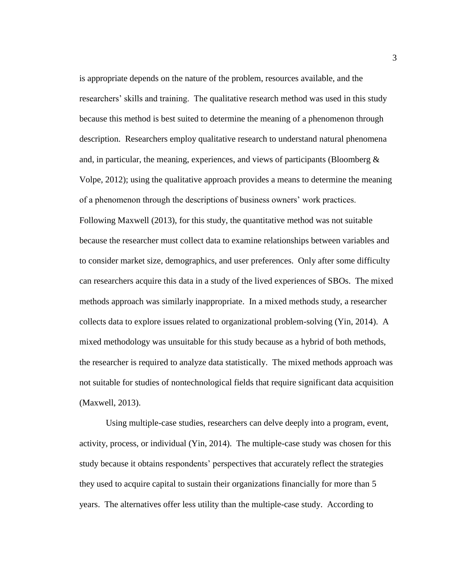is appropriate depends on the nature of the problem, resources available, and the researchers' skills and training. The qualitative research method was used in this study because this method is best suited to determine the meaning of a phenomenon through description. Researchers employ qualitative research to understand natural phenomena and, in particular, the meaning, experiences, and views of participants (Bloomberg  $\&$ Volpe, 2012); using the qualitative approach provides a means to determine the meaning of a phenomenon through the descriptions of business owners' work practices. Following Maxwell (2013), for this study, the quantitative method was not suitable because the researcher must collect data to examine relationships between variables and to consider market size, demographics, and user preferences. Only after some difficulty can researchers acquire this data in a study of the lived experiences of SBOs. The mixed methods approach was similarly inappropriate. In a mixed methods study, a researcher collects data to explore issues related to organizational problem-solving (Yin, 2014). A mixed methodology was unsuitable for this study because as a hybrid of both methods, the researcher is required to analyze data statistically. The mixed methods approach was not suitable for studies of nontechnological fields that require significant data acquisition (Maxwell, 2013).

Using multiple-case studies, researchers can delve deeply into a program, event, activity, process, or individual (Yin, 2014). The multiple-case study was chosen for this study because it obtains respondents' perspectives that accurately reflect the strategies they used to acquire capital to sustain their organizations financially for more than 5 years. The alternatives offer less utility than the multiple-case study. According to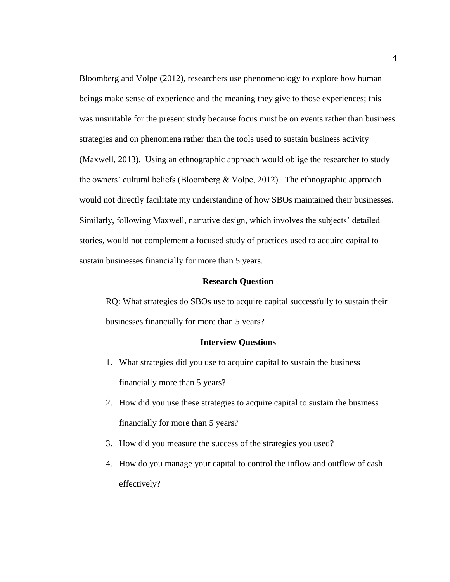Bloomberg and Volpe (2012), researchers use phenomenology to explore how human beings make sense of experience and the meaning they give to those experiences; this was unsuitable for the present study because focus must be on events rather than business strategies and on phenomena rather than the tools used to sustain business activity (Maxwell, 2013). Using an ethnographic approach would oblige the researcher to study the owners' cultural beliefs (Bloomberg & Volpe, 2012). The ethnographic approach would not directly facilitate my understanding of how SBOs maintained their businesses. Similarly, following Maxwell, narrative design, which involves the subjects' detailed stories, would not complement a focused study of practices used to acquire capital to sustain businesses financially for more than 5 years.

#### **Research Question**

<span id="page-15-0"></span>RQ: What strategies do SBOs use to acquire capital successfully to sustain their businesses financially for more than 5 years?

#### **Interview Questions**

- <span id="page-15-1"></span>1. What strategies did you use to acquire capital to sustain the business financially more than 5 years?
- 2. How did you use these strategies to acquire capital to sustain the business financially for more than 5 years?
- 3. How did you measure the success of the strategies you used?
- 4. How do you manage your capital to control the inflow and outflow of cash effectively?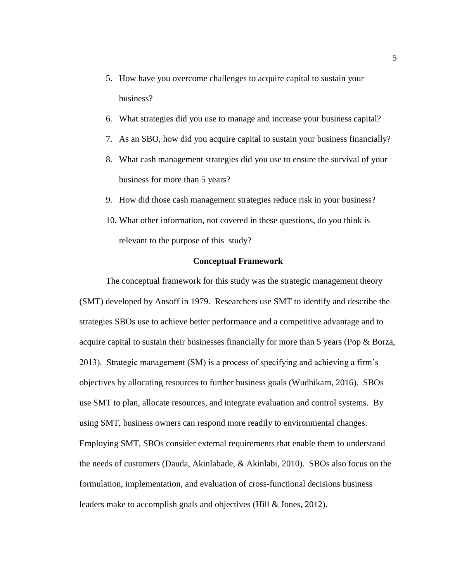- 5. How have you overcome challenges to acquire capital to sustain your business?
- 6. What strategies did you use to manage and increase your business capital?
- 7. As an SBO, how did you acquire capital to sustain your business financially?
- 8. What cash management strategies did you use to ensure the survival of your business for more than 5 years?
- 9. How did those cash management strategies reduce risk in your business?
- 10. What other information, not covered in these questions, do you think is relevant to the purpose of this study?

#### **Conceptual Framework**

<span id="page-16-0"></span>The conceptual framework for this study was the strategic management theory (SMT) developed by Ansoff in 1979. Researchers use SMT to identify and describe the strategies SBOs use to achieve better performance and a competitive advantage and to acquire capital to sustain their businesses financially for more than 5 years (Pop & Borza, 2013). Strategic management (SM) is a process of specifying and achieving a firm's objectives by allocating resources to further business goals (Wudhikarn, 2016). SBOs use SMT to plan, allocate resources, and integrate evaluation and control systems. By using SMT, business owners can respond more readily to environmental changes. Employing SMT, SBOs consider external requirements that enable them to understand the needs of customers (Dauda, Akinlabade, & Akinlabi, 2010). SBOs also focus on the formulation, implementation, and evaluation of cross-functional decisions business leaders make to accomplish goals and objectives (Hill & Jones, 2012).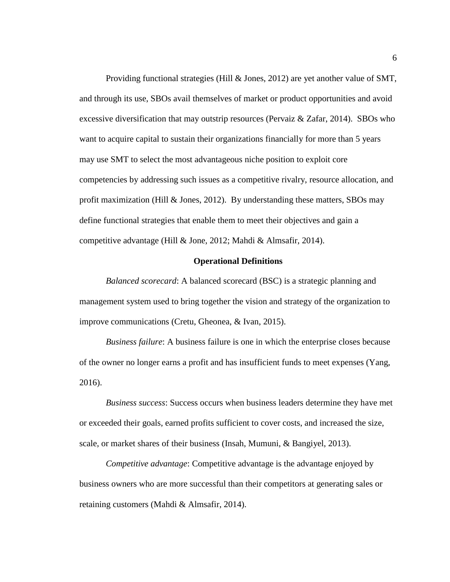Providing functional strategies (Hill & Jones, 2012) are yet another value of SMT, and through its use, SBOs avail themselves of market or product opportunities and avoid excessive diversification that may outstrip resources (Pervaiz  $\&$  Zafar, 2014). SBOs who want to acquire capital to sustain their organizations financially for more than 5 years may use SMT to select the most advantageous niche position to exploit core competencies by addressing such issues as a competitive rivalry, resource allocation, and profit maximization (Hill & Jones, 2012). By understanding these matters, SBOs may define functional strategies that enable them to meet their objectives and gain a competitive advantage (Hill & Jone, 2012; Mahdi & Almsafir, 2014).

#### **Operational Definitions**

<span id="page-17-0"></span>*Balanced scorecard*: A balanced scorecard (BSC) is a strategic planning and management system used to bring together the vision and strategy of the organization to improve communications (Cretu, Gheonea, & Ivan, 2015).

*Business failure*: A business failure is one in which the enterprise closes because of the owner no longer earns a profit and has insufficient funds to meet expenses (Yang, 2016).

*Business success*: Success occurs when business leaders determine they have met or exceeded their goals, earned profits sufficient to cover costs, and increased the size, scale, or market shares of their business (Insah, Mumuni, & Bangiyel, 2013).

*Competitive advantage*: Competitive advantage is the advantage enjoyed by business owners who are more successful than their competitors at generating sales or retaining customers (Mahdi & Almsafir, 2014).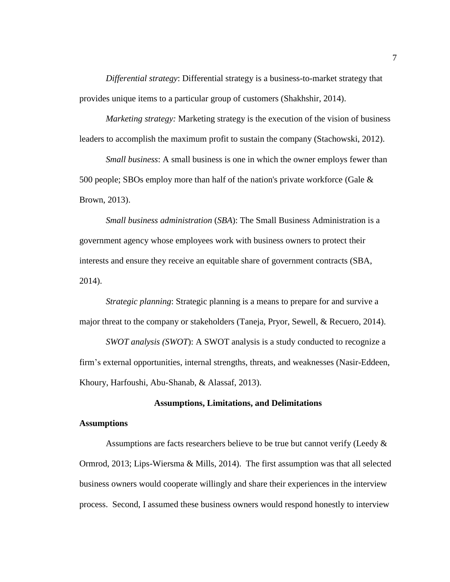*Differential strategy*: Differential strategy is a business-to-market strategy that provides unique items to a particular group of customers (Shakhshir, 2014).

*Marketing strategy:* Marketing strategy is the execution of the vision of business leaders to accomplish the maximum profit to sustain the company (Stachowski, 2012).

*Small business*: A small business is one in which the owner employs fewer than 500 people; SBOs employ more than half of the nation's private workforce (Gale  $\&$ Brown, 2013).

*Small business administration* (*SBA*): The Small Business Administration is a government agency whose employees work with business owners to protect their interests and ensure they receive an equitable share of government contracts (SBA, 2014).

*Strategic planning*: Strategic planning is a means to prepare for and survive a major threat to the company or stakeholders (Taneja, Pryor, Sewell, & Recuero, 2014).

*SWOT analysis (SWOT*): A SWOT analysis is a study conducted to recognize a firm's external opportunities, internal strengths, threats, and weaknesses (Nasir-Eddeen, Khoury, Harfoushi, Abu-Shanab, & Alassaf, 2013).

#### **Assumptions, Limitations, and Delimitations**

#### <span id="page-18-1"></span><span id="page-18-0"></span>**Assumptions**

Assumptions are facts researchers believe to be true but cannot verify (Leedy & Ormrod, 2013; Lips-Wiersma & Mills, 2014). The first assumption was that all selected business owners would cooperate willingly and share their experiences in the interview process. Second, I assumed these business owners would respond honestly to interview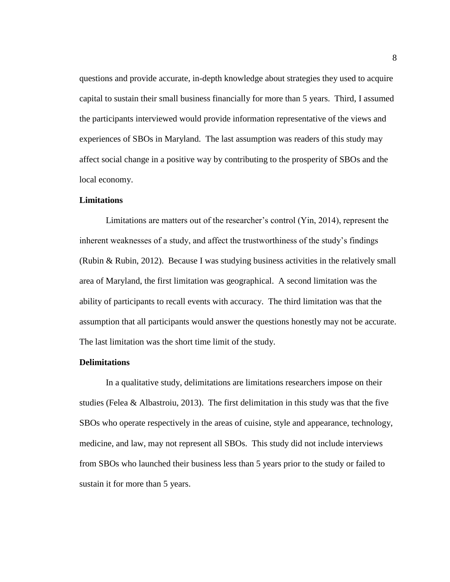questions and provide accurate, in-depth knowledge about strategies they used to acquire capital to sustain their small business financially for more than 5 years. Third, I assumed the participants interviewed would provide information representative of the views and experiences of SBOs in Maryland. The last assumption was readers of this study may affect social change in a positive way by contributing to the prosperity of SBOs and the local economy.

#### <span id="page-19-0"></span>**Limitations**

Limitations are matters out of the researcher's control (Yin, 2014), represent the inherent weaknesses of a study, and affect the trustworthiness of the study's findings (Rubin & Rubin, 2012). Because I was studying business activities in the relatively small area of Maryland, the first limitation was geographical. A second limitation was the ability of participants to recall events with accuracy. The third limitation was that the assumption that all participants would answer the questions honestly may not be accurate. The last limitation was the short time limit of the study.

#### <span id="page-19-1"></span>**Delimitations**

In a qualitative study, delimitations are limitations researchers impose on their studies (Felea & Albastroiu, 2013). The first delimitation in this study was that the five SBOs who operate respectively in the areas of cuisine, style and appearance, technology, medicine, and law, may not represent all SBOs. This study did not include interviews from SBOs who launched their business less than 5 years prior to the study or failed to sustain it for more than 5 years.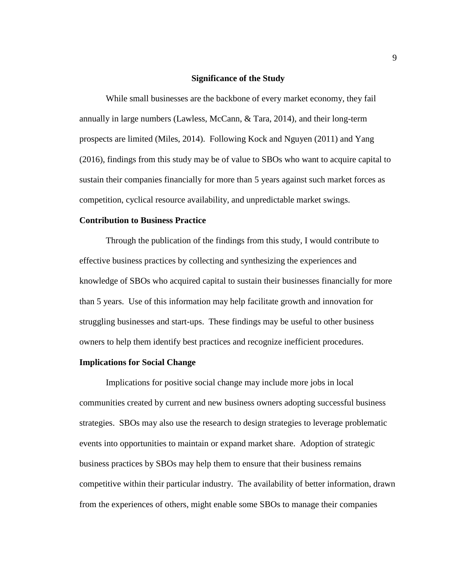#### **Significance of the Study**

<span id="page-20-0"></span>While small businesses are the backbone of every market economy, they fail annually in large numbers (Lawless, McCann, & Tara, 2014), and their long-term prospects are limited (Miles, 2014). Following Kock and Nguyen (2011) and Yang (2016), findings from this study may be of value to SBOs who want to acquire capital to sustain their companies financially for more than 5 years against such market forces as competition, cyclical resource availability, and unpredictable market swings.

#### <span id="page-20-1"></span>**Contribution to Business Practice**

Through the publication of the findings from this study, I would contribute to effective business practices by collecting and synthesizing the experiences and knowledge of SBOs who acquired capital to sustain their businesses financially for more than 5 years. Use of this information may help facilitate growth and innovation for struggling businesses and start-ups. These findings may be useful to other business owners to help them identify best practices and recognize inefficient procedures.

#### <span id="page-20-2"></span>**Implications for Social Change**

Implications for positive social change may include more jobs in local communities created by current and new business owners adopting successful business strategies. SBOs may also use the research to design strategies to leverage problematic events into opportunities to maintain or expand market share. Adoption of strategic business practices by SBOs may help them to ensure that their business remains competitive within their particular industry. The availability of better information, drawn from the experiences of others, might enable some SBOs to manage their companies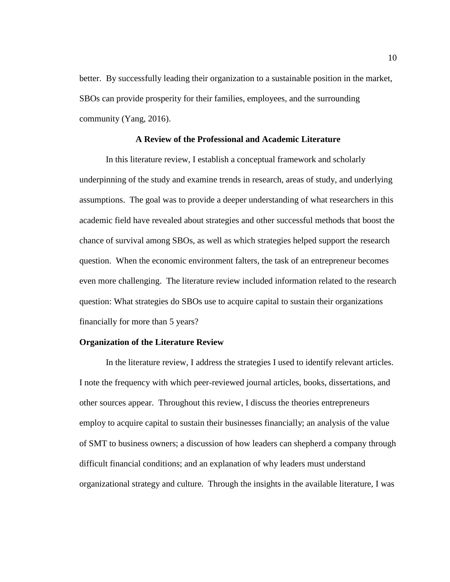better. By successfully leading their organization to a sustainable position in the market, SBOs can provide prosperity for their families, employees, and the surrounding community (Yang, 2016).

#### **A Review of the Professional and Academic Literature**

<span id="page-21-0"></span>In this literature review, I establish a conceptual framework and scholarly underpinning of the study and examine trends in research, areas of study, and underlying assumptions. The goal was to provide a deeper understanding of what researchers in this academic field have revealed about strategies and other successful methods that boost the chance of survival among SBOs, as well as which strategies helped support the research question. When the economic environment falters, the task of an entrepreneur becomes even more challenging. The literature review included information related to the research question: What strategies do SBOs use to acquire capital to sustain their organizations financially for more than 5 years?

#### <span id="page-21-1"></span>**Organization of the Literature Review**

In the literature review, I address the strategies I used to identify relevant articles. I note the frequency with which peer-reviewed journal articles, books, dissertations, and other sources appear. Throughout this review, I discuss the theories entrepreneurs employ to acquire capital to sustain their businesses financially; an analysis of the value of SMT to business owners; a discussion of how leaders can shepherd a company through difficult financial conditions; and an explanation of why leaders must understand organizational strategy and culture. Through the insights in the available literature, I was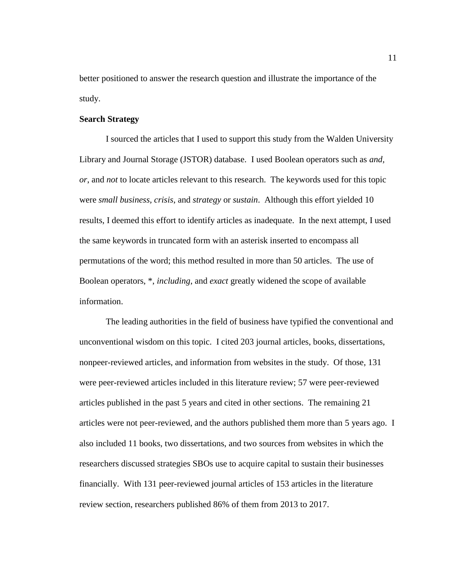better positioned to answer the research question and illustrate the importance of the study.

#### <span id="page-22-0"></span>**Search Strategy**

I sourced the articles that I used to support this study from the Walden University Library and Journal Storage (JSTOR) database. I used Boolean operators such as *and, or*, and *not* to locate articles relevant to this research. The keywords used for this topic were *small business, crisis*, and *strategy* or *sustain*. Although this effort yielded 10 results, I deemed this effort to identify articles as inadequate. In the next attempt, I used the same keywords in truncated form with an asterisk inserted to encompass all permutations of the word; this method resulted in more than 50 articles. The use of Boolean operators, \*, *including*, and *exact* greatly widened the scope of available information.

The leading authorities in the field of business have typified the conventional and unconventional wisdom on this topic. I cited 203 journal articles, books, dissertations, nonpeer-reviewed articles, and information from websites in the study. Of those, 131 were peer-reviewed articles included in this literature review; 57 were peer-reviewed articles published in the past 5 years and cited in other sections. The remaining 21 articles were not peer-reviewed, and the authors published them more than 5 years ago. I also included 11 books, two dissertations, and two sources from websites in which the researchers discussed strategies SBOs use to acquire capital to sustain their businesses financially. With 131 peer-reviewed journal articles of 153 articles in the literature review section, researchers published 86% of them from 2013 to 2017.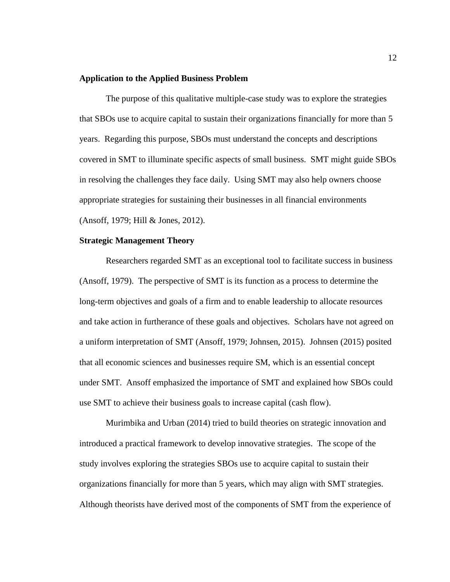#### <span id="page-23-0"></span>**Application to the Applied Business Problem**

The purpose of this qualitative multiple-case study was to explore the strategies that SBOs use to acquire capital to sustain their organizations financially for more than 5 years. Regarding this purpose, SBOs must understand the concepts and descriptions covered in SMT to illuminate specific aspects of small business. SMT might guide SBOs in resolving the challenges they face daily. Using SMT may also help owners choose appropriate strategies for sustaining their businesses in all financial environments (Ansoff, 1979; Hill & Jones, 2012).

#### <span id="page-23-1"></span>**Strategic Management Theory**

Researchers regarded SMT as an exceptional tool to facilitate success in business (Ansoff, 1979). The perspective of SMT is its function as a process to determine the long-term objectives and goals of a firm and to enable leadership to allocate resources and take action in furtherance of these goals and objectives. Scholars have not agreed on a uniform interpretation of SMT (Ansoff, 1979; Johnsen, 2015). Johnsen (2015) posited that all economic sciences and businesses require SM, which is an essential concept under SMT. Ansoff emphasized the importance of SMT and explained how SBOs could use SMT to achieve their business goals to increase capital (cash flow).

Murimbika and Urban (2014) tried to build theories on strategic innovation and introduced a practical framework to develop innovative strategies. The scope of the study involves exploring the strategies SBOs use to acquire capital to sustain their organizations financially for more than 5 years, which may align with SMT strategies. Although theorists have derived most of the components of SMT from the experience of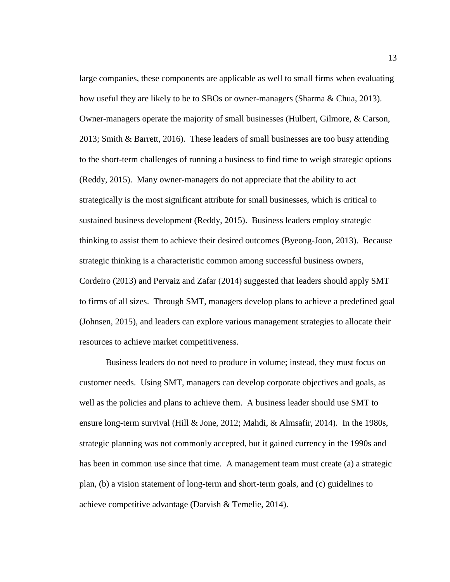large companies, these components are applicable as well to small firms when evaluating how useful they are likely to be to SBOs or owner-managers (Sharma & Chua, 2013). Owner-managers operate the majority of small businesses (Hulbert, Gilmore, & Carson, 2013; Smith & Barrett, 2016). These leaders of small businesses are too busy attending to the short-term challenges of running a business to find time to weigh strategic options (Reddy, 2015). Many owner-managers do not appreciate that the ability to act strategically is the most significant attribute for small businesses, which is critical to sustained business development (Reddy, 2015). Business leaders employ strategic thinking to assist them to achieve their desired outcomes (Byeong-Joon, 2013). Because strategic thinking is a characteristic common among successful business owners, Cordeiro (2013) and Pervaiz and Zafar (2014) suggested that leaders should apply SMT to firms of all sizes. Through SMT, managers develop plans to achieve a predefined goal (Johnsen, 2015), and leaders can explore various management strategies to allocate their resources to achieve market competitiveness.

Business leaders do not need to produce in volume; instead, they must focus on customer needs. Using SMT, managers can develop corporate objectives and goals, as well as the policies and plans to achieve them. A business leader should use SMT to ensure long-term survival (Hill & Jone, 2012; Mahdi, & Almsafir, 2014). In the 1980s, strategic planning was not commonly accepted, but it gained currency in the 1990s and has been in common use since that time. A management team must create (a) a strategic plan, (b) a vision statement of long-term and short-term goals, and (c) guidelines to achieve competitive advantage (Darvish & Temelie, 2014).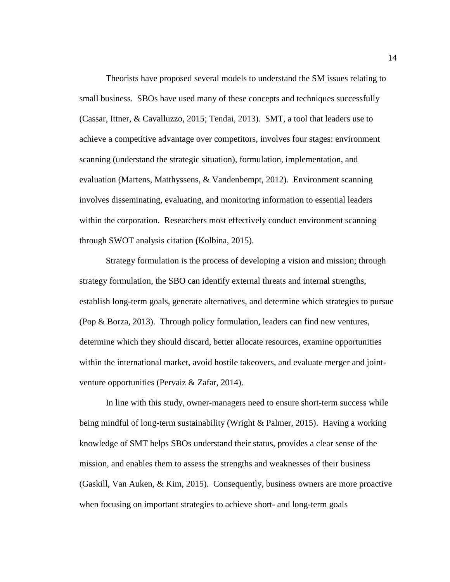Theorists have proposed several models to understand the SM issues relating to small business. SBOs have used many of these concepts and techniques successfully (Cassar, Ittner, & Cavalluzzo, 2015; Tendai, 2013). SMT, a tool that leaders use to achieve a competitive advantage over competitors, involves four stages: environment scanning (understand the strategic situation), formulation, implementation, and evaluation (Martens, Matthyssens, & Vandenbempt, 2012). Environment scanning involves disseminating, evaluating, and monitoring information to essential leaders within the corporation. Researchers most effectively conduct environment scanning through SWOT analysis citation (Kolbina, 2015).

Strategy formulation is the process of developing a vision and mission; through strategy formulation, the SBO can identify external threats and internal strengths, establish long-term goals, generate alternatives, and determine which strategies to pursue (Pop & Borza, 2013). Through policy formulation, leaders can find new ventures, determine which they should discard, better allocate resources, examine opportunities within the international market, avoid hostile takeovers, and evaluate merger and jointventure opportunities (Pervaiz & Zafar, 2014).

In line with this study, owner-managers need to ensure short-term success while being mindful of long-term sustainability (Wright & Palmer, 2015). Having a working knowledge of SMT helps SBOs understand their status, provides a clear sense of the mission, and enables them to assess the strengths and weaknesses of their business (Gaskill, Van Auken, & Kim, 2015). Consequently, business owners are more proactive when focusing on important strategies to achieve short- and long-term goals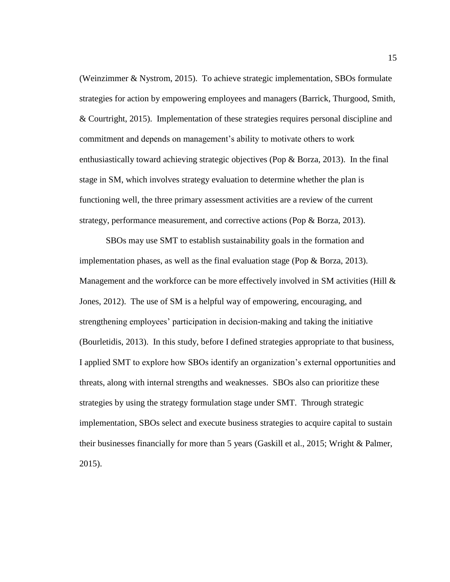(Weinzimmer & Nystrom, 2015). To achieve strategic implementation, SBOs formulate strategies for action by empowering employees and managers (Barrick, Thurgood, Smith, & Courtright, 2015). Implementation of these strategies requires personal discipline and commitment and depends on management's ability to motivate others to work enthusiastically toward achieving strategic objectives (Pop  $\&$  Borza, 2013). In the final stage in SM, which involves strategy evaluation to determine whether the plan is functioning well, the three primary assessment activities are a review of the current strategy, performance measurement, and corrective actions (Pop & Borza, 2013).

SBOs may use SMT to establish sustainability goals in the formation and implementation phases, as well as the final evaluation stage (Pop  $\&$  Borza, 2013). Management and the workforce can be more effectively involved in SM activities (Hill  $\&$ Jones, 2012). The use of SM is a helpful way of empowering, encouraging, and strengthening employees' participation in decision-making and taking the initiative (Bourletidis, 2013). In this study, before I defined strategies appropriate to that business, I applied SMT to explore how SBOs identify an organization's external opportunities and threats, along with internal strengths and weaknesses. SBOs also can prioritize these strategies by using the strategy formulation stage under SMT. Through strategic implementation, SBOs select and execute business strategies to acquire capital to sustain their businesses financially for more than 5 years (Gaskill et al., 2015; Wright & Palmer, 2015).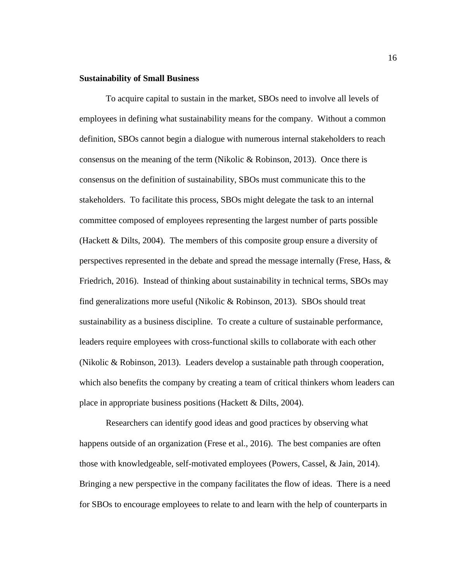#### <span id="page-27-0"></span>**Sustainability of Small Business**

To acquire capital to sustain in the market, SBOs need to involve all levels of employees in defining what sustainability means for the company. Without a common definition, SBOs cannot begin a dialogue with numerous internal stakeholders to reach consensus on the meaning of the term (Nikolic & Robinson, 2013). Once there is consensus on the definition of sustainability, SBOs must communicate this to the stakeholders. To facilitate this process, SBOs might delegate the task to an internal committee composed of employees representing the largest number of parts possible (Hackett  $\&$  Dilts, 2004). The members of this composite group ensure a diversity of perspectives represented in the debate and spread the message internally (Frese, Hass, & Friedrich, 2016). Instead of thinking about sustainability in technical terms, SBOs may find generalizations more useful (Nikolic & Robinson, 2013). SBOs should treat sustainability as a business discipline. To create a culture of sustainable performance, leaders require employees with cross-functional skills to collaborate with each other (Nikolic & Robinson, 2013). Leaders develop a sustainable path through cooperation, which also benefits the company by creating a team of critical thinkers whom leaders can place in appropriate business positions (Hackett & Dilts, 2004).

Researchers can identify good ideas and good practices by observing what happens outside of an organization (Frese et al., 2016). The best companies are often those with knowledgeable, self-motivated employees (Powers, Cassel, & Jain, 2014). Bringing a new perspective in the company facilitates the flow of ideas. There is a need for SBOs to encourage employees to relate to and learn with the help of counterparts in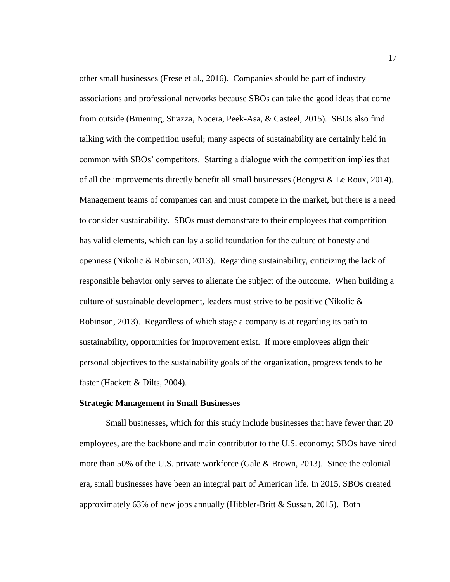other small businesses (Frese et al., 2016). Companies should be part of industry associations and professional networks because SBOs can take the good ideas that come from outside (Bruening, Strazza, Nocera, Peek-Asa, & Casteel, 2015). SBOs also find talking with the competition useful; many aspects of sustainability are certainly held in common with SBOs' competitors. Starting a dialogue with the competition implies that of all the improvements directly benefit all small businesses (Bengesi & Le Roux, 2014). Management teams of companies can and must compete in the market, but there is a need to consider sustainability. SBOs must demonstrate to their employees that competition has valid elements, which can lay a solid foundation for the culture of honesty and openness (Nikolic & Robinson, 2013). Regarding sustainability, criticizing the lack of responsible behavior only serves to alienate the subject of the outcome. When building a culture of sustainable development, leaders must strive to be positive (Nikolic  $\&$ Robinson, 2013). Regardless of which stage a company is at regarding its path to sustainability, opportunities for improvement exist. If more employees align their personal objectives to the sustainability goals of the organization, progress tends to be faster (Hackett & Dilts, 2004).

#### <span id="page-28-0"></span>**Strategic Management in Small Businesses**

Small businesses, which for this study include businesses that have fewer than 20 employees, are the backbone and main contributor to the U.S. economy; SBOs have hired more than 50% of the U.S. private workforce (Gale & Brown, 2013). Since the colonial era, small businesses have been an integral part of American life. In 2015, SBOs created approximately 63% of new jobs annually (Hibbler-Britt & Sussan, 2015). Both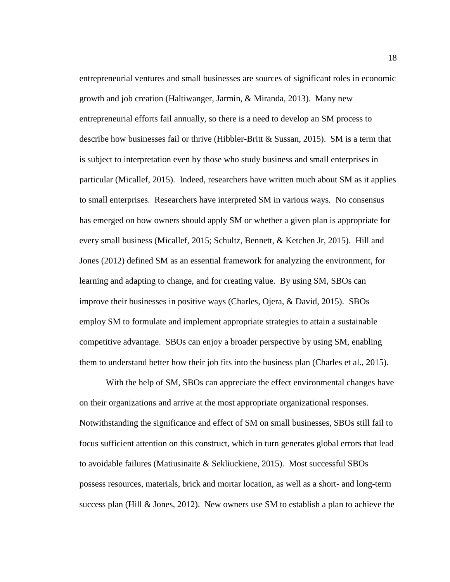entrepreneurial ventures and small businesses are sources of significant roles in economic growth and job creation (Haltiwanger, Jarmin, & Miranda, 2013). Many new entrepreneurial efforts fail annually, so there is a need to develop an SM process to describe how businesses fail or thrive (Hibbler-Britt  $\&$  Sussan, 2015). SM is a term that is subject to interpretation even by those who study business and small enterprises in particular (Micallef, 2015). Indeed, researchers have written much about SM as it applies to small enterprises. Researchers have interpreted SM in various ways. No consensus has emerged on how owners should apply SM or whether a given plan is appropriate for every small business (Micallef, 2015; Schultz, Bennett, & Ketchen Jr, 2015). Hill and Jones (2012) defined SM as an essential framework for analyzing the environment, for learning and adapting to change, and for creating value. By using SM, SBOs can improve their businesses in positive ways (Charles, Ojera, & David, 2015). SBOs employ SM to formulate and implement appropriate strategies to attain a sustainable competitive advantage. SBOs can enjoy a broader perspective by using SM, enabling them to understand better how their job fits into the business plan (Charles et al., 2015).

With the help of SM, SBOs can appreciate the effect environmental changes have on their organizations and arrive at the most appropriate organizational responses. Notwithstanding the significance and effect of SM on small businesses, SBOs still fail to focus sufficient attention on this construct, which in turn generates global errors that lead to avoidable failures (Matiusinaite & Sekliuckiene, 2015). Most successful SBOs possess resources, materials, brick and mortar location, as well as a short- and long-term success plan (Hill & Jones, 2012). New owners use SM to establish a plan to achieve the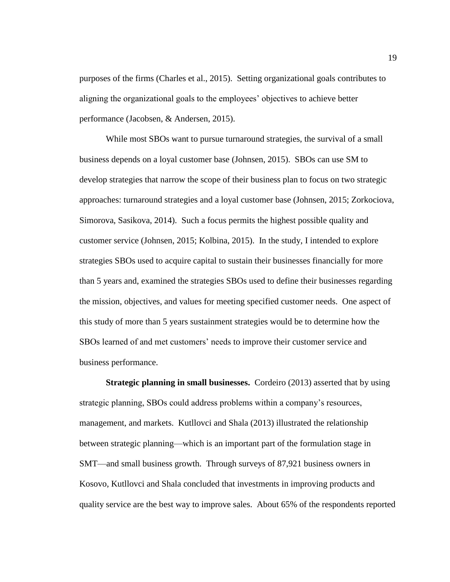purposes of the firms (Charles et al., 2015). Setting organizational goals contributes to aligning the organizational goals to the employees' objectives to achieve better performance (Jacobsen, & Andersen, 2015).

While most SBOs want to pursue turnaround strategies, the survival of a small business depends on a loyal customer base (Johnsen, 2015). SBOs can use SM to develop strategies that narrow the scope of their business plan to focus on two strategic approaches: turnaround strategies and a loyal customer base (Johnsen, 2015; Zorkociova, Simorova, Sasikova, 2014). Such a focus permits the highest possible quality and customer service (Johnsen, 2015; Kolbina, 2015). In the study, I intended to explore strategies SBOs used to acquire capital to sustain their businesses financially for more than 5 years and, examined the strategies SBOs used to define their businesses regarding the mission, objectives, and values for meeting specified customer needs. One aspect of this study of more than 5 years sustainment strategies would be to determine how the SBOs learned of and met customers' needs to improve their customer service and business performance.

**Strategic planning in small businesses.** Cordeiro (2013) asserted that by using strategic planning, SBOs could address problems within a company's resources, management, and markets. Kutllovci and Shala (2013) illustrated the relationship between strategic planning—which is an important part of the formulation stage in SMT—and small business growth. Through surveys of 87,921 business owners in Kosovo, Kutllovci and Shala concluded that investments in improving products and quality service are the best way to improve sales. About 65% of the respondents reported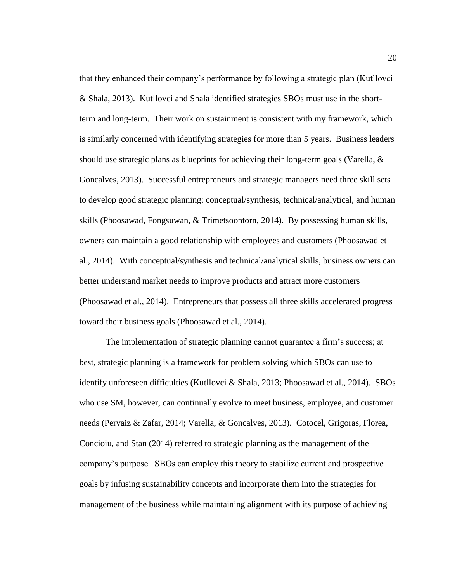that they enhanced their company's performance by following a strategic plan (Kutllovci & Shala, 2013). Kutllovci and Shala identified strategies SBOs must use in the shortterm and long-term. Their work on sustainment is consistent with my framework, which is similarly concerned with identifying strategies for more than 5 years. Business leaders should use strategic plans as blueprints for achieving their long-term goals (Varella,  $\&$ Goncalves, 2013). Successful entrepreneurs and strategic managers need three skill sets to develop good strategic planning: conceptual/synthesis, technical/analytical, and human skills (Phoosawad, Fongsuwan, & Trimetsoontorn, 2014). By possessing human skills, owners can maintain a good relationship with employees and customers (Phoosawad et al., 2014). With conceptual/synthesis and technical/analytical skills, business owners can better understand market needs to improve products and attract more customers (Phoosawad et al., 2014). Entrepreneurs that possess all three skills accelerated progress toward their business goals (Phoosawad et al., 2014).

The implementation of strategic planning cannot guarantee a firm's success; at best, strategic planning is a framework for problem solving which SBOs can use to identify unforeseen difficulties (Kutllovci & Shala, 2013; Phoosawad et al., 2014). SBOs who use SM, however, can continually evolve to meet business, employee, and customer needs (Pervaiz & Zafar, 2014; Varella, & Goncalves, 2013). Cotocel, Grigoras, Florea, Concioiu, and Stan (2014) referred to strategic planning as the management of the company's purpose. SBOs can employ this theory to stabilize current and prospective goals by infusing sustainability concepts and incorporate them into the strategies for management of the business while maintaining alignment with its purpose of achieving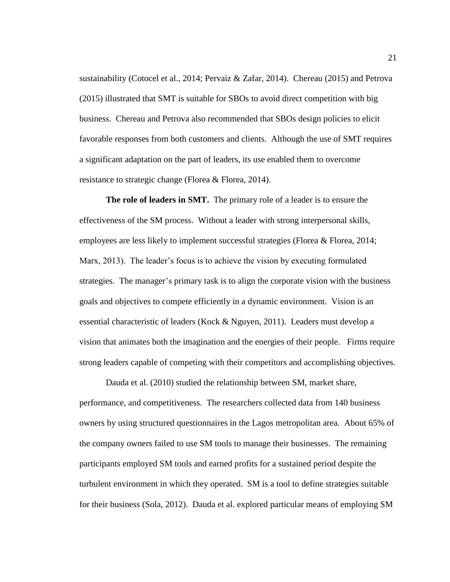sustainability (Cotocel et al., 2014; Pervaiz & Zafar, 2014). Chereau (2015) and Petrova (2015) illustrated that SMT is suitable for SBOs to avoid direct competition with big business. Chereau and Petrova also recommended that SBOs design policies to elicit favorable responses from both customers and clients. Although the use of SMT requires a significant adaptation on the part of leaders, its use enabled them to overcome resistance to strategic change (Florea & Florea, 2014).

**The role of leaders in SMT.** The primary role of a leader is to ensure the effectiveness of the SM process. Without a leader with strong interpersonal skills, employees are less likely to implement successful strategies (Florea & Florea, 2014; Marx, 2013). The leader's focus is to achieve the vision by executing formulated strategies. The manager's primary task is to align the corporate vision with the business goals and objectives to compete efficiently in a dynamic environment. Vision is an essential characteristic of leaders (Kock & Nguyen, 2011). Leaders must develop a vision that animates both the imagination and the energies of their people. Firms require strong leaders capable of competing with their competitors and accomplishing objectives.

Dauda et al. (2010) studied the relationship between SM, market share, performance, and competitiveness. The researchers collected data from 140 business owners by using structured questionnaires in the Lagos metropolitan area. About 65% of the company owners failed to use SM tools to manage their businesses. The remaining participants employed SM tools and earned profits for a sustained period despite the turbulent environment in which they operated. SM is a tool to define strategies suitable for their business (Sola, 2012). Dauda et al. explored particular means of employing SM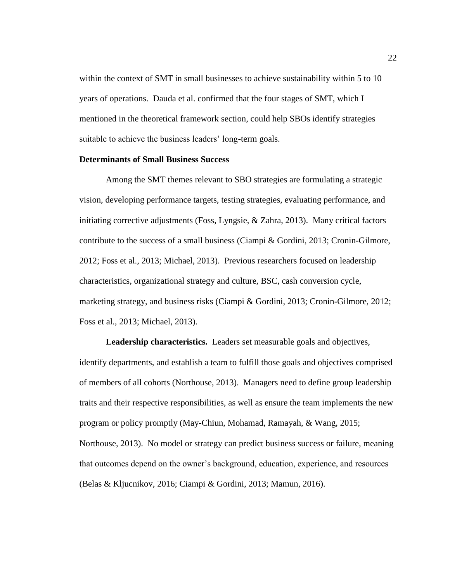within the context of SMT in small businesses to achieve sustainability within 5 to 10 years of operations. Dauda et al. confirmed that the four stages of SMT, which I mentioned in the theoretical framework section, could help SBOs identify strategies suitable to achieve the business leaders' long-term goals.

#### <span id="page-33-0"></span>**Determinants of Small Business Success**

Among the SMT themes relevant to SBO strategies are formulating a strategic vision, developing performance targets, testing strategies, evaluating performance, and initiating corrective adjustments (Foss, Lyngsie, & Zahra, 2013). Many critical factors contribute to the success of a small business (Ciampi & Gordini, 2013; Cronin-Gilmore, 2012; Foss et al., 2013; Michael, 2013). Previous researchers focused on leadership characteristics, organizational strategy and culture, BSC, cash conversion cycle, marketing strategy, and business risks (Ciampi & Gordini, 2013; Cronin-Gilmore, 2012; Foss et al., 2013; Michael, 2013).

**Leadership characteristics.** Leaders set measurable goals and objectives, identify departments, and establish a team to fulfill those goals and objectives comprised of members of all cohorts (Northouse, 2013). Managers need to define group leadership traits and their respective responsibilities, as well as ensure the team implements the new program or policy promptly (May-Chiun, Mohamad, Ramayah, & Wang, 2015; Northouse, 2013). No model or strategy can predict business success or failure, meaning that outcomes depend on the owner's background, education, experience, and resources (Belas & Kljucnikov, 2016; Ciampi & Gordini, 2013; Mamun, 2016).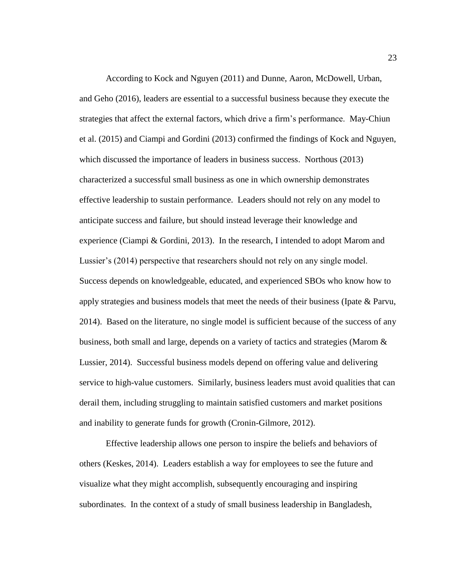According to Kock and Nguyen (2011) and Dunne, Aaron, McDowell, Urban, and Geho (2016), leaders are essential to a successful business because they execute the strategies that affect the external factors, which drive a firm's performance. May-Chiun et al. (2015) and Ciampi and Gordini (2013) confirmed the findings of Kock and Nguyen, which discussed the importance of leaders in business success. Northous (2013) characterized a successful small business as one in which ownership demonstrates effective leadership to sustain performance. Leaders should not rely on any model to anticipate success and failure, but should instead leverage their knowledge and experience (Ciampi & Gordini, 2013). In the research, I intended to adopt Marom and Lussier's (2014) perspective that researchers should not rely on any single model. Success depends on knowledgeable, educated, and experienced SBOs who know how to apply strategies and business models that meet the needs of their business (Ipate & Parvu, 2014). Based on the literature, no single model is sufficient because of the success of any business, both small and large, depends on a variety of tactics and strategies (Marom & Lussier, 2014). Successful business models depend on offering value and delivering service to high-value customers. Similarly, business leaders must avoid qualities that can derail them, including struggling to maintain satisfied customers and market positions and inability to generate funds for growth (Cronin-Gilmore, 2012).

Effective leadership allows one person to inspire the beliefs and behaviors of others (Keskes, 2014). Leaders establish a way for employees to see the future and visualize what they might accomplish, subsequently encouraging and inspiring subordinates. In the context of a study of small business leadership in Bangladesh,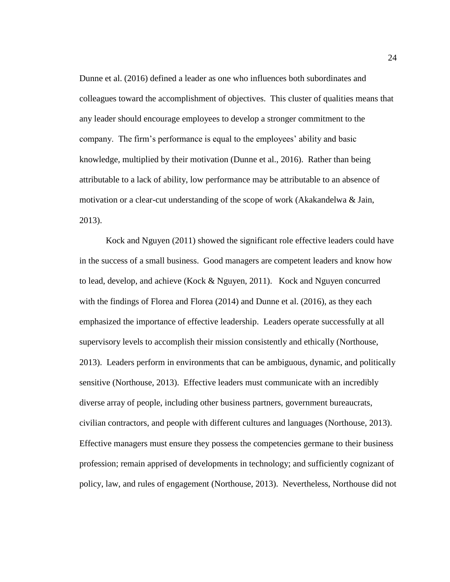Dunne et al. (2016) defined a leader as one who influences both subordinates and colleagues toward the accomplishment of objectives. This cluster of qualities means that any leader should encourage employees to develop a stronger commitment to the company. The firm's performance is equal to the employees' ability and basic knowledge, multiplied by their motivation (Dunne et al., 2016). Rather than being attributable to a lack of ability, low performance may be attributable to an absence of motivation or a clear-cut understanding of the scope of work (Akakandelwa & Jain, 2013).

Kock and Nguyen (2011) showed the significant role effective leaders could have in the success of a small business. Good managers are competent leaders and know how to lead, develop, and achieve (Kock & Nguyen, 2011). Kock and Nguyen concurred with the findings of Florea and Florea (2014) and Dunne et al. (2016), as they each emphasized the importance of effective leadership. Leaders operate successfully at all supervisory levels to accomplish their mission consistently and ethically (Northouse, 2013). Leaders perform in environments that can be ambiguous, dynamic, and politically sensitive (Northouse, 2013). Effective leaders must communicate with an incredibly diverse array of people, including other business partners, government bureaucrats, civilian contractors, and people with different cultures and languages (Northouse, 2013). Effective managers must ensure they possess the competencies germane to their business profession; remain apprised of developments in technology; and sufficiently cognizant of policy, law, and rules of engagement (Northouse, 2013). Nevertheless, Northouse did not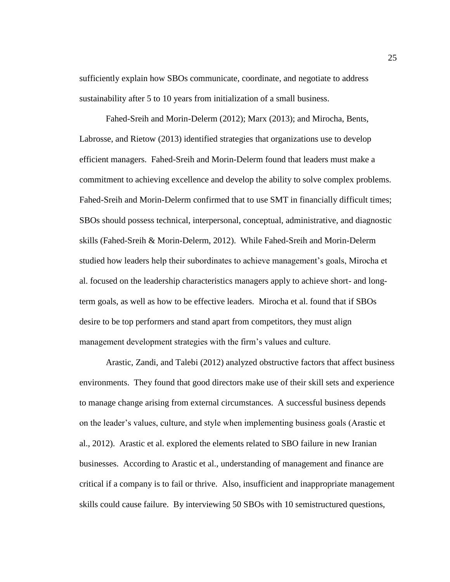sufficiently explain how SBOs communicate, coordinate, and negotiate to address sustainability after 5 to 10 years from initialization of a small business.

Fahed-Sreih and Morin-Delerm (2012); Marx (2013); and Mirocha, Bents, Labrosse, and Rietow (2013) identified strategies that organizations use to develop efficient managers. Fahed-Sreih and Morin-Delerm found that leaders must make a commitment to achieving excellence and develop the ability to solve complex problems. Fahed-Sreih and Morin-Delerm confirmed that to use SMT in financially difficult times; SBOs should possess technical, interpersonal, conceptual, administrative, and diagnostic skills (Fahed-Sreih & Morin-Delerm, 2012). While Fahed-Sreih and Morin-Delerm studied how leaders help their subordinates to achieve management's goals, Mirocha et al. focused on the leadership characteristics managers apply to achieve short- and longterm goals, as well as how to be effective leaders. Mirocha et al. found that if SBOs desire to be top performers and stand apart from competitors, they must align management development strategies with the firm's values and culture.

Arastic, Zandi, and Talebi (2012) analyzed obstructive factors that affect business environments. They found that good directors make use of their skill sets and experience to manage change arising from external circumstances. A successful business depends on the leader's values, culture, and style when implementing business goals (Arastic et al., 2012). Arastic et al. explored the elements related to SBO failure in new Iranian businesses. According to Arastic et al., understanding of management and finance are critical if a company is to fail or thrive. Also, insufficient and inappropriate management skills could cause failure. By interviewing 50 SBOs with 10 semistructured questions,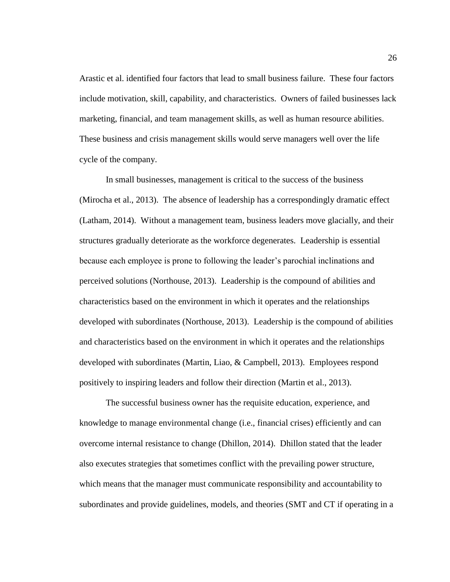Arastic et al. identified four factors that lead to small business failure. These four factors include motivation, skill, capability, and characteristics. Owners of failed businesses lack marketing, financial, and team management skills, as well as human resource abilities. These business and crisis management skills would serve managers well over the life cycle of the company.

In small businesses, management is critical to the success of the business (Mirocha et al., 2013). The absence of leadership has a correspondingly dramatic effect (Latham, 2014). Without a management team, business leaders move glacially, and their structures gradually deteriorate as the workforce degenerates. Leadership is essential because each employee is prone to following the leader's parochial inclinations and perceived solutions (Northouse, 2013). Leadership is the compound of abilities and characteristics based on the environment in which it operates and the relationships developed with subordinates (Northouse, 2013). Leadership is the compound of abilities and characteristics based on the environment in which it operates and the relationships developed with subordinates (Martin, Liao, & Campbell, 2013). Employees respond positively to inspiring leaders and follow their direction (Martin et al., 2013).

The successful business owner has the requisite education, experience, and knowledge to manage environmental change (i.e., financial crises) efficiently and can overcome internal resistance to change (Dhillon, 2014). Dhillon stated that the leader also executes strategies that sometimes conflict with the prevailing power structure, which means that the manager must communicate responsibility and accountability to subordinates and provide guidelines, models, and theories (SMT and CT if operating in a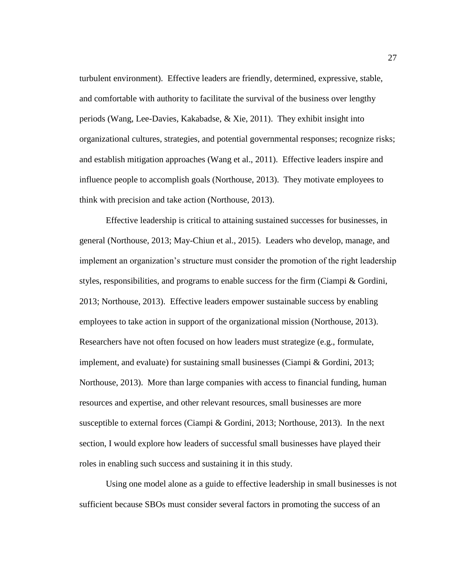turbulent environment). Effective leaders are friendly, determined, expressive, stable, and comfortable with authority to facilitate the survival of the business over lengthy periods (Wang, Lee-Davies, Kakabadse, & Xie, 2011). They exhibit insight into organizational cultures, strategies, and potential governmental responses; recognize risks; and establish mitigation approaches (Wang et al., 2011). Effective leaders inspire and influence people to accomplish goals (Northouse, 2013). They motivate employees to think with precision and take action (Northouse, 2013).

Effective leadership is critical to attaining sustained successes for businesses, in general (Northouse, 2013; May-Chiun et al., 2015). Leaders who develop, manage, and implement an organization's structure must consider the promotion of the right leadership styles, responsibilities, and programs to enable success for the firm (Ciampi & Gordini, 2013; Northouse, 2013). Effective leaders empower sustainable success by enabling employees to take action in support of the organizational mission (Northouse, 2013). Researchers have not often focused on how leaders must strategize (e.g., formulate, implement, and evaluate) for sustaining small businesses (Ciampi & Gordini, 2013; Northouse, 2013). More than large companies with access to financial funding, human resources and expertise, and other relevant resources, small businesses are more susceptible to external forces (Ciampi & Gordini, 2013; Northouse, 2013). In the next section, I would explore how leaders of successful small businesses have played their roles in enabling such success and sustaining it in this study.

Using one model alone as a guide to effective leadership in small businesses is not sufficient because SBOs must consider several factors in promoting the success of an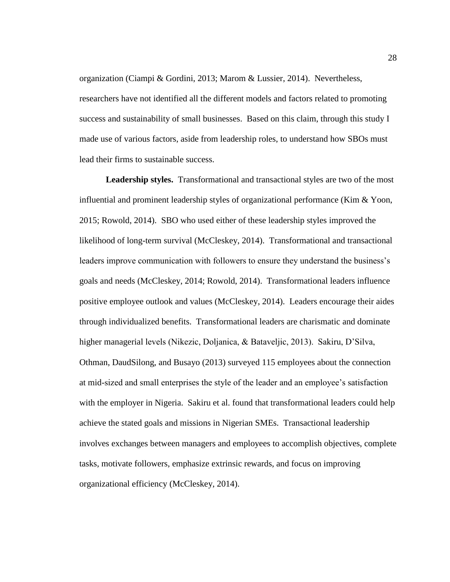organization (Ciampi & Gordini, 2013; Marom & Lussier, 2014). Nevertheless, researchers have not identified all the different models and factors related to promoting success and sustainability of small businesses. Based on this claim, through this study I made use of various factors, aside from leadership roles, to understand how SBOs must lead their firms to sustainable success.

**Leadership styles.** Transformational and transactional styles are two of the most influential and prominent leadership styles of organizational performance (Kim & Yoon, 2015; Rowold, 2014). SBO who used either of these leadership styles improved the likelihood of long-term survival (McCleskey, 2014). Transformational and transactional leaders improve communication with followers to ensure they understand the business's goals and needs (McCleskey, 2014; Rowold, 2014). Transformational leaders influence positive employee outlook and values (McCleskey, 2014). Leaders encourage their aides through individualized benefits. Transformational leaders are charismatic and dominate higher managerial levels (Nikezic, Doljanica, & Bataveljic, 2013). Sakiru, D'Silva, Othman, DaudSilong, and Busayo (2013) surveyed 115 employees about the connection at mid-sized and small enterprises the style of the leader and an employee's satisfaction with the employer in Nigeria. Sakiru et al. found that transformational leaders could help achieve the stated goals and missions in Nigerian SMEs. Transactional leadership involves exchanges between managers and employees to accomplish objectives, complete tasks, motivate followers, emphasize extrinsic rewards, and focus on improving organizational efficiency (McCleskey, 2014).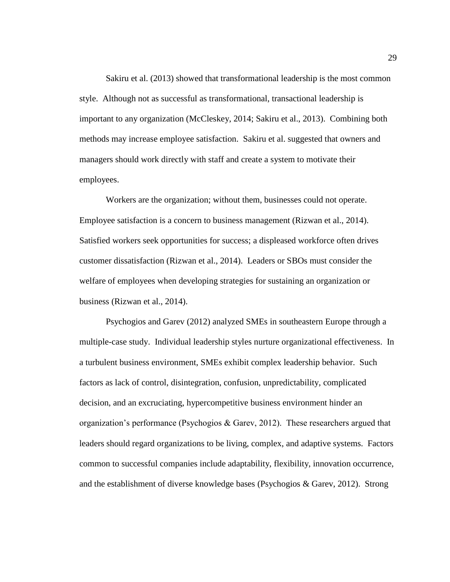Sakiru et al. (2013) showed that transformational leadership is the most common style. Although not as successful as transformational, transactional leadership is important to any organization (McCleskey, 2014; Sakiru et al., 2013). Combining both methods may increase employee satisfaction. Sakiru et al. suggested that owners and managers should work directly with staff and create a system to motivate their employees.

Workers are the organization; without them, businesses could not operate. Employee satisfaction is a concern to business management (Rizwan et al., 2014). Satisfied workers seek opportunities for success; a displeased workforce often drives customer dissatisfaction (Rizwan et al., 2014). Leaders or SBOs must consider the welfare of employees when developing strategies for sustaining an organization or business (Rizwan et al., 2014).

Psychogios and Garev (2012) analyzed SMEs in southeastern Europe through a multiple-case study. Individual leadership styles nurture organizational effectiveness. In a turbulent business environment, SMEs exhibit complex leadership behavior. Such factors as lack of control, disintegration, confusion, unpredictability, complicated decision, and an excruciating, hypercompetitive business environment hinder an organization's performance (Psychogios & Garev, 2012). These researchers argued that leaders should regard organizations to be living, complex, and adaptive systems. Factors common to successful companies include adaptability, flexibility, innovation occurrence, and the establishment of diverse knowledge bases (Psychogios & Garev, 2012). Strong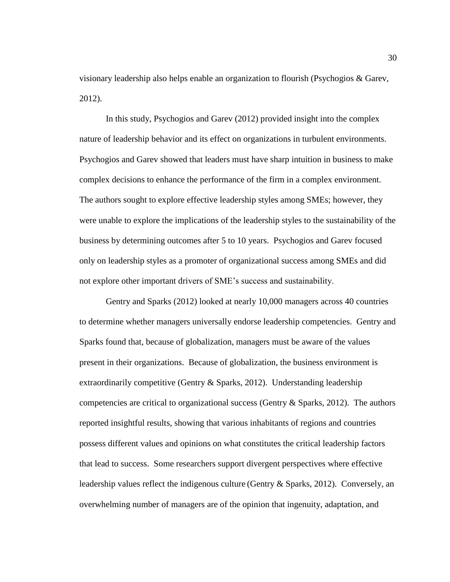visionary leadership also helps enable an organization to flourish (Psychogios & Garev, 2012).

In this study, Psychogios and Garev (2012) provided insight into the complex nature of leadership behavior and its effect on organizations in turbulent environments. Psychogios and Garev showed that leaders must have sharp intuition in business to make complex decisions to enhance the performance of the firm in a complex environment. The authors sought to explore effective leadership styles among SMEs; however, they were unable to explore the implications of the leadership styles to the sustainability of the business by determining outcomes after 5 to 10 years. Psychogios and Garev focused only on leadership styles as a promoter of organizational success among SMEs and did not explore other important drivers of SME's success and sustainability.

Gentry and Sparks (2012) looked at nearly 10,000 managers across 40 countries to determine whether managers universally endorse leadership competencies. Gentry and Sparks found that, because of globalization, managers must be aware of the values present in their organizations. Because of globalization, the business environment is extraordinarily competitive (Gentry & Sparks, 2012). Understanding leadership competencies are critical to organizational success (Gentry  $\&$  Sparks, 2012). The authors reported insightful results, showing that various inhabitants of regions and countries possess different values and opinions on what constitutes the critical leadership factors that lead to success. Some researchers support divergent perspectives where effective leadership values reflect the indigenous culture (Gentry & Sparks, 2012). Conversely, an overwhelming number of managers are of the opinion that ingenuity, adaptation, and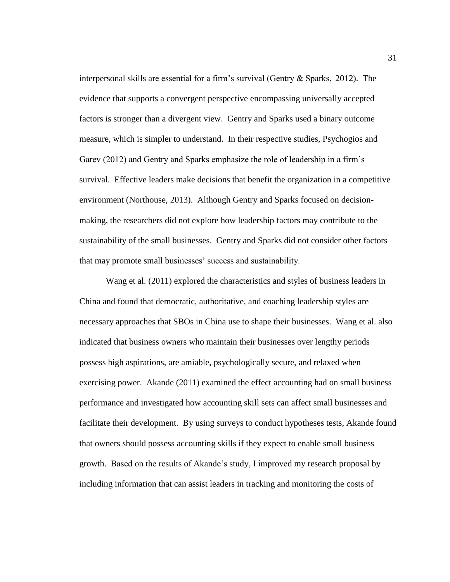interpersonal skills are essential for a firm's survival (Gentry & Sparks, 2012). The evidence that supports a convergent perspective encompassing universally accepted factors is stronger than a divergent view. Gentry and Sparks used a binary outcome measure, which is simpler to understand. In their respective studies, Psychogios and Garev (2012) and Gentry and Sparks emphasize the role of leadership in a firm's survival. Effective leaders make decisions that benefit the organization in a competitive environment (Northouse, 2013). Although Gentry and Sparks focused on decisionmaking, the researchers did not explore how leadership factors may contribute to the sustainability of the small businesses. Gentry and Sparks did not consider other factors that may promote small businesses' success and sustainability.

Wang et al. (2011) explored the characteristics and styles of business leaders in China and found that democratic, authoritative, and coaching leadership styles are necessary approaches that SBOs in China use to shape their businesses. Wang et al. also indicated that business owners who maintain their businesses over lengthy periods possess high aspirations, are amiable, psychologically secure, and relaxed when exercising power. Akande (2011) examined the effect accounting had on small business performance and investigated how accounting skill sets can affect small businesses and facilitate their development. By using surveys to conduct hypotheses tests, Akande found that owners should possess accounting skills if they expect to enable small business growth. Based on the results of Akande's study, I improved my research proposal by including information that can assist leaders in tracking and monitoring the costs of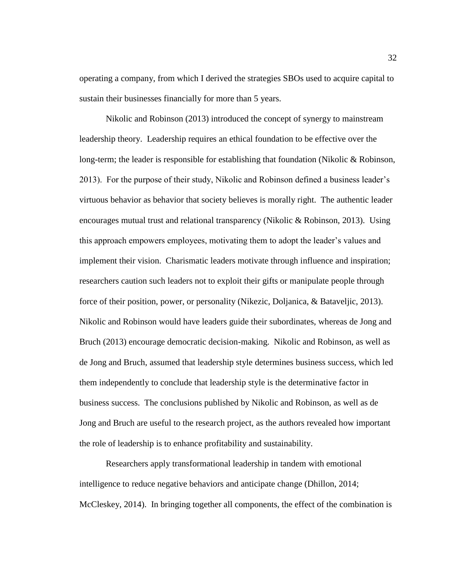operating a company, from which I derived the strategies SBOs used to acquire capital to sustain their businesses financially for more than 5 years.

Nikolic and Robinson (2013) introduced the concept of synergy to mainstream leadership theory. Leadership requires an ethical foundation to be effective over the long-term; the leader is responsible for establishing that foundation (Nikolic & Robinson, 2013). For the purpose of their study, Nikolic and Robinson defined a business leader's virtuous behavior as behavior that society believes is morally right. The authentic leader encourages mutual trust and relational transparency (Nikolic & Robinson, 2013). Using this approach empowers employees, motivating them to adopt the leader's values and implement their vision. Charismatic leaders motivate through influence and inspiration; researchers caution such leaders not to exploit their gifts or manipulate people through force of their position, power, or personality (Nikezic, Doljanica, & Bataveljic, 2013). Nikolic and Robinson would have leaders guide their subordinates, whereas de Jong and Bruch (2013) encourage democratic decision-making. Nikolic and Robinson, as well as de Jong and Bruch, assumed that leadership style determines business success, which led them independently to conclude that leadership style is the determinative factor in business success. The conclusions published by Nikolic and Robinson, as well as de Jong and Bruch are useful to the research project, as the authors revealed how important the role of leadership is to enhance profitability and sustainability.

Researchers apply transformational leadership in tandem with emotional intelligence to reduce negative behaviors and anticipate change (Dhillon, 2014; McCleskey, 2014). In bringing together all components, the effect of the combination is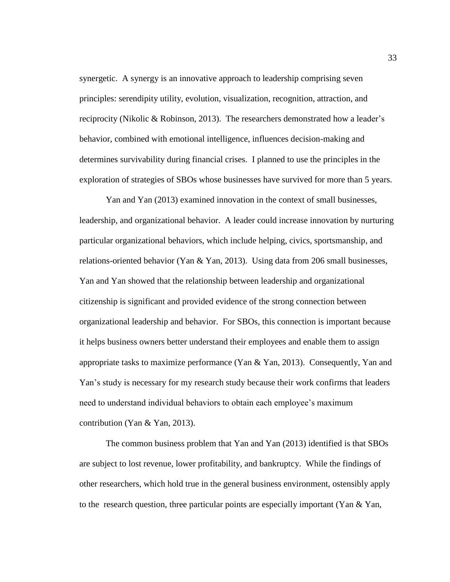synergetic. A synergy is an innovative approach to leadership comprising seven principles: serendipity utility, evolution, visualization, recognition, attraction, and reciprocity (Nikolic & Robinson, 2013). The researchers demonstrated how a leader's behavior, combined with emotional intelligence, influences decision-making and determines survivability during financial crises. I planned to use the principles in the exploration of strategies of SBOs whose businesses have survived for more than 5 years.

Yan and Yan (2013) examined innovation in the context of small businesses, leadership, and organizational behavior. A leader could increase innovation by nurturing particular organizational behaviors, which include helping, civics, sportsmanship, and relations-oriented behavior (Yan  $\&$  Yan, 2013). Using data from 206 small businesses, Yan and Yan showed that the relationship between leadership and organizational citizenship is significant and provided evidence of the strong connection between organizational leadership and behavior. For SBOs, this connection is important because it helps business owners better understand their employees and enable them to assign appropriate tasks to maximize performance (Yan  $&$  Yan, 2013). Consequently, Yan and Yan's study is necessary for my research study because their work confirms that leaders need to understand individual behaviors to obtain each employee's maximum contribution (Yan & Yan, 2013).

The common business problem that Yan and Yan (2013) identified is that SBOs are subject to lost revenue, lower profitability, and bankruptcy. While the findings of other researchers, which hold true in the general business environment, ostensibly apply to the research question, three particular points are especially important (Yan  $\&$  Yan,

33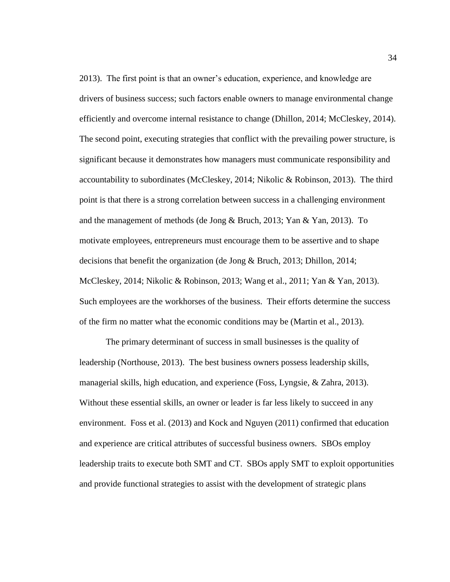2013). The first point is that an owner's education, experience, and knowledge are drivers of business success; such factors enable owners to manage environmental change efficiently and overcome internal resistance to change (Dhillon, 2014; McCleskey, 2014). The second point, executing strategies that conflict with the prevailing power structure, is significant because it demonstrates how managers must communicate responsibility and accountability to subordinates (McCleskey, 2014; Nikolic & Robinson, 2013). The third point is that there is a strong correlation between success in a challenging environment and the management of methods (de Jong & Bruch, 2013; Yan & Yan, 2013). To motivate employees, entrepreneurs must encourage them to be assertive and to shape decisions that benefit the organization (de Jong & Bruch, 2013; Dhillon, 2014; McCleskey, 2014; Nikolic & Robinson, 2013; Wang et al., 2011; Yan & Yan, 2013). Such employees are the workhorses of the business. Their efforts determine the success of the firm no matter what the economic conditions may be (Martin et al., 2013).

The primary determinant of success in small businesses is the quality of leadership (Northouse, 2013). The best business owners possess leadership skills, managerial skills, high education, and experience (Foss, Lyngsie, & Zahra, 2013). Without these essential skills, an owner or leader is far less likely to succeed in any environment. Foss et al. (2013) and Kock and Nguyen (2011) confirmed that education and experience are critical attributes of successful business owners. SBOs employ leadership traits to execute both SMT and CT. SBOs apply SMT to exploit opportunities and provide functional strategies to assist with the development of strategic plans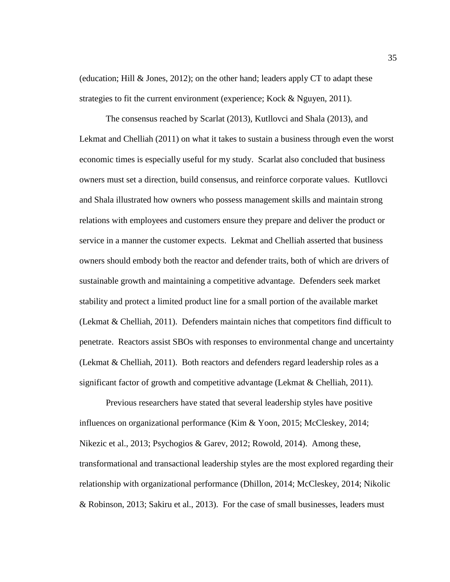(education; Hill & Jones, 2012); on the other hand; leaders apply CT to adapt these strategies to fit the current environment (experience; Kock & Nguyen, 2011).

The consensus reached by Scarlat (2013), Kutllovci and Shala (2013), and Lekmat and Chelliah (2011) on what it takes to sustain a business through even the worst economic times is especially useful for my study. Scarlat also concluded that business owners must set a direction, build consensus, and reinforce corporate values. Kutllovci and Shala illustrated how owners who possess management skills and maintain strong relations with employees and customers ensure they prepare and deliver the product or service in a manner the customer expects. Lekmat and Chelliah asserted that business owners should embody both the reactor and defender traits, both of which are drivers of sustainable growth and maintaining a competitive advantage. Defenders seek market stability and protect a limited product line for a small portion of the available market (Lekmat & Chelliah, 2011). Defenders maintain niches that competitors find difficult to penetrate. Reactors assist SBOs with responses to environmental change and uncertainty (Lekmat  $& Chelliah, 2011$ ). Both reactors and defenders regard leadership roles as a significant factor of growth and competitive advantage (Lekmat  $& Chelliah, 2011$ ).

Previous researchers have stated that several leadership styles have positive influences on organizational performance (Kim & Yoon, 2015; McCleskey, 2014; Nikezic et al., 2013; Psychogios & Garev, 2012; Rowold, 2014). Among these, transformational and transactional leadership styles are the most explored regarding their relationship with organizational performance (Dhillon, 2014; McCleskey, 2014; Nikolic & Robinson, 2013; Sakiru et al., 2013). For the case of small businesses, leaders must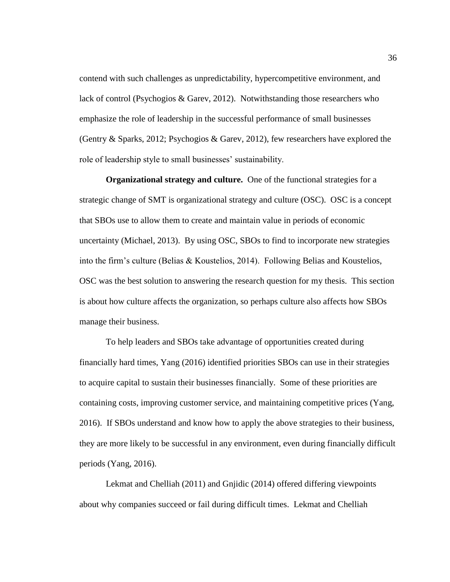contend with such challenges as unpredictability, hypercompetitive environment, and lack of control (Psychogios & Garev, 2012). Notwithstanding those researchers who emphasize the role of leadership in the successful performance of small businesses (Gentry & Sparks, 2012; Psychogios & Garev, 2012), few researchers have explored the role of leadership style to small businesses' sustainability.

**Organizational strategy and culture.** One of the functional strategies for a strategic change of SMT is organizational strategy and culture (OSC). OSC is a concept that SBOs use to allow them to create and maintain value in periods of economic uncertainty (Michael, 2013). By using OSC, SBOs to find to incorporate new strategies into the firm's culture (Belias & Koustelios, 2014). Following Belias and Koustelios, OSC was the best solution to answering the research question for my thesis. This section is about how culture affects the organization, so perhaps culture also affects how SBOs manage their business.

To help leaders and SBOs take advantage of opportunities created during financially hard times, Yang (2016) identified priorities SBOs can use in their strategies to acquire capital to sustain their businesses financially. Some of these priorities are containing costs, improving customer service, and maintaining competitive prices (Yang, 2016). If SBOs understand and know how to apply the above strategies to their business, they are more likely to be successful in any environment, even during financially difficult periods (Yang, 2016).

Lekmat and Chelliah (2011) and Gnjidic (2014) offered differing viewpoints about why companies succeed or fail during difficult times. Lekmat and Chelliah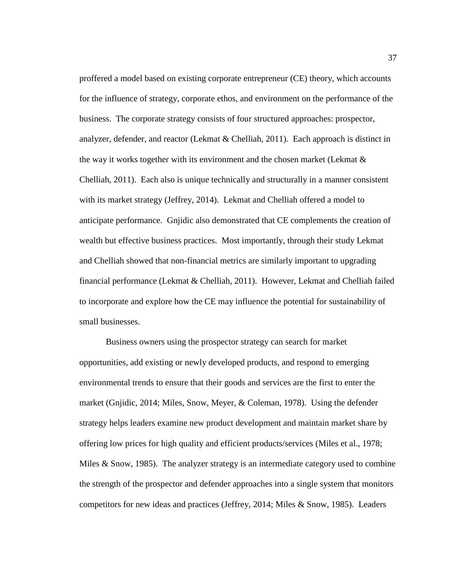proffered a model based on existing corporate entrepreneur (CE) theory, which accounts for the influence of strategy, corporate ethos, and environment on the performance of the business. The corporate strategy consists of four structured approaches: prospector, analyzer, defender, and reactor (Lekmat & Chelliah, 2011). Each approach is distinct in the way it works together with its environment and the chosen market (Lekmat  $\&$ Chelliah, 2011). Each also is unique technically and structurally in a manner consistent with its market strategy (Jeffrey, 2014). Lekmat and Chelliah offered a model to anticipate performance. Gnjidic also demonstrated that CE complements the creation of wealth but effective business practices. Most importantly, through their study Lekmat and Chelliah showed that non-financial metrics are similarly important to upgrading financial performance (Lekmat & Chelliah, 2011). However, Lekmat and Chelliah failed to incorporate and explore how the CE may influence the potential for sustainability of small businesses.

Business owners using the prospector strategy can search for market opportunities, add existing or newly developed products, and respond to emerging environmental trends to ensure that their goods and services are the first to enter the market (Gnjidic, 2014; Miles, Snow, Meyer, & Coleman, 1978). Using the defender strategy helps leaders examine new product development and maintain market share by offering low prices for high quality and efficient products/services (Miles et al., 1978; Miles & Snow, 1985). The analyzer strategy is an intermediate category used to combine the strength of the prospector and defender approaches into a single system that monitors competitors for new ideas and practices (Jeffrey, 2014; Miles & Snow, 1985). Leaders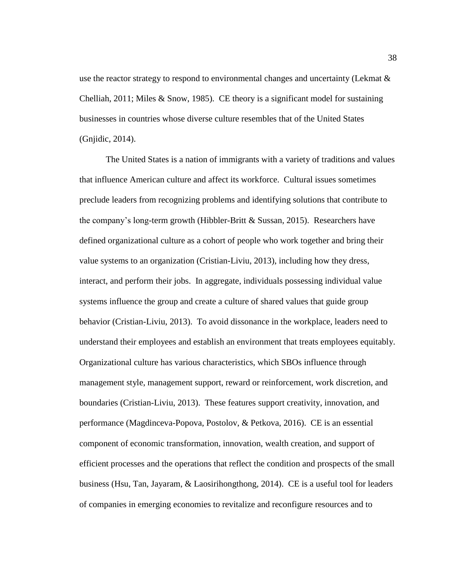use the reactor strategy to respond to environmental changes and uncertainty (Lekmat & Chelliah,  $2011$ ; Miles & Snow, 1985). CE theory is a significant model for sustaining businesses in countries whose diverse culture resembles that of the United States (Gnjidic, 2014).

The United States is a nation of immigrants with a variety of traditions and values that influence American culture and affect its workforce. Cultural issues sometimes preclude leaders from recognizing problems and identifying solutions that contribute to the company's long-term growth (Hibbler-Britt & Sussan, 2015). Researchers have defined organizational culture as a cohort of people who work together and bring their value systems to an organization (Cristian-Liviu, 2013), including how they dress, interact, and perform their jobs. In aggregate, individuals possessing individual value systems influence the group and create a culture of shared values that guide group behavior (Cristian-Liviu, 2013). To avoid dissonance in the workplace, leaders need to understand their employees and establish an environment that treats employees equitably. Organizational culture has various characteristics, which SBOs influence through management style, management support, reward or reinforcement, work discretion, and boundaries (Cristian-Liviu, 2013). These features support creativity, innovation, and performance (Magdinceva-Popova, Postolov, & Petkova, 2016). CE is an essential component of economic transformation, innovation, wealth creation, and support of efficient processes and the operations that reflect the condition and prospects of the small business (Hsu, Tan, Jayaram, & Laosirihongthong, 2014). CE is a useful tool for leaders of companies in emerging economies to revitalize and reconfigure resources and to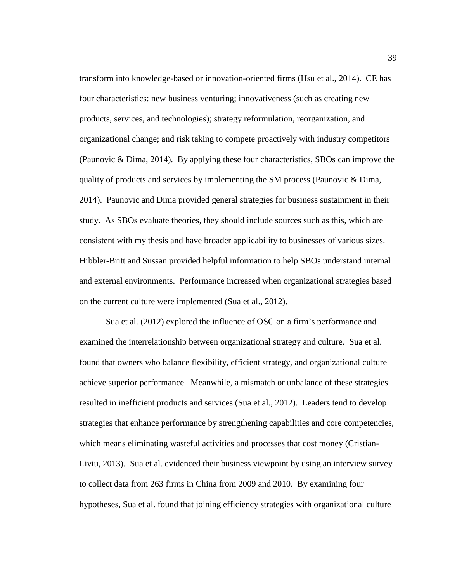transform into knowledge-based or innovation-oriented firms (Hsu et al., 2014). CE has four characteristics: new business venturing; innovativeness (such as creating new products, services, and technologies); strategy reformulation, reorganization, and organizational change; and risk taking to compete proactively with industry competitors (Paunovic & Dima, 2014). By applying these four characteristics, SBOs can improve the quality of products and services by implementing the SM process (Paunovic & Dima, 2014). Paunovic and Dima provided general strategies for business sustainment in their study. As SBOs evaluate theories, they should include sources such as this, which are consistent with my thesis and have broader applicability to businesses of various sizes. Hibbler-Britt and Sussan provided helpful information to help SBOs understand internal and external environments. Performance increased when organizational strategies based on the current culture were implemented (Sua et al., 2012).

Sua et al. (2012) explored the influence of OSC on a firm's performance and examined the interrelationship between organizational strategy and culture. Sua et al. found that owners who balance flexibility, efficient strategy, and organizational culture achieve superior performance. Meanwhile, a mismatch or unbalance of these strategies resulted in inefficient products and services (Sua et al., 2012). Leaders tend to develop strategies that enhance performance by strengthening capabilities and core competencies, which means eliminating wasteful activities and processes that cost money (Cristian-Liviu, 2013). Sua et al. evidenced their business viewpoint by using an interview survey to collect data from 263 firms in China from 2009 and 2010. By examining four hypotheses, Sua et al. found that joining efficiency strategies with organizational culture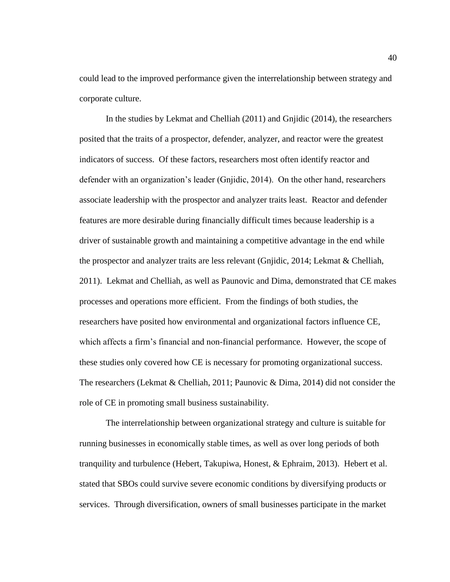could lead to the improved performance given the interrelationship between strategy and corporate culture.

In the studies by Lekmat and Chelliah (2011) and Gnjidic (2014), the researchers posited that the traits of a prospector, defender, analyzer, and reactor were the greatest indicators of success. Of these factors, researchers most often identify reactor and defender with an organization's leader (Gnjidic, 2014). On the other hand, researchers associate leadership with the prospector and analyzer traits least. Reactor and defender features are more desirable during financially difficult times because leadership is a driver of sustainable growth and maintaining a competitive advantage in the end while the prospector and analyzer traits are less relevant (Gnjidic, 2014; Lekmat & Chelliah, 2011). Lekmat and Chelliah, as well as Paunovic and Dima, demonstrated that CE makes processes and operations more efficient. From the findings of both studies, the researchers have posited how environmental and organizational factors influence CE, which affects a firm's financial and non-financial performance. However, the scope of these studies only covered how CE is necessary for promoting organizational success. The researchers (Lekmat & Chelliah, 2011; Paunovic & Dima, 2014) did not consider the role of CE in promoting small business sustainability.

The interrelationship between organizational strategy and culture is suitable for running businesses in economically stable times, as well as over long periods of both tranquility and turbulence (Hebert, Takupiwa, Honest, & Ephraim, 2013). Hebert et al. stated that SBOs could survive severe economic conditions by diversifying products or services. Through diversification, owners of small businesses participate in the market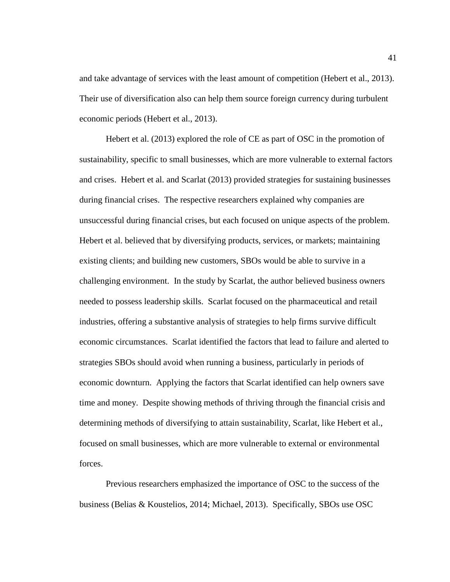and take advantage of services with the least amount of competition (Hebert et al., 2013). Their use of diversification also can help them source foreign currency during turbulent economic periods (Hebert et al., 2013).

Hebert et al. (2013) explored the role of CE as part of OSC in the promotion of sustainability, specific to small businesses, which are more vulnerable to external factors and crises. Hebert et al. and Scarlat (2013) provided strategies for sustaining businesses during financial crises. The respective researchers explained why companies are unsuccessful during financial crises, but each focused on unique aspects of the problem. Hebert et al. believed that by diversifying products, services, or markets; maintaining existing clients; and building new customers, SBOs would be able to survive in a challenging environment. In the study by Scarlat, the author believed business owners needed to possess leadership skills. Scarlat focused on the pharmaceutical and retail industries, offering a substantive analysis of strategies to help firms survive difficult economic circumstances. Scarlat identified the factors that lead to failure and alerted to strategies SBOs should avoid when running a business, particularly in periods of economic downturn. Applying the factors that Scarlat identified can help owners save time and money. Despite showing methods of thriving through the financial crisis and determining methods of diversifying to attain sustainability, Scarlat, like Hebert et al., focused on small businesses, which are more vulnerable to external or environmental forces.

Previous researchers emphasized the importance of OSC to the success of the business (Belias & Koustelios, 2014; Michael, 2013). Specifically, SBOs use OSC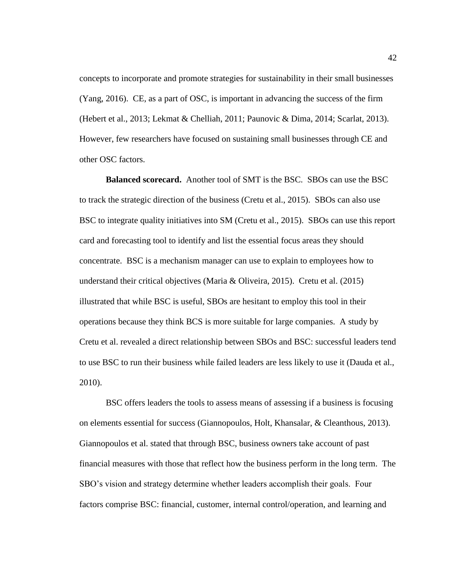concepts to incorporate and promote strategies for sustainability in their small businesses (Yang, 2016). CE, as a part of OSC, is important in advancing the success of the firm (Hebert et al., 2013; Lekmat & Chelliah, 2011; Paunovic & Dima, 2014; Scarlat, 2013). However, few researchers have focused on sustaining small businesses through CE and other OSC factors.

**Balanced scorecard.** Another tool of SMT is the BSC. SBOs can use the BSC to track the strategic direction of the business (Cretu et al., 2015). SBOs can also use BSC to integrate quality initiatives into SM (Cretu et al., 2015). SBOs can use this report card and forecasting tool to identify and list the essential focus areas they should concentrate. BSC is a mechanism manager can use to explain to employees how to understand their critical objectives (Maria & Oliveira, 2015). Cretu et al. (2015) illustrated that while BSC is useful, SBOs are hesitant to employ this tool in their operations because they think BCS is more suitable for large companies. A study by Cretu et al. revealed a direct relationship between SBOs and BSC: successful leaders tend to use BSC to run their business while failed leaders are less likely to use it (Dauda et al., 2010).

BSC offers leaders the tools to assess means of assessing if a business is focusing on elements essential for success (Giannopoulos, Holt, Khansalar, & Cleanthous, 2013). Giannopoulos et al. stated that through BSC, business owners take account of past financial measures with those that reflect how the business perform in the long term. The SBO's vision and strategy determine whether leaders accomplish their goals. Four factors comprise BSC: financial, customer, internal control/operation, and learning and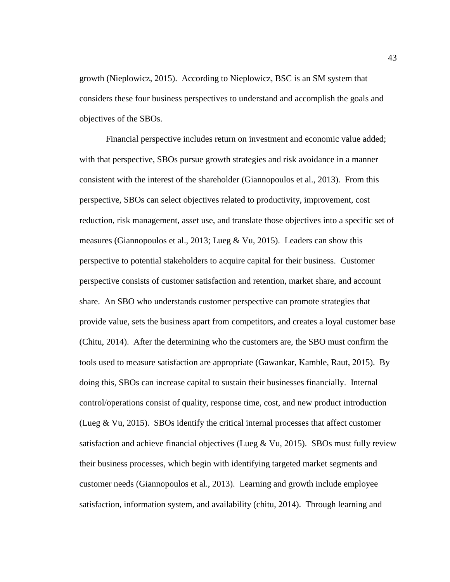growth (Nieplowicz, 2015). According to Nieplowicz, BSC is an SM system that considers these four business perspectives to understand and accomplish the goals and objectives of the SBOs.

Financial perspective includes return on investment and economic value added; with that perspective, SBOs pursue growth strategies and risk avoidance in a manner consistent with the interest of the shareholder (Giannopoulos et al., 2013). From this perspective, SBOs can select objectives related to productivity, improvement, cost reduction, risk management, asset use, and translate those objectives into a specific set of measures (Giannopoulos et al., 2013; Lueg & Vu, 2015). Leaders can show this perspective to potential stakeholders to acquire capital for their business. Customer perspective consists of customer satisfaction and retention, market share, and account share. An SBO who understands customer perspective can promote strategies that provide value, sets the business apart from competitors, and creates a loyal customer base (Chitu, 2014). After the determining who the customers are, the SBO must confirm the tools used to measure satisfaction are appropriate (Gawankar, Kamble, Raut, 2015). By doing this, SBOs can increase capital to sustain their businesses financially. Internal control/operations consist of quality, response time, cost, and new product introduction (Lueg & Vu, 2015). SBOs identify the critical internal processes that affect customer satisfaction and achieve financial objectives (Lueg & Vu, 2015). SBOs must fully review their business processes, which begin with identifying targeted market segments and customer needs (Giannopoulos et al., 2013). Learning and growth include employee satisfaction, information system, and availability (chitu, 2014). Through learning and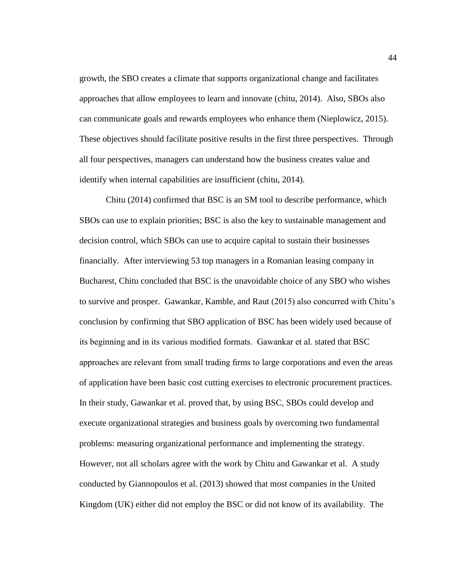growth, the SBO creates a climate that supports organizational change and facilitates approaches that allow employees to learn and innovate (chitu, 2014). Also, SBOs also can communicate goals and rewards employees who enhance them (Nieplowicz, 2015). These objectives should facilitate positive results in the first three perspectives. Through all four perspectives, managers can understand how the business creates value and identify when internal capabilities are insufficient (chitu, 2014).

Chitu (2014) confirmed that BSC is an SM tool to describe performance, which SBOs can use to explain priorities; BSC is also the key to sustainable management and decision control, which SBOs can use to acquire capital to sustain their businesses financially. After interviewing 53 top managers in a Romanian leasing company in Bucharest, Chitu concluded that BSC is the unavoidable choice of any SBO who wishes to survive and prosper. Gawankar, Kamble, and Raut (2015) also concurred with Chitu's conclusion by confirming that SBO application of BSC has been widely used because of its beginning and in its various modified formats. Gawankar et al. stated that BSC approaches are relevant from small trading firms to large corporations and even the areas of application have been basic cost cutting exercises to electronic procurement practices. In their study, Gawankar et al. proved that, by using BSC, SBOs could develop and execute organizational strategies and business goals by overcoming two fundamental problems: measuring organizational performance and implementing the strategy. However, not all scholars agree with the work by Chitu and Gawankar et al. A study conducted by Giannopoulos et al. (2013) showed that most companies in the United Kingdom (UK) either did not employ the BSC or did not know of its availability. The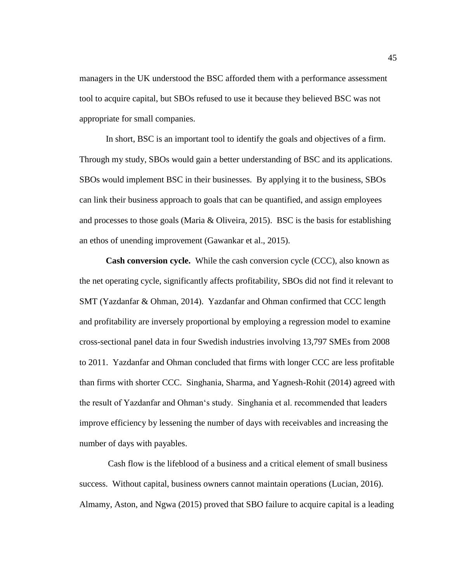managers in the UK understood the BSC afforded them with a performance assessment tool to acquire capital, but SBOs refused to use it because they believed BSC was not appropriate for small companies.

In short, BSC is an important tool to identify the goals and objectives of a firm. Through my study, SBOs would gain a better understanding of BSC and its applications. SBOs would implement BSC in their businesses. By applying it to the business, SBOs can link their business approach to goals that can be quantified, and assign employees and processes to those goals (Maria & Oliveira, 2015). BSC is the basis for establishing an ethos of unending improvement (Gawankar et al., 2015).

**Cash conversion cycle.** While the cash conversion cycle (CCC), also known as the net operating cycle, significantly affects profitability, SBOs did not find it relevant to SMT (Yazdanfar & Ohman, 2014). Yazdanfar and Ohman confirmed that CCC length and profitability are inversely proportional by employing a regression model to examine cross-sectional panel data in four Swedish industries involving 13,797 SMEs from 2008 to 2011. Yazdanfar and Ohman concluded that firms with longer CCC are less profitable than firms with shorter CCC. Singhania, Sharma, and Yagnesh-Rohit (2014) agreed with the result of Yazdanfar and Ohman's study. Singhania et al. recommended that leaders improve efficiency by lessening the number of days with receivables and increasing the number of days with payables.

Cash flow is the lifeblood of a business and a critical element of small business success. Without capital, business owners cannot maintain operations (Lucian, 2016). Almamy, Aston, and Ngwa (2015) proved that SBO failure to acquire capital is a leading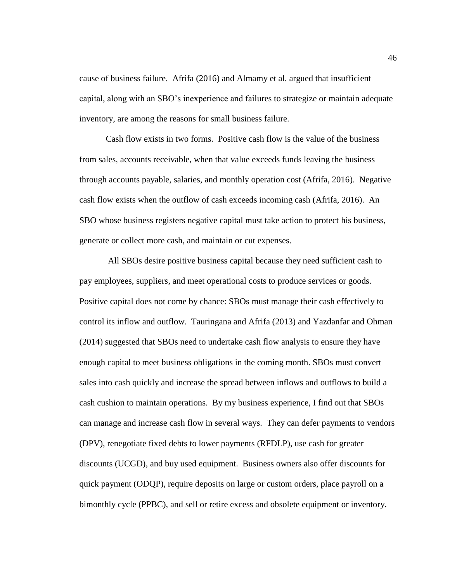cause of business failure. Afrifa (2016) and Almamy et al. argued that insufficient capital, along with an SBO's inexperience and failures to strategize or maintain adequate inventory, are among the reasons for small business failure.

Cash flow exists in two forms. Positive cash flow is the value of the business from sales, accounts receivable, when that value exceeds funds leaving the business through accounts payable, salaries, and monthly operation cost (Afrifa, 2016). Negative cash flow exists when the outflow of cash exceeds incoming cash (Afrifa, 2016). An SBO whose business registers negative capital must take action to protect his business, generate or collect more cash, and maintain or cut expenses.

All SBOs desire positive business capital because they need sufficient cash to pay employees, suppliers, and meet operational costs to produce services or goods. Positive capital does not come by chance: SBOs must manage their cash effectively to control its inflow and outflow. Tauringana and Afrifa (2013) and Yazdanfar and Ohman (2014) suggested that SBOs need to undertake cash flow analysis to ensure they have enough capital to meet business obligations in the coming month. SBOs must convert sales into cash quickly and increase the spread between inflows and outflows to build a cash cushion to maintain operations. By my business experience, I find out that SBOs can manage and increase cash flow in several ways. They can defer payments to vendors (DPV), renegotiate fixed debts to lower payments (RFDLP), use cash for greater discounts (UCGD), and buy used equipment. Business owners also offer discounts for quick payment (ODQP), require deposits on large or custom orders, place payroll on a bimonthly cycle (PPBC), and sell or retire excess and obsolete equipment or inventory.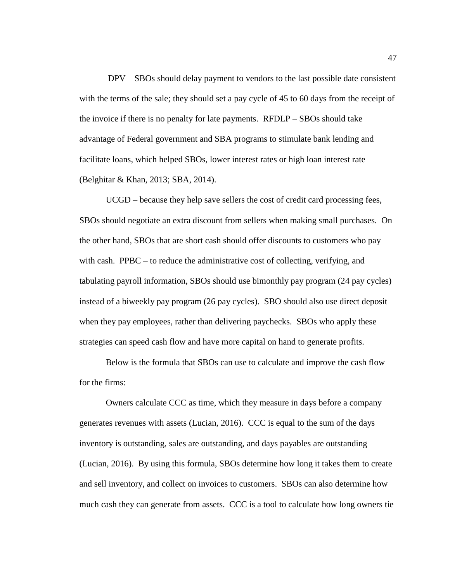DPV – SBOs should delay payment to vendors to the last possible date consistent with the terms of the sale; they should set a pay cycle of 45 to 60 days from the receipt of the invoice if there is no penalty for late payments. RFDLP – SBOs should take advantage of Federal government and SBA programs to stimulate bank lending and facilitate loans, which helped SBOs, lower interest rates or high loan interest rate (Belghitar & Khan, 2013; SBA, 2014).

UCGD – because they help save sellers the cost of credit card processing fees, SBOs should negotiate an extra discount from sellers when making small purchases. On the other hand, SBOs that are short cash should offer discounts to customers who pay with cash. PPBC – to reduce the administrative cost of collecting, verifying, and tabulating payroll information, SBOs should use bimonthly pay program (24 pay cycles) instead of a biweekly pay program (26 pay cycles). SBO should also use direct deposit when they pay employees, rather than delivering paychecks. SBOs who apply these strategies can speed cash flow and have more capital on hand to generate profits.

Below is the formula that SBOs can use to calculate and improve the cash flow for the firms:

Owners calculate CCC as time, which they measure in days before a company generates revenues with assets (Lucian, 2016). CCC is equal to the sum of the days inventory is outstanding, sales are outstanding, and days payables are outstanding (Lucian, 2016). By using this formula, SBOs determine how long it takes them to create and sell inventory, and collect on invoices to customers. SBOs can also determine how much cash they can generate from assets. CCC is a tool to calculate how long owners tie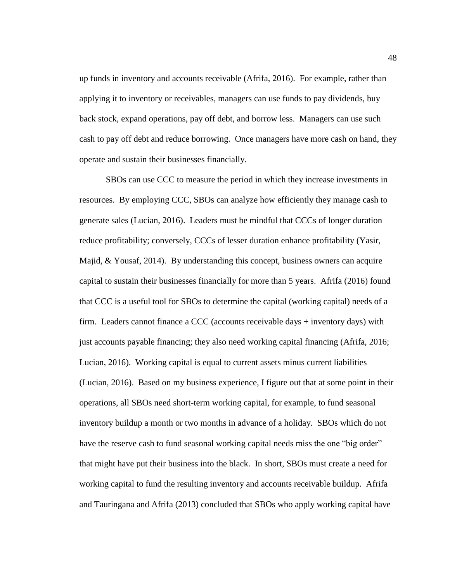up funds in inventory and accounts receivable (Afrifa, 2016). For example, rather than applying it to inventory or receivables, managers can use funds to pay dividends, buy back stock, expand operations, pay off debt, and borrow less. Managers can use such cash to pay off debt and reduce borrowing. Once managers have more cash on hand, they operate and sustain their businesses financially.

SBOs can use CCC to measure the period in which they increase investments in resources. By employing CCC, SBOs can analyze how efficiently they manage cash to generate sales (Lucian, 2016). Leaders must be mindful that CCCs of longer duration reduce profitability; conversely, CCCs of lesser duration enhance profitability (Yasir, Majid, & Yousaf, 2014). By understanding this concept, business owners can acquire capital to sustain their businesses financially for more than 5 years. Afrifa (2016) found that CCC is a useful tool for SBOs to determine the capital (working capital) needs of a firm. Leaders cannot finance a CCC (accounts receivable days + inventory days) with just accounts payable financing; they also need working capital financing (Afrifa, 2016; Lucian, 2016). Working capital is equal to current assets minus current liabilities (Lucian, 2016). Based on my business experience, I figure out that at some point in their operations, all SBOs need short-term working capital, for example, to fund seasonal inventory buildup a month or two months in advance of a holiday. SBOs which do not have the reserve cash to fund seasonal working capital needs miss the one "big order" that might have put their business into the black. In short, SBOs must create a need for working capital to fund the resulting inventory and accounts receivable buildup. Afrifa and Tauringana and Afrifa (2013) concluded that SBOs who apply working capital have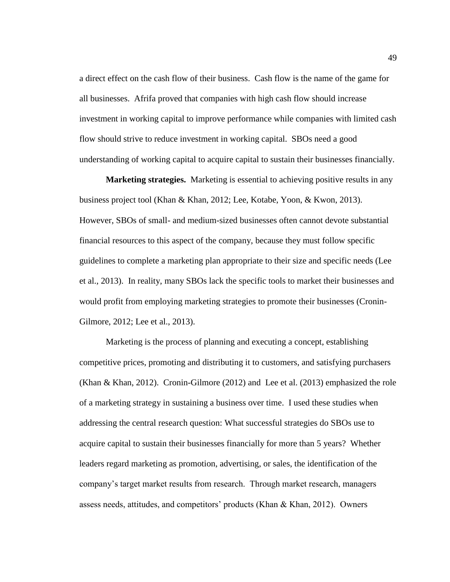a direct effect on the cash flow of their business. Cash flow is the name of the game for all businesses. Afrifa proved that companies with high cash flow should increase investment in working capital to improve performance while companies with limited cash flow should strive to reduce investment in working capital. SBOs need a good understanding of working capital to acquire capital to sustain their businesses financially.

**Marketing strategies.** Marketing is essential to achieving positive results in any business project tool (Khan & Khan, 2012; Lee, Kotabe, Yoon, & Kwon, 2013). However, SBOs of small- and medium-sized businesses often cannot devote substantial financial resources to this aspect of the company, because they must follow specific guidelines to complete a marketing plan appropriate to their size and specific needs (Lee et al., 2013). In reality, many SBOs lack the specific tools to market their businesses and would profit from employing marketing strategies to promote their businesses (Cronin-Gilmore, 2012; Lee et al., 2013).

Marketing is the process of planning and executing a concept, establishing competitive prices, promoting and distributing it to customers, and satisfying purchasers (Khan & Khan, 2012). Cronin-Gilmore (2012) and Lee et al. (2013) emphasized the role of a marketing strategy in sustaining a business over time. I used these studies when addressing the central research question: What successful strategies do SBOs use to acquire capital to sustain their businesses financially for more than 5 years? Whether leaders regard marketing as promotion, advertising, or sales, the identification of the company's target market results from research. Through market research, managers assess needs, attitudes, and competitors' products (Khan & Khan, 2012). Owners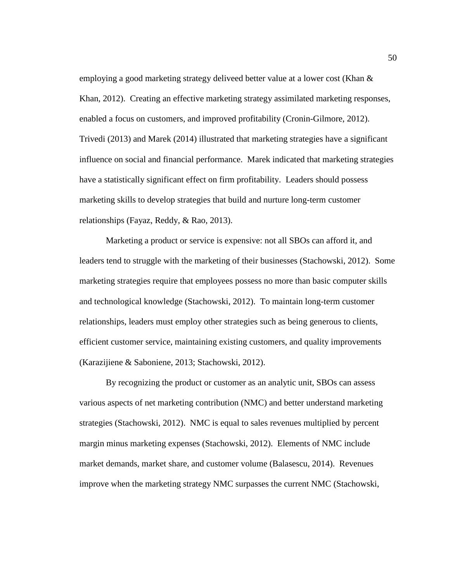employing a good marketing strategy deliveed better value at a lower cost (Khan & Khan, 2012). Creating an effective marketing strategy assimilated marketing responses, enabled a focus on customers, and improved profitability (Cronin-Gilmore, 2012). Trivedi (2013) and Marek (2014) illustrated that marketing strategies have a significant influence on social and financial performance. Marek indicated that marketing strategies have a statistically significant effect on firm profitability. Leaders should possess marketing skills to develop strategies that build and nurture long-term customer relationships (Fayaz, Reddy, & Rao, 2013).

Marketing a product or service is expensive: not all SBOs can afford it, and leaders tend to struggle with the marketing of their businesses (Stachowski, 2012). Some marketing strategies require that employees possess no more than basic computer skills and technological knowledge (Stachowski, 2012). To maintain long-term customer relationships, leaders must employ other strategies such as being generous to clients, efficient customer service, maintaining existing customers, and quality improvements (Karazijiene & Saboniene, 2013; Stachowski, 2012).

By recognizing the product or customer as an analytic unit, SBOs can assess various aspects of net marketing contribution (NMC) and better understand marketing strategies (Stachowski, 2012). NMC is equal to sales revenues multiplied by percent margin minus marketing expenses (Stachowski, 2012). Elements of NMC include market demands, market share, and customer volume (Balasescu, 2014). Revenues improve when the marketing strategy NMC surpasses the current NMC (Stachowski,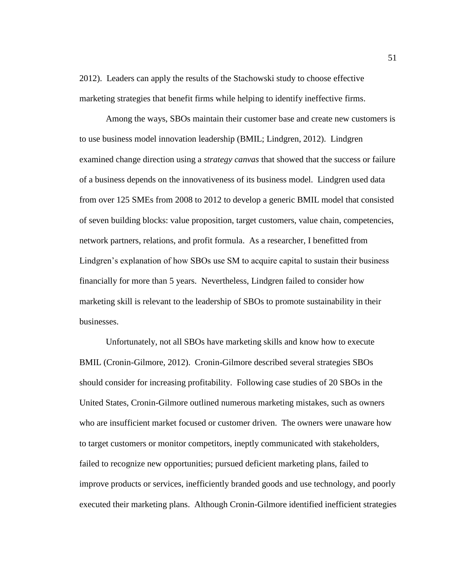2012). Leaders can apply the results of the Stachowski study to choose effective marketing strategies that benefit firms while helping to identify ineffective firms.

Among the ways, SBOs maintain their customer base and create new customers is to use business model innovation leadership (BMIL; Lindgren, 2012). Lindgren examined change direction using a *strategy canvas* that showed that the success or failure of a business depends on the innovativeness of its business model. Lindgren used data from over 125 SMEs from 2008 to 2012 to develop a generic BMIL model that consisted of seven building blocks: value proposition, target customers, value chain, competencies, network partners, relations, and profit formula. As a researcher, I benefitted from Lindgren's explanation of how SBOs use SM to acquire capital to sustain their business financially for more than 5 years. Nevertheless, Lindgren failed to consider how marketing skill is relevant to the leadership of SBOs to promote sustainability in their businesses.

Unfortunately, not all SBOs have marketing skills and know how to execute BMIL (Cronin-Gilmore, 2012). Cronin-Gilmore described several strategies SBOs should consider for increasing profitability. Following case studies of 20 SBOs in the United States, Cronin-Gilmore outlined numerous marketing mistakes, such as owners who are insufficient market focused or customer driven. The owners were unaware how to target customers or monitor competitors, ineptly communicated with stakeholders, failed to recognize new opportunities; pursued deficient marketing plans, failed to improve products or services, inefficiently branded goods and use technology, and poorly executed their marketing plans. Although Cronin-Gilmore identified inefficient strategies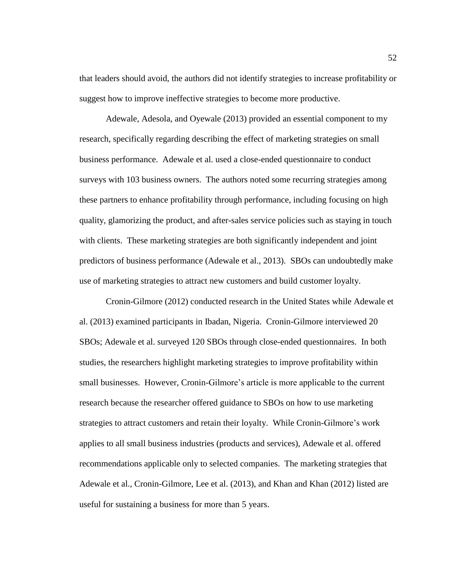that leaders should avoid, the authors did not identify strategies to increase profitability or suggest how to improve ineffective strategies to become more productive.

Adewale, Adesola, and Oyewale (2013) provided an essential component to my research, specifically regarding describing the effect of marketing strategies on small business performance. Adewale et al. used a close-ended questionnaire to conduct surveys with 103 business owners. The authors noted some recurring strategies among these partners to enhance profitability through performance, including focusing on high quality, glamorizing the product, and after-sales service policies such as staying in touch with clients. These marketing strategies are both significantly independent and joint predictors of business performance (Adewale et al., 2013). SBOs can undoubtedly make use of marketing strategies to attract new customers and build customer loyalty.

Cronin-Gilmore (2012) conducted research in the United States while Adewale et al. (2013) examined participants in Ibadan, Nigeria. Cronin-Gilmore interviewed 20 SBOs; Adewale et al. surveyed 120 SBOs through close-ended questionnaires. In both studies, the researchers highlight marketing strategies to improve profitability within small businesses. However, Cronin-Gilmore's article is more applicable to the current research because the researcher offered guidance to SBOs on how to use marketing strategies to attract customers and retain their loyalty. While Cronin-Gilmore's work applies to all small business industries (products and services), Adewale et al. offered recommendations applicable only to selected companies. The marketing strategies that Adewale et al., Cronin-Gilmore, Lee et al. (2013), and Khan and Khan (2012) listed are useful for sustaining a business for more than 5 years.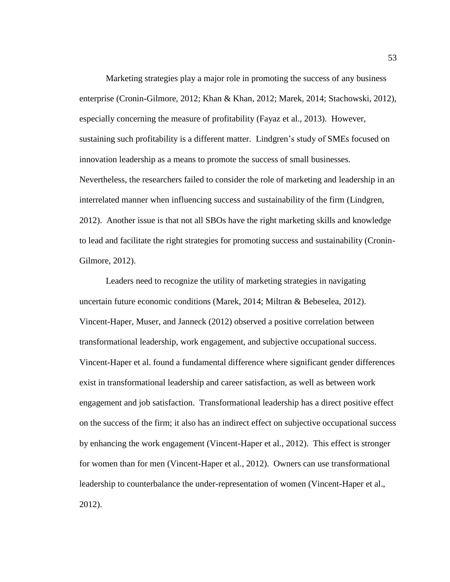Marketing strategies play a major role in promoting the success of any business enterprise (Cronin-Gilmore, 2012; Khan & Khan, 2012; Marek, 2014; Stachowski, 2012), especially concerning the measure of profitability (Fayaz et al., 2013). However, sustaining such profitability is a different matter. Lindgren's study of SMEs focused on innovation leadership as a means to promote the success of small businesses. Nevertheless, the researchers failed to consider the role of marketing and leadership in an interrelated manner when influencing success and sustainability of the firm (Lindgren, 2012). Another issue is that not all SBOs have the right marketing skills and knowledge to lead and facilitate the right strategies for promoting success and sustainability (Cronin-Gilmore, 2012).

Leaders need to recognize the utility of marketing strategies in navigating uncertain future economic conditions (Marek, 2014; Miltran & Bebeselea, 2012). Vincent-Haper, Muser, and Janneck (2012) observed a positive correlation between transformational leadership, work engagement, and subjective occupational success. Vincent-Haper et al. found a fundamental difference where significant gender differences exist in transformational leadership and career satisfaction, as well as between work engagement and job satisfaction. Transformational leadership has a direct positive effect on the success of the firm; it also has an indirect effect on subjective occupational success by enhancing the work engagement (Vincent-Haper et al., 2012). This effect is stronger for women than for men (Vincent-Haper et al., 2012). Owners can use transformational leadership to counterbalance the under-representation of women (Vincent-Haper et al., 2012).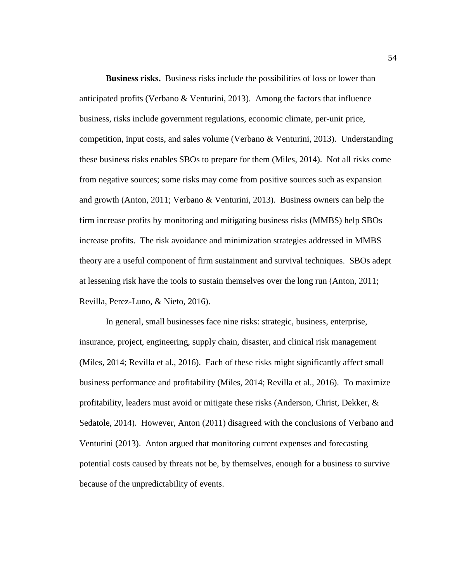**Business risks.** Business risks include the possibilities of loss or lower than anticipated profits (Verbano  $&$  Venturini, 2013). Among the factors that influence business, risks include government regulations, economic climate, per-unit price, competition, input costs, and sales volume (Verbano & Venturini, 2013). Understanding these business risks enables SBOs to prepare for them (Miles, 2014). Not all risks come from negative sources; some risks may come from positive sources such as expansion and growth (Anton, 2011; Verbano & Venturini, 2013). Business owners can help the firm increase profits by monitoring and mitigating business risks (MMBS) help SBOs increase profits. The risk avoidance and minimization strategies addressed in MMBS theory are a useful component of firm sustainment and survival techniques. SBOs adept at lessening risk have the tools to sustain themselves over the long run (Anton, 2011; Revilla, Perez-Luno, & Nieto, 2016).

In general, small businesses face nine risks: strategic, business, enterprise, insurance, project, engineering, supply chain, disaster, and clinical risk management (Miles, 2014; Revilla et al., 2016). Each of these risks might significantly affect small business performance and profitability (Miles, 2014; Revilla et al., 2016). To maximize profitability, leaders must avoid or mitigate these risks (Anderson, Christ, Dekker,  $\&$ Sedatole, 2014). However, Anton (2011) disagreed with the conclusions of Verbano and Venturini (2013). Anton argued that monitoring current expenses and forecasting potential costs caused by threats not be, by themselves, enough for a business to survive because of the unpredictability of events.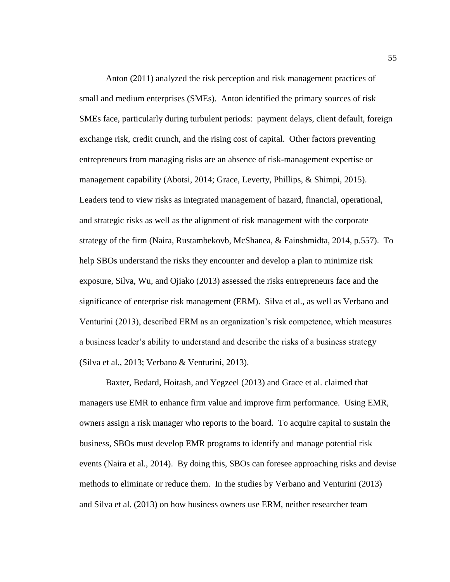Anton (2011) analyzed the risk perception and risk management practices of small and medium enterprises (SMEs). Anton identified the primary sources of risk SMEs face, particularly during turbulent periods: payment delays, client default, foreign exchange risk, credit crunch, and the rising cost of capital. Other factors preventing entrepreneurs from managing risks are an absence of risk-management expertise or management capability (Abotsi, 2014; Grace, Leverty, Phillips, & Shimpi, 2015). Leaders tend to view risks as integrated management of hazard, financial, operational, and strategic risks as well as the alignment of risk management with the corporate strategy of the firm (Naira, Rustambekovb, McShanea, & Fainshmidta, 2014, p.557). To help SBOs understand the risks they encounter and develop a plan to minimize risk exposure, Silva, Wu, and Ojiako (2013) assessed the risks entrepreneurs face and the significance of enterprise risk management (ERM). Silva et al., as well as Verbano and Venturini (2013), described ERM as an organization's risk competence, which measures a business leader's ability to understand and describe the risks of a business strategy (Silva et al., 2013; Verbano & Venturini, 2013).

Baxter, Bedard, Hoitash, and Yegzeel (2013) and Grace et al. claimed that managers use EMR to enhance firm value and improve firm performance. Using EMR, owners assign a risk manager who reports to the board. To acquire capital to sustain the business, SBOs must develop EMR programs to identify and manage potential risk events (Naira et al., 2014). By doing this, SBOs can foresee approaching risks and devise methods to eliminate or reduce them. In the studies by Verbano and Venturini (2013) and Silva et al. (2013) on how business owners use ERM, neither researcher team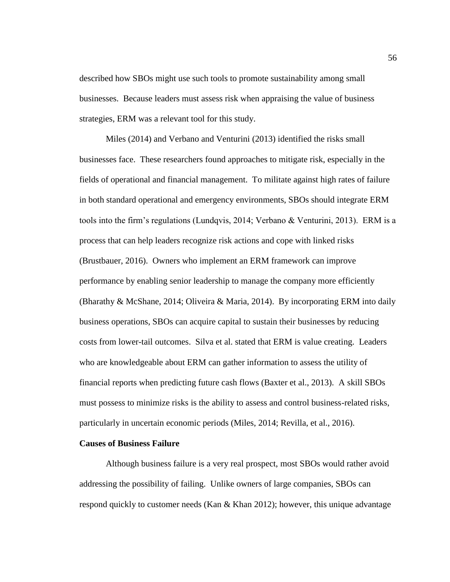described how SBOs might use such tools to promote sustainability among small businesses. Because leaders must assess risk when appraising the value of business strategies, ERM was a relevant tool for this study.

Miles (2014) and Verbano and Venturini (2013) identified the risks small businesses face. These researchers found approaches to mitigate risk, especially in the fields of operational and financial management. To militate against high rates of failure in both standard operational and emergency environments, SBOs should integrate ERM tools into the firm's regulations (Lundqvis, 2014; Verbano & Venturini, 2013). ERM is a process that can help leaders recognize risk actions and cope with linked risks (Brustbauer, 2016). Owners who implement an ERM framework can improve performance by enabling senior leadership to manage the company more efficiently (Bharathy & McShane, 2014; Oliveira & Maria, 2014). By incorporating ERM into daily business operations, SBOs can acquire capital to sustain their businesses by reducing costs from lower-tail outcomes. Silva et al. stated that ERM is value creating. Leaders who are knowledgeable about ERM can gather information to assess the utility of financial reports when predicting future cash flows (Baxter et al., 2013). A skill SBOs must possess to minimize risks is the ability to assess and control business-related risks, particularly in uncertain economic periods (Miles, 2014; Revilla, et al., 2016).

## **Causes of Business Failure**

Although business failure is a very real prospect, most SBOs would rather avoid addressing the possibility of failing. Unlike owners of large companies, SBOs can respond quickly to customer needs (Kan & Khan 2012); however, this unique advantage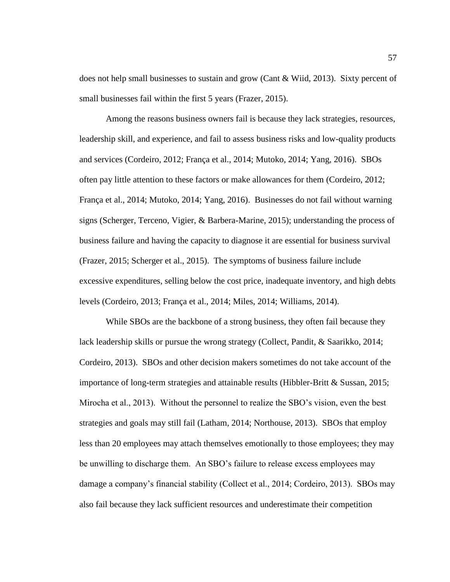does not help small businesses to sustain and grow (Cant & Wiid, 2013). Sixty percent of small businesses fail within the first 5 years (Frazer, 2015).

Among the reasons business owners fail is because they lack strategies, resources, leadership skill, and experience, and fail to assess business risks and low-quality products and services (Cordeiro, 2012; França et al., 2014; Mutoko, 2014; Yang, 2016). SBOs often pay little attention to these factors or make allowances for them (Cordeiro, 2012; França et al., 2014; Mutoko, 2014; Yang, 2016). Businesses do not fail without warning signs (Scherger, Terceno, Vigier, & Barbera-Marine, 2015); understanding the process of business failure and having the capacity to diagnose it are essential for business survival (Frazer, 2015; Scherger et al., 2015). The symptoms of business failure include excessive expenditures, selling below the cost price, inadequate inventory, and high debts levels (Cordeiro, 2013; França et al., 2014; Miles, 2014; Williams, 2014).

While SBOs are the backbone of a strong business, they often fail because they lack leadership skills or pursue the wrong strategy (Collect, Pandit, & Saarikko, 2014; Cordeiro, 2013). SBOs and other decision makers sometimes do not take account of the importance of long-term strategies and attainable results (Hibbler-Britt & Sussan, 2015; Mirocha et al., 2013). Without the personnel to realize the SBO's vision, even the best strategies and goals may still fail (Latham, 2014; Northouse, 2013). SBOs that employ less than 20 employees may attach themselves emotionally to those employees; they may be unwilling to discharge them. An SBO's failure to release excess employees may damage a company's financial stability (Collect et al., 2014; Cordeiro, 2013). SBOs may also fail because they lack sufficient resources and underestimate their competition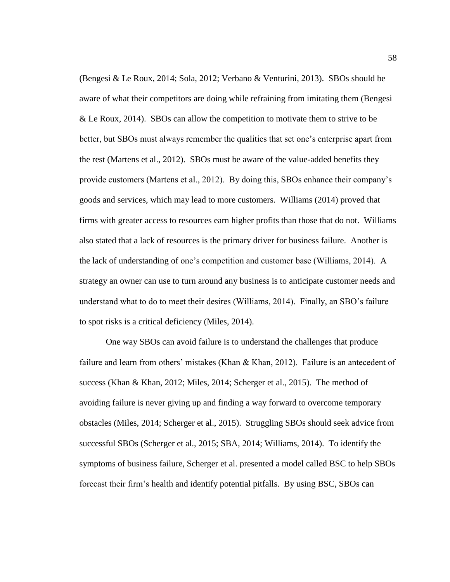(Bengesi & Le Roux, 2014; Sola, 2012; Verbano & Venturini, 2013). SBOs should be aware of what their competitors are doing while refraining from imitating them (Bengesi & Le Roux, 2014). SBOs can allow the competition to motivate them to strive to be better, but SBOs must always remember the qualities that set one's enterprise apart from the rest (Martens et al., 2012). SBOs must be aware of the value-added benefits they provide customers (Martens et al., 2012). By doing this, SBOs enhance their company's goods and services, which may lead to more customers. Williams (2014) proved that firms with greater access to resources earn higher profits than those that do not. Williams also stated that a lack of resources is the primary driver for business failure. Another is the lack of understanding of one's competition and customer base (Williams, 2014). A strategy an owner can use to turn around any business is to anticipate customer needs and understand what to do to meet their desires (Williams, 2014). Finally, an SBO's failure to spot risks is a critical deficiency (Miles, 2014).

One way SBOs can avoid failure is to understand the challenges that produce failure and learn from others' mistakes (Khan & Khan, 2012). Failure is an antecedent of success (Khan & Khan, 2012; Miles, 2014; Scherger et al., 2015). The method of avoiding failure is never giving up and finding a way forward to overcome temporary obstacles (Miles, 2014; Scherger et al., 2015). Struggling SBOs should seek advice from successful SBOs (Scherger et al., 2015; SBA, 2014; Williams, 2014). To identify the symptoms of business failure, Scherger et al. presented a model called BSC to help SBOs forecast their firm's health and identify potential pitfalls. By using BSC, SBOs can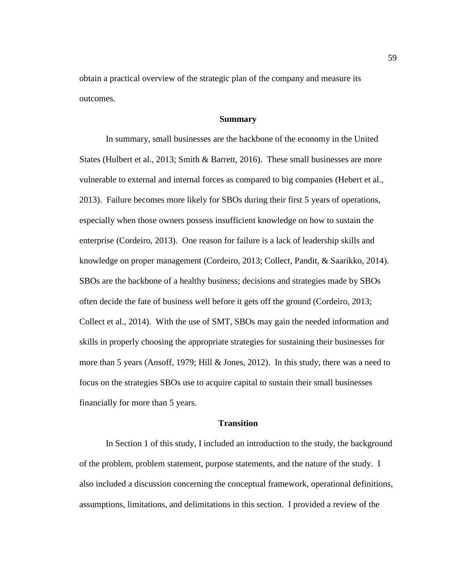obtain a practical overview of the strategic plan of the company and measure its outcomes.

## **Summary**

In summary, small businesses are the backbone of the economy in the United States (Hulbert et al., 2013; Smith & Barrett, 2016). These small businesses are more vulnerable to external and internal forces as compared to big companies (Hebert et al., 2013). Failure becomes more likely for SBOs during their first 5 years of operations, especially when those owners possess insufficient knowledge on how to sustain the enterprise (Cordeiro, 2013). One reason for failure is a lack of leadership skills and knowledge on proper management (Cordeiro, 2013; Collect, Pandit, & Saarikko, 2014). SBOs are the backbone of a healthy business; decisions and strategies made by SBOs often decide the fate of business well before it gets off the ground (Cordeiro, 2013; Collect et al., 2014). With the use of SMT, SBOs may gain the needed information and skills in properly choosing the appropriate strategies for sustaining their businesses for more than 5 years (Ansoff, 1979; Hill  $\&$  Jones, 2012). In this study, there was a need to focus on the strategies SBOs use to acquire capital to sustain their small businesses financially for more than 5 years.

## **Transition**

In Section 1 of this study, I included an introduction to the study, the background of the problem, problem statement, purpose statements, and the nature of the study. I also included a discussion concerning the conceptual framework, operational definitions, assumptions, limitations, and delimitations in this section. I provided a review of the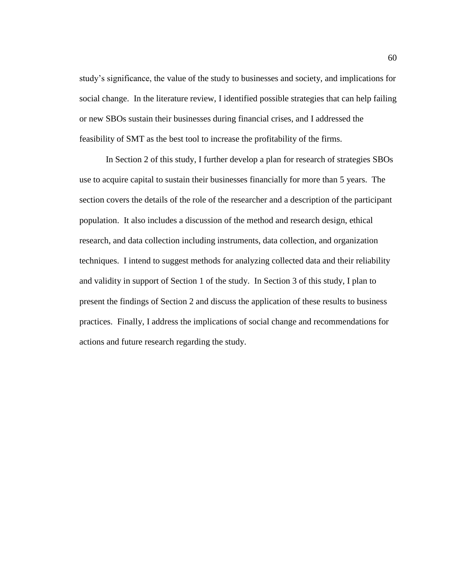study's significance, the value of the study to businesses and society, and implications for social change. In the literature review, I identified possible strategies that can help failing or new SBOs sustain their businesses during financial crises, and I addressed the feasibility of SMT as the best tool to increase the profitability of the firms.

In Section 2 of this study, I further develop a plan for research of strategies SBOs use to acquire capital to sustain their businesses financially for more than 5 years. The section covers the details of the role of the researcher and a description of the participant population. It also includes a discussion of the method and research design, ethical research, and data collection including instruments, data collection, and organization techniques. I intend to suggest methods for analyzing collected data and their reliability and validity in support of Section 1 of the study. In Section 3 of this study, I plan to present the findings of Section 2 and discuss the application of these results to business practices. Finally, I address the implications of social change and recommendations for actions and future research regarding the study.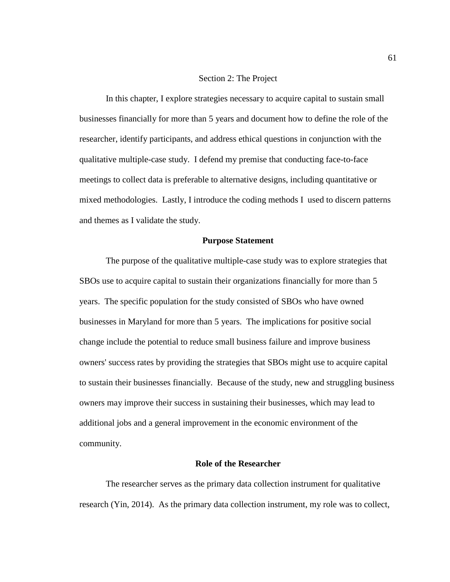# Section 2: The Project

In this chapter, I explore strategies necessary to acquire capital to sustain small businesses financially for more than 5 years and document how to define the role of the researcher, identify participants, and address ethical questions in conjunction with the qualitative multiple-case study. I defend my premise that conducting face-to-face meetings to collect data is preferable to alternative designs, including quantitative or mixed methodologies. Lastly, I introduce the coding methods I used to discern patterns and themes as I validate the study.

# **Purpose Statement**

The purpose of the qualitative multiple-case study was to explore strategies that SBOs use to acquire capital to sustain their organizations financially for more than 5 years. The specific population for the study consisted of SBOs who have owned businesses in Maryland for more than 5 years. The implications for positive social change include the potential to reduce small business failure and improve business owners' success rates by providing the strategies that SBOs might use to acquire capital to sustain their businesses financially. Because of the study, new and struggling business owners may improve their success in sustaining their businesses, which may lead to additional jobs and a general improvement in the economic environment of the community.

# **Role of the Researcher**

The researcher serves as the primary data collection instrument for qualitative research (Yin, 2014). As the primary data collection instrument, my role was to collect,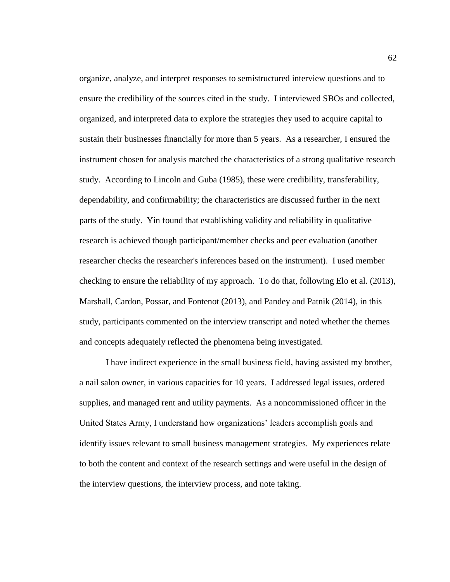organize, analyze, and interpret responses to semistructured interview questions and to ensure the credibility of the sources cited in the study. I interviewed SBOs and collected, organized, and interpreted data to explore the strategies they used to acquire capital to sustain their businesses financially for more than 5 years. As a researcher, I ensured the instrument chosen for analysis matched the characteristics of a strong qualitative research study. According to Lincoln and Guba (1985), these were credibility, transferability, dependability, and confirmability; the characteristics are discussed further in the next parts of the study. Yin found that establishing validity and reliability in qualitative research is achieved though participant/member checks and peer evaluation (another researcher checks the researcher's inferences based on the instrument). I used member checking to ensure the reliability of my approach. To do that, following Elo et al. (2013), Marshall, Cardon, Possar, and Fontenot (2013), and Pandey and Patnik (2014), in this study, participants commented on the interview transcript and noted whether the themes and concepts adequately reflected the phenomena being investigated.

I have indirect experience in the small business field, having assisted my brother, a nail salon owner, in various capacities for 10 years. I addressed legal issues, ordered supplies, and managed rent and utility payments. As a noncommissioned officer in the United States Army, I understand how organizations' leaders accomplish goals and identify issues relevant to small business management strategies. My experiences relate to both the content and context of the research settings and were useful in the design of the interview questions, the interview process, and note taking.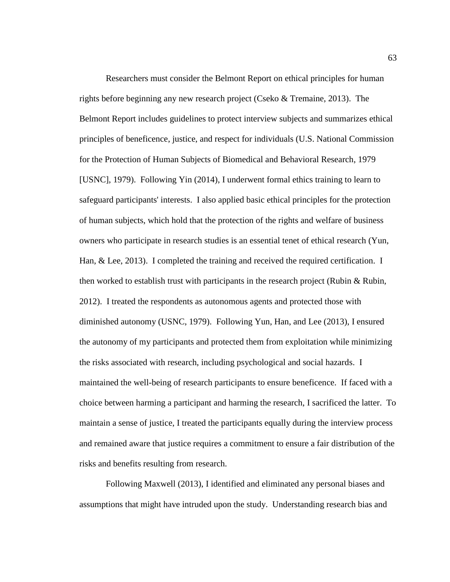Researchers must consider the Belmont Report on ethical principles for human rights before beginning any new research project (Cseko  $&$  Tremaine, 2013). The Belmont Report includes guidelines to protect interview subjects and summarizes ethical principles of beneficence, justice, and respect for individuals (U.S. National Commission for the Protection of Human Subjects of Biomedical and Behavioral Research, 1979 [USNC], 1979). Following Yin (2014), I underwent formal ethics training to learn to safeguard participants' interests. I also applied basic ethical principles for the protection of human subjects, which hold that the protection of the rights and welfare of business owners who participate in research studies is an essential tenet of ethical research (Yun, Han, & Lee, 2013). I completed the training and received the required certification. I then worked to establish trust with participants in the research project (Rubin & Rubin, 2012). I treated the respondents as autonomous agents and protected those with diminished autonomy (USNC, 1979). Following Yun, Han, and Lee (2013), I ensured the autonomy of my participants and protected them from exploitation while minimizing the risks associated with research, including psychological and social hazards. I maintained the well-being of research participants to ensure beneficence. If faced with a choice between harming a participant and harming the research, I sacrificed the latter. To maintain a sense of justice, I treated the participants equally during the interview process and remained aware that justice requires a commitment to ensure a fair distribution of the risks and benefits resulting from research.

Following Maxwell (2013), I identified and eliminated any personal biases and assumptions that might have intruded upon the study. Understanding research bias and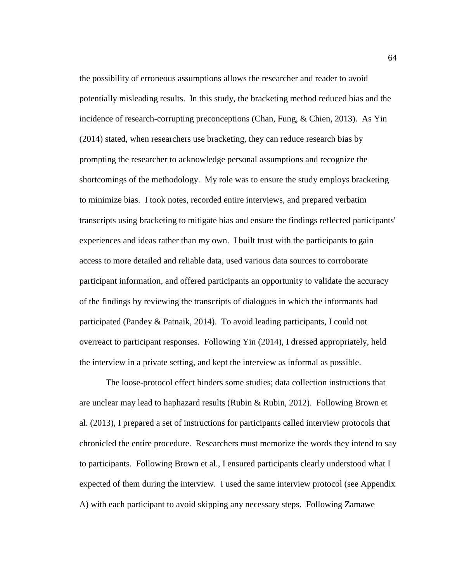the possibility of erroneous assumptions allows the researcher and reader to avoid potentially misleading results. In this study, the bracketing method reduced bias and the incidence of research-corrupting preconceptions (Chan, Fung, & Chien, 2013). As Yin (2014) stated, when researchers use bracketing, they can reduce research bias by prompting the researcher to acknowledge personal assumptions and recognize the shortcomings of the methodology. My role was to ensure the study employs bracketing to minimize bias. I took notes, recorded entire interviews, and prepared verbatim transcripts using bracketing to mitigate bias and ensure the findings reflected participants' experiences and ideas rather than my own. I built trust with the participants to gain access to more detailed and reliable data, used various data sources to corroborate participant information, and offered participants an opportunity to validate the accuracy of the findings by reviewing the transcripts of dialogues in which the informants had participated (Pandey & Patnaik, 2014). To avoid leading participants, I could not overreact to participant responses. Following Yin (2014), I dressed appropriately, held the interview in a private setting, and kept the interview as informal as possible.

The loose-protocol effect hinders some studies; data collection instructions that are unclear may lead to haphazard results (Rubin & Rubin, 2012). Following Brown et al. (2013), I prepared a set of instructions for participants called interview protocols that chronicled the entire procedure. Researchers must memorize the words they intend to say to participants. Following Brown et al., I ensured participants clearly understood what I expected of them during the interview. I used the same interview protocol (see Appendix A) with each participant to avoid skipping any necessary steps. Following Zamawe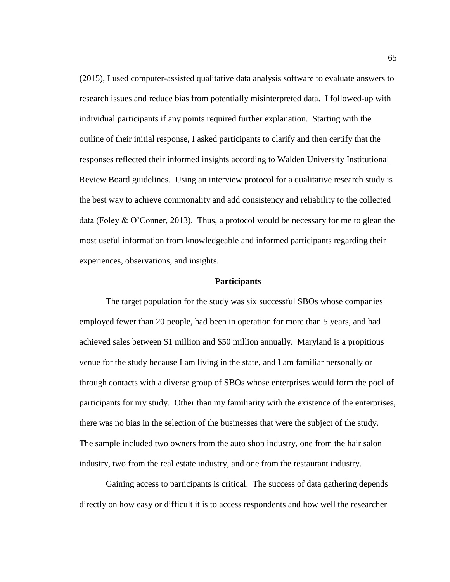(2015), I used computer-assisted qualitative data analysis software to evaluate answers to research issues and reduce bias from potentially misinterpreted data. I followed-up with individual participants if any points required further explanation. Starting with the outline of their initial response, I asked participants to clarify and then certify that the responses reflected their informed insights according to Walden University Institutional Review Board guidelines. Using an interview protocol for a qualitative research study is the best way to achieve commonality and add consistency and reliability to the collected data (Foley  $& O'$ Conner, 2013). Thus, a protocol would be necessary for me to glean the most useful information from knowledgeable and informed participants regarding their experiences, observations, and insights.

#### **Participants**

The target population for the study was six successful SBOs whose companies employed fewer than 20 people, had been in operation for more than 5 years, and had achieved sales between \$1 million and \$50 million annually. Maryland is a propitious venue for the study because I am living in the state, and I am familiar personally or through contacts with a diverse group of SBOs whose enterprises would form the pool of participants for my study. Other than my familiarity with the existence of the enterprises, there was no bias in the selection of the businesses that were the subject of the study. The sample included two owners from the auto shop industry, one from the hair salon industry, two from the real estate industry, and one from the restaurant industry.

Gaining access to participants is critical. The success of data gathering depends directly on how easy or difficult it is to access respondents and how well the researcher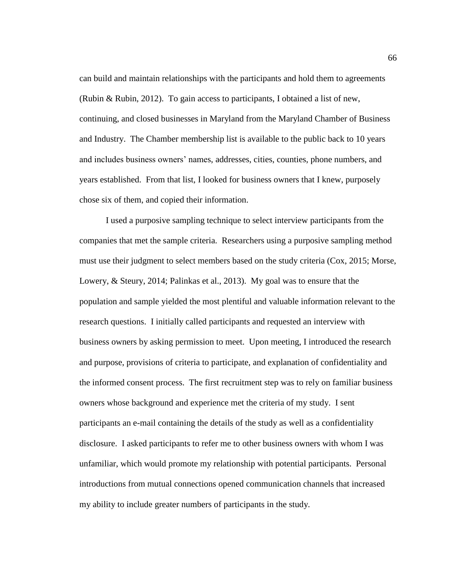can build and maintain relationships with the participants and hold them to agreements (Rubin & Rubin, 2012). To gain access to participants, I obtained a list of new, continuing, and closed businesses in Maryland from the Maryland Chamber of Business and Industry. The Chamber membership list is available to the public back to 10 years and includes business owners' names, addresses, cities, counties, phone numbers, and years established. From that list, I looked for business owners that I knew, purposely chose six of them, and copied their information.

I used a purposive sampling technique to select interview participants from the companies that met the sample criteria. Researchers using a purposive sampling method must use their judgment to select members based on the study criteria (Cox, 2015; Morse, Lowery, & Steury, 2014; Palinkas et al., 2013). My goal was to ensure that the population and sample yielded the most plentiful and valuable information relevant to the research questions. I initially called participants and requested an interview with business owners by asking permission to meet. Upon meeting, I introduced the research and purpose, provisions of criteria to participate, and explanation of confidentiality and the informed consent process. The first recruitment step was to rely on familiar business owners whose background and experience met the criteria of my study. I sent participants an e-mail containing the details of the study as well as a confidentiality disclosure. I asked participants to refer me to other business owners with whom I was unfamiliar, which would promote my relationship with potential participants. Personal introductions from mutual connections opened communication channels that increased my ability to include greater numbers of participants in the study.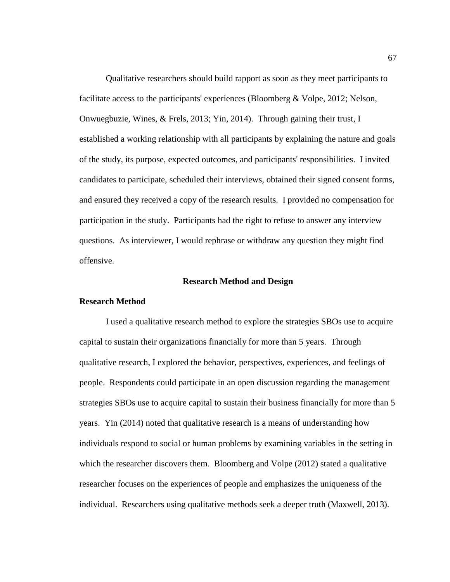Qualitative researchers should build rapport as soon as they meet participants to facilitate access to the participants' experiences (Bloomberg & Volpe, 2012; Nelson, Onwuegbuzie, Wines, & Frels, 2013; Yin, 2014). Through gaining their trust, I established a working relationship with all participants by explaining the nature and goals of the study, its purpose, expected outcomes, and participants' responsibilities. I invited candidates to participate, scheduled their interviews, obtained their signed consent forms, and ensured they received a copy of the research results. I provided no compensation for participation in the study. Participants had the right to refuse to answer any interview questions. As interviewer, I would rephrase or withdraw any question they might find offensive.

#### **Research Method and Design**

#### **Research Method**

I used a qualitative research method to explore the strategies SBOs use to acquire capital to sustain their organizations financially for more than 5 years. Through qualitative research, I explored the behavior, perspectives, experiences, and feelings of people. Respondents could participate in an open discussion regarding the management strategies SBOs use to acquire capital to sustain their business financially for more than 5 years. Yin (2014) noted that qualitative research is a means of understanding how individuals respond to social or human problems by examining variables in the setting in which the researcher discovers them. Bloomberg and Volpe (2012) stated a qualitative researcher focuses on the experiences of people and emphasizes the uniqueness of the individual. Researchers using qualitative methods seek a deeper truth (Maxwell, 2013).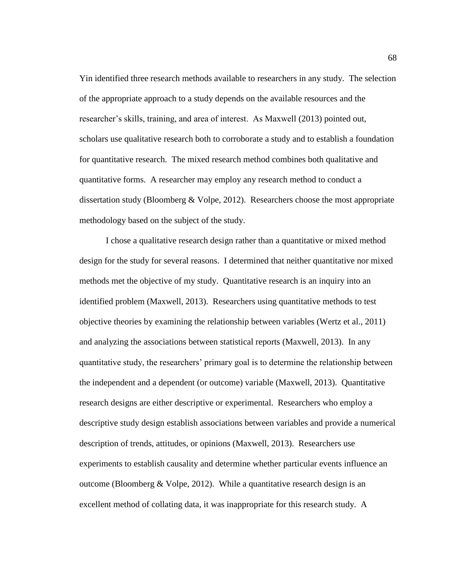Yin identified three research methods available to researchers in any study. The selection of the appropriate approach to a study depends on the available resources and the researcher's skills, training, and area of interest. As Maxwell (2013) pointed out, scholars use qualitative research both to corroborate a study and to establish a foundation for quantitative research. The mixed research method combines both qualitative and quantitative forms. A researcher may employ any research method to conduct a dissertation study (Bloomberg & Volpe, 2012). Researchers choose the most appropriate methodology based on the subject of the study.

I chose a qualitative research design rather than a quantitative or mixed method design for the study for several reasons. I determined that neither quantitative nor mixed methods met the objective of my study. Quantitative research is an inquiry into an identified problem (Maxwell, 2013). Researchers using quantitative methods to test objective theories by examining the relationship between variables (Wertz et al., 2011) and analyzing the associations between statistical reports (Maxwell, 2013). In any quantitative study, the researchers' primary goal is to determine the relationship between the independent and a dependent (or outcome) variable (Maxwell, 2013). Quantitative research designs are either descriptive or experimental. Researchers who employ a descriptive study design establish associations between variables and provide a numerical description of trends, attitudes, or opinions (Maxwell, 2013). Researchers use experiments to establish causality and determine whether particular events influence an outcome (Bloomberg & Volpe, 2012). While a quantitative research design is an excellent method of collating data, it was inappropriate for this research study. A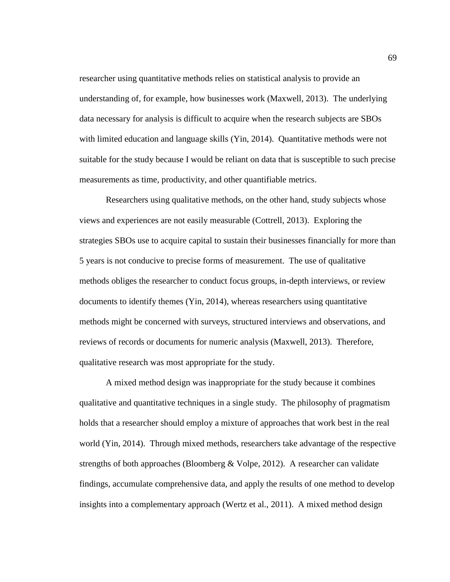researcher using quantitative methods relies on statistical analysis to provide an understanding of, for example, how businesses work (Maxwell, 2013). The underlying data necessary for analysis is difficult to acquire when the research subjects are SBOs with limited education and language skills (Yin, 2014). Quantitative methods were not suitable for the study because I would be reliant on data that is susceptible to such precise measurements as time, productivity, and other quantifiable metrics.

Researchers using qualitative methods, on the other hand, study subjects whose views and experiences are not easily measurable (Cottrell, 2013). Exploring the strategies SBOs use to acquire capital to sustain their businesses financially for more than 5 years is not conducive to precise forms of measurement. The use of qualitative methods obliges the researcher to conduct focus groups, in-depth interviews, or review documents to identify themes (Yin, 2014), whereas researchers using quantitative methods might be concerned with surveys, structured interviews and observations, and reviews of records or documents for numeric analysis (Maxwell, 2013). Therefore, qualitative research was most appropriate for the study.

A mixed method design was inappropriate for the study because it combines qualitative and quantitative techniques in a single study. The philosophy of pragmatism holds that a researcher should employ a mixture of approaches that work best in the real world (Yin, 2014). Through mixed methods, researchers take advantage of the respective strengths of both approaches (Bloomberg & Volpe, 2012). A researcher can validate findings, accumulate comprehensive data, and apply the results of one method to develop insights into a complementary approach (Wertz et al., 2011). A mixed method design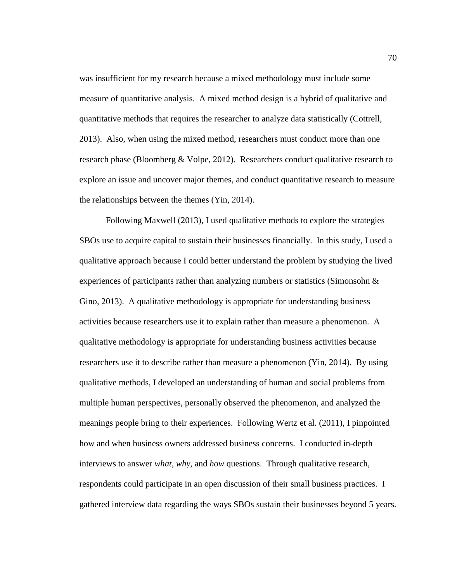was insufficient for my research because a mixed methodology must include some measure of quantitative analysis. A mixed method design is a hybrid of qualitative and quantitative methods that requires the researcher to analyze data statistically (Cottrell, 2013). Also, when using the mixed method, researchers must conduct more than one research phase (Bloomberg & Volpe, 2012). Researchers conduct qualitative research to explore an issue and uncover major themes, and conduct quantitative research to measure the relationships between the themes (Yin, 2014).

Following Maxwell (2013), I used qualitative methods to explore the strategies SBOs use to acquire capital to sustain their businesses financially. In this study, I used a qualitative approach because I could better understand the problem by studying the lived experiences of participants rather than analyzing numbers or statistics (Simonsohn  $\&$ Gino, 2013). A qualitative methodology is appropriate for understanding business activities because researchers use it to explain rather than measure a phenomenon. A qualitative methodology is appropriate for understanding business activities because researchers use it to describe rather than measure a phenomenon (Yin, 2014). By using qualitative methods, I developed an understanding of human and social problems from multiple human perspectives, personally observed the phenomenon, and analyzed the meanings people bring to their experiences. Following Wertz et al. (2011), I pinpointed how and when business owners addressed business concerns. I conducted in-depth interviews to answer *what, why,* and *how* questions. Through qualitative research, respondents could participate in an open discussion of their small business practices. I gathered interview data regarding the ways SBOs sustain their businesses beyond 5 years.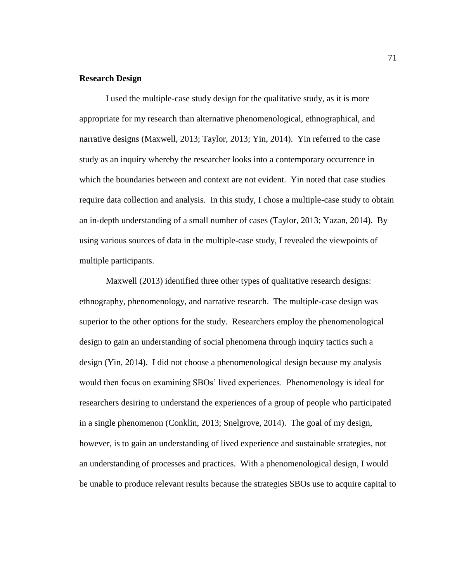# **Research Design**

I used the multiple-case study design for the qualitative study, as it is more appropriate for my research than alternative phenomenological, ethnographical, and narrative designs (Maxwell, 2013; Taylor, 2013; Yin, 2014). Yin referred to the case study as an inquiry whereby the researcher looks into a contemporary occurrence in which the boundaries between and context are not evident. Yin noted that case studies require data collection and analysis. In this study, I chose a multiple-case study to obtain an in-depth understanding of a small number of cases (Taylor, 2013; Yazan, 2014). By using various sources of data in the multiple-case study, I revealed the viewpoints of multiple participants.

Maxwell (2013) identified three other types of qualitative research designs: ethnography, phenomenology, and narrative research. The multiple-case design was superior to the other options for the study. Researchers employ the phenomenological design to gain an understanding of social phenomena through inquiry tactics such a design (Yin, 2014). I did not choose a phenomenological design because my analysis would then focus on examining SBOs' lived experiences. Phenomenology is ideal for researchers desiring to understand the experiences of a group of people who participated in a single phenomenon (Conklin, 2013; Snelgrove, 2014). The goal of my design, however, is to gain an understanding of lived experience and sustainable strategies, not an understanding of processes and practices. With a phenomenological design, I would be unable to produce relevant results because the strategies SBOs use to acquire capital to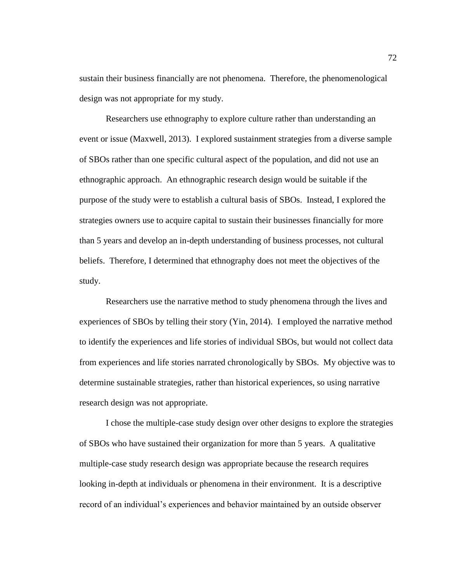sustain their business financially are not phenomena. Therefore, the phenomenological design was not appropriate for my study.

Researchers use ethnography to explore culture rather than understanding an event or issue (Maxwell, 2013). I explored sustainment strategies from a diverse sample of SBOs rather than one specific cultural aspect of the population, and did not use an ethnographic approach. An ethnographic research design would be suitable if the purpose of the study were to establish a cultural basis of SBOs. Instead, I explored the strategies owners use to acquire capital to sustain their businesses financially for more than 5 years and develop an in-depth understanding of business processes, not cultural beliefs. Therefore, I determined that ethnography does not meet the objectives of the study.

Researchers use the narrative method to study phenomena through the lives and experiences of SBOs by telling their story (Yin, 2014). I employed the narrative method to identify the experiences and life stories of individual SBOs, but would not collect data from experiences and life stories narrated chronologically by SBOs. My objective was to determine sustainable strategies, rather than historical experiences, so using narrative research design was not appropriate.

I chose the multiple-case study design over other designs to explore the strategies of SBOs who have sustained their organization for more than 5 years. A qualitative multiple-case study research design was appropriate because the research requires looking in-depth at individuals or phenomena in their environment. It is a descriptive record of an individual's experiences and behavior maintained by an outside observer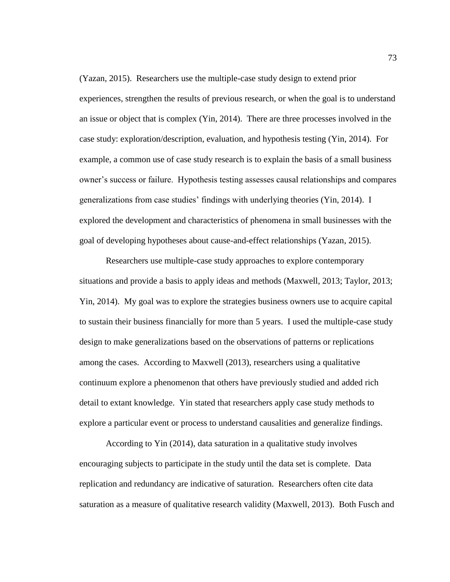(Yazan, 2015). Researchers use the multiple-case study design to extend prior experiences, strengthen the results of previous research, or when the goal is to understand an issue or object that is complex (Yin, 2014). There are three processes involved in the case study: exploration/description, evaluation, and hypothesis testing (Yin, 2014). For example, a common use of case study research is to explain the basis of a small business owner's success or failure. Hypothesis testing assesses causal relationships and compares generalizations from case studies' findings with underlying theories (Yin, 2014). I explored the development and characteristics of phenomena in small businesses with the goal of developing hypotheses about cause-and-effect relationships (Yazan, 2015).

Researchers use multiple-case study approaches to explore contemporary situations and provide a basis to apply ideas and methods (Maxwell, 2013; Taylor, 2013; Yin, 2014). My goal was to explore the strategies business owners use to acquire capital to sustain their business financially for more than 5 years. I used the multiple-case study design to make generalizations based on the observations of patterns or replications among the cases. According to Maxwell (2013), researchers using a qualitative continuum explore a phenomenon that others have previously studied and added rich detail to extant knowledge. Yin stated that researchers apply case study methods to explore a particular event or process to understand causalities and generalize findings.

According to Yin (2014), data saturation in a qualitative study involves encouraging subjects to participate in the study until the data set is complete. Data replication and redundancy are indicative of saturation. Researchers often cite data saturation as a measure of qualitative research validity (Maxwell, 2013). Both Fusch and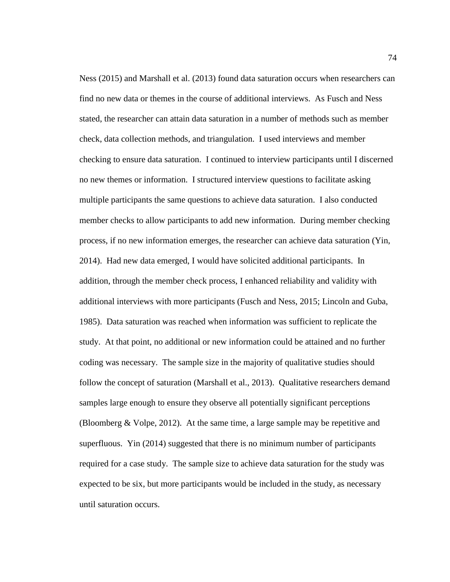Ness (2015) and Marshall et al. (2013) found data saturation occurs when researchers can find no new data or themes in the course of additional interviews. As Fusch and Ness stated, the researcher can attain data saturation in a number of methods such as member check, data collection methods, and triangulation. I used interviews and member checking to ensure data saturation. I continued to interview participants until I discerned no new themes or information. I structured interview questions to facilitate asking multiple participants the same questions to achieve data saturation. I also conducted member checks to allow participants to add new information. During member checking process, if no new information emerges, the researcher can achieve data saturation (Yin, 2014). Had new data emerged, I would have solicited additional participants. In addition, through the member check process, I enhanced reliability and validity with additional interviews with more participants (Fusch and Ness, 2015; Lincoln and Guba, 1985). Data saturation was reached when information was sufficient to replicate the study. At that point, no additional or new information could be attained and no further coding was necessary. The sample size in the majority of qualitative studies should follow the concept of saturation (Marshall et al., 2013). Qualitative researchers demand samples large enough to ensure they observe all potentially significant perceptions (Bloomberg & Volpe, 2012). At the same time, a large sample may be repetitive and superfluous. Yin (2014) suggested that there is no minimum number of participants required for a case study. The sample size to achieve data saturation for the study was expected to be six, but more participants would be included in the study, as necessary until saturation occurs.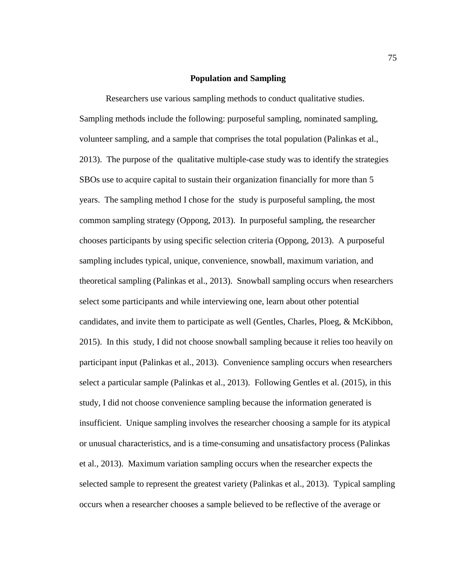## **Population and Sampling**

Researchers use various sampling methods to conduct qualitative studies. Sampling methods include the following: purposeful sampling, nominated sampling, volunteer sampling, and a sample that comprises the total population (Palinkas et al., 2013). The purpose of the qualitative multiple-case study was to identify the strategies SBOs use to acquire capital to sustain their organization financially for more than 5 years. The sampling method I chose for the study is purposeful sampling, the most common sampling strategy (Oppong, 2013). In purposeful sampling, the researcher chooses participants by using specific selection criteria (Oppong, 2013). A purposeful sampling includes typical, unique, convenience, snowball, maximum variation, and theoretical sampling (Palinkas et al., 2013). Snowball sampling occurs when researchers select some participants and while interviewing one, learn about other potential candidates, and invite them to participate as well (Gentles, Charles, Ploeg, & McKibbon, 2015). In this study, I did not choose snowball sampling because it relies too heavily on participant input (Palinkas et al., 2013). Convenience sampling occurs when researchers select a particular sample (Palinkas et al., 2013). Following Gentles et al. (2015), in this study, I did not choose convenience sampling because the information generated is insufficient. Unique sampling involves the researcher choosing a sample for its atypical or unusual characteristics, and is a time-consuming and unsatisfactory process (Palinkas et al., 2013). Maximum variation sampling occurs when the researcher expects the selected sample to represent the greatest variety (Palinkas et al., 2013). Typical sampling occurs when a researcher chooses a sample believed to be reflective of the average or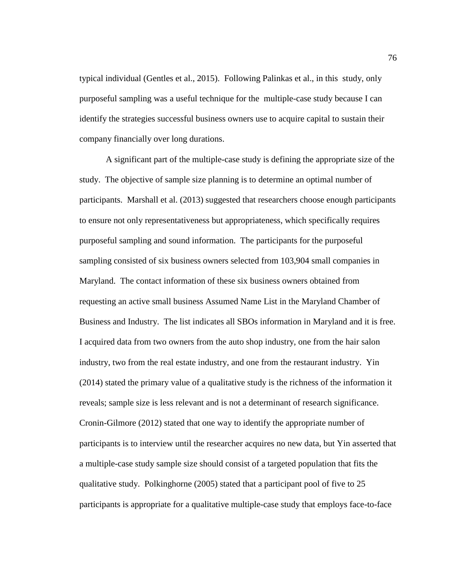typical individual (Gentles et al., 2015). Following Palinkas et al., in this study, only purposeful sampling was a useful technique for the multiple-case study because I can identify the strategies successful business owners use to acquire capital to sustain their company financially over long durations.

A significant part of the multiple-case study is defining the appropriate size of the study. The objective of sample size planning is to determine an optimal number of participants. Marshall et al. (2013) suggested that researchers choose enough participants to ensure not only representativeness but appropriateness, which specifically requires purposeful sampling and sound information. The participants for the purposeful sampling consisted of six business owners selected from 103,904 small companies in Maryland. The contact information of these six business owners obtained from requesting an active small business Assumed Name List in the Maryland Chamber of Business and Industry. The list indicates all SBOs information in Maryland and it is free. I acquired data from two owners from the auto shop industry, one from the hair salon industry, two from the real estate industry, and one from the restaurant industry. Yin (2014) stated the primary value of a qualitative study is the richness of the information it reveals; sample size is less relevant and is not a determinant of research significance. Cronin-Gilmore (2012) stated that one way to identify the appropriate number of participants is to interview until the researcher acquires no new data, but Yin asserted that a multiple-case study sample size should consist of a targeted population that fits the qualitative study. Polkinghorne (2005) stated that a participant pool of five to 25 participants is appropriate for a qualitative multiple-case study that employs face-to-face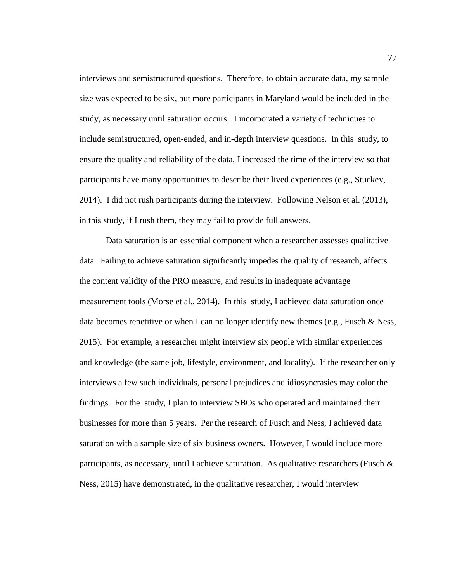interviews and semistructured questions. Therefore, to obtain accurate data, my sample size was expected to be six, but more participants in Maryland would be included in the study, as necessary until saturation occurs. I incorporated a variety of techniques to include semistructured, open-ended, and in-depth interview questions. In this study, to ensure the quality and reliability of the data, I increased the time of the interview so that participants have many opportunities to describe their lived experiences (e.g., Stuckey, 2014). I did not rush participants during the interview. Following Nelson et al. (2013), in this study, if I rush them, they may fail to provide full answers.

Data saturation is an essential component when a researcher assesses qualitative data. Failing to achieve saturation significantly impedes the quality of research, affects the content validity of the PRO measure, and results in inadequate advantage measurement tools (Morse et al., 2014). In this study, I achieved data saturation once data becomes repetitive or when I can no longer identify new themes (e.g., Fusch  $\&$  Ness, 2015). For example, a researcher might interview six people with similar experiences and knowledge (the same job, lifestyle, environment, and locality). If the researcher only interviews a few such individuals, personal prejudices and idiosyncrasies may color the findings. For the study, I plan to interview SBOs who operated and maintained their businesses for more than 5 years. Per the research of Fusch and Ness, I achieved data saturation with a sample size of six business owners. However, I would include more participants, as necessary, until I achieve saturation. As qualitative researchers (Fusch  $\&$ Ness, 2015) have demonstrated, in the qualitative researcher, I would interview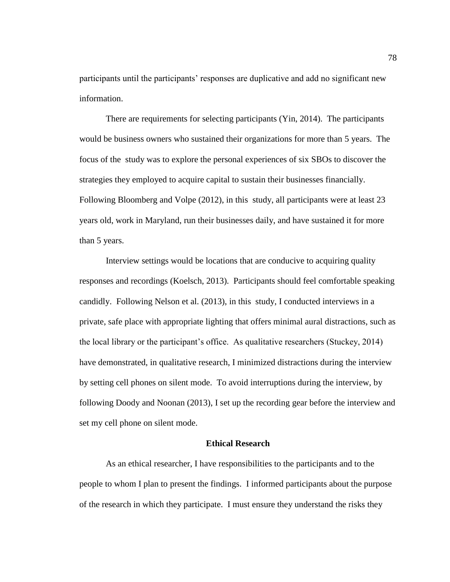participants until the participants' responses are duplicative and add no significant new information.

There are requirements for selecting participants (Yin, 2014). The participants would be business owners who sustained their organizations for more than 5 years. The focus of the study was to explore the personal experiences of six SBOs to discover the strategies they employed to acquire capital to sustain their businesses financially. Following Bloomberg and Volpe (2012), in this study, all participants were at least 23 years old, work in Maryland, run their businesses daily, and have sustained it for more than 5 years.

Interview settings would be locations that are conducive to acquiring quality responses and recordings (Koelsch, 2013). Participants should feel comfortable speaking candidly. Following Nelson et al. (2013), in this study, I conducted interviews in a private, safe place with appropriate lighting that offers minimal aural distractions, such as the local library or the participant's office. As qualitative researchers (Stuckey, 2014) have demonstrated, in qualitative research, I minimized distractions during the interview by setting cell phones on silent mode. To avoid interruptions during the interview, by following Doody and Noonan (2013), I set up the recording gear before the interview and set my cell phone on silent mode.

## **Ethical Research**

As an ethical researcher, I have responsibilities to the participants and to the people to whom I plan to present the findings. I informed participants about the purpose of the research in which they participate. I must ensure they understand the risks they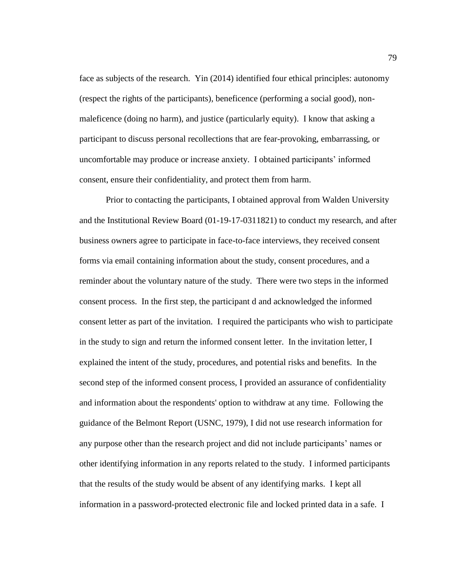face as subjects of the research. Yin (2014) identified four ethical principles: autonomy (respect the rights of the participants), beneficence (performing a social good), nonmaleficence (doing no harm), and justice (particularly equity). I know that asking a participant to discuss personal recollections that are fear-provoking, embarrassing, or uncomfortable may produce or increase anxiety. I obtained participants' informed consent, ensure their confidentiality, and protect them from harm.

Prior to contacting the participants, I obtained approval from Walden University and the Institutional Review Board (01-19-17-0311821) to conduct my research, and after business owners agree to participate in face-to-face interviews, they received consent forms via email containing information about the study, consent procedures, and a reminder about the voluntary nature of the study. There were two steps in the informed consent process. In the first step, the participant d and acknowledged the informed consent letter as part of the invitation. I required the participants who wish to participate in the study to sign and return the informed consent letter. In the invitation letter, I explained the intent of the study, procedures, and potential risks and benefits. In the second step of the informed consent process, I provided an assurance of confidentiality and information about the respondents' option to withdraw at any time. Following the guidance of the Belmont Report (USNC, 1979), I did not use research information for any purpose other than the research project and did not include participants' names or other identifying information in any reports related to the study. I informed participants that the results of the study would be absent of any identifying marks. I kept all information in a password-protected electronic file and locked printed data in a safe. I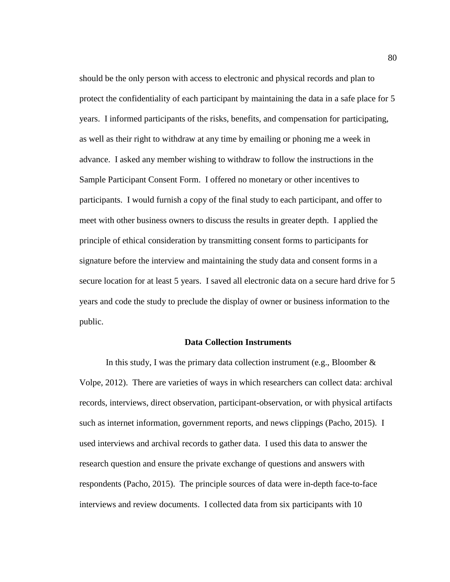should be the only person with access to electronic and physical records and plan to protect the confidentiality of each participant by maintaining the data in a safe place for 5 years. I informed participants of the risks, benefits, and compensation for participating, as well as their right to withdraw at any time by emailing or phoning me a week in advance. I asked any member wishing to withdraw to follow the instructions in the Sample Participant Consent Form. I offered no monetary or other incentives to participants. I would furnish a copy of the final study to each participant, and offer to meet with other business owners to discuss the results in greater depth. I applied the principle of ethical consideration by transmitting consent forms to participants for signature before the interview and maintaining the study data and consent forms in a secure location for at least 5 years. I saved all electronic data on a secure hard drive for 5 years and code the study to preclude the display of owner or business information to the public.

#### **Data Collection Instruments**

In this study, I was the primary data collection instrument (e.g., Bloomber  $\&$ Volpe, 2012). There are varieties of ways in which researchers can collect data: archival records, interviews, direct observation, participant-observation, or with physical artifacts such as internet information, government reports, and news clippings (Pacho, 2015). I used interviews and archival records to gather data. I used this data to answer the research question and ensure the private exchange of questions and answers with respondents (Pacho, 2015). The principle sources of data were in-depth face-to-face interviews and review documents. I collected data from six participants with 10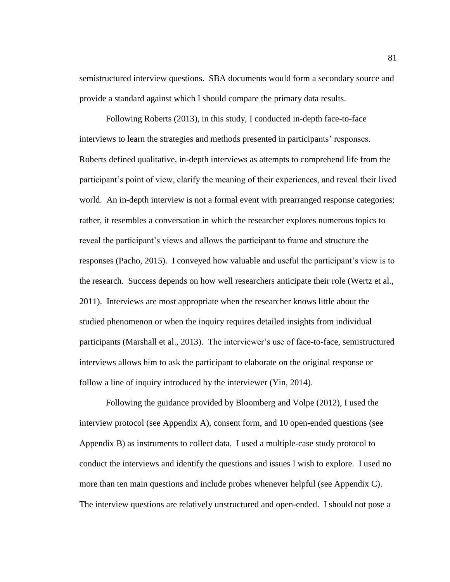semistructured interview questions. SBA documents would form a secondary source and provide a standard against which I should compare the primary data results.

Following Roberts (2013), in this study, I conducted in-depth face-to-face interviews to learn the strategies and methods presented in participants' responses. Roberts defined qualitative, in-depth interviews as attempts to comprehend life from the participant's point of view, clarify the meaning of their experiences, and reveal their lived world. An in-depth interview is not a formal event with prearranged response categories; rather, it resembles a conversation in which the researcher explores numerous topics to reveal the participant's views and allows the participant to frame and structure the responses (Pacho, 2015). I conveyed how valuable and useful the participant's view is to the research. Success depends on how well researchers anticipate their role (Wertz et al., 2011). Interviews are most appropriate when the researcher knows little about the studied phenomenon or when the inquiry requires detailed insights from individual participants (Marshall et al., 2013). The interviewer's use of face-to-face, semistructured interviews allows him to ask the participant to elaborate on the original response or follow a line of inquiry introduced by the interviewer (Yin, 2014).

Following the guidance provided by Bloomberg and Volpe (2012), I used the interview protocol (see Appendix A), consent form, and 10 open-ended questions (see Appendix B) as instruments to collect data. I used a multiple-case study protocol to conduct the interviews and identify the questions and issues I wish to explore. I used no more than ten main questions and include probes whenever helpful (see Appendix C). The interview questions are relatively unstructured and open-ended. I should not pose a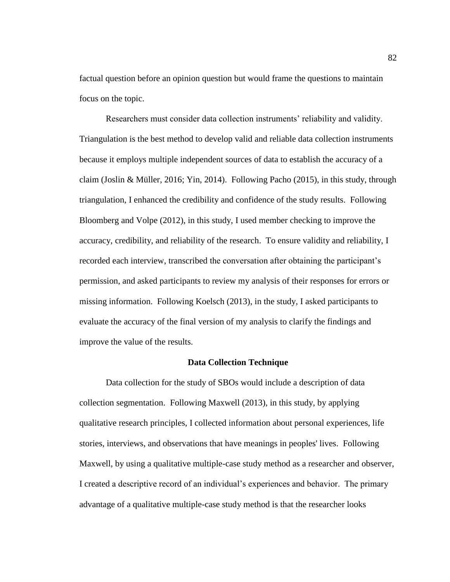factual question before an opinion question but would frame the questions to maintain focus on the topic.

Researchers must consider data collection instruments' reliability and validity. Triangulation is the best method to develop valid and reliable data collection instruments because it employs multiple independent sources of data to establish the accuracy of a claim (Joslin & Müller, 2016; Yin, 2014). Following Pacho (2015), in this study, through triangulation, I enhanced the credibility and confidence of the study results. Following Bloomberg and Volpe (2012), in this study, I used member checking to improve the accuracy, credibility, and reliability of the research. To ensure validity and reliability, I recorded each interview, transcribed the conversation after obtaining the participant's permission, and asked participants to review my analysis of their responses for errors or missing information. Following Koelsch (2013), in the study, I asked participants to evaluate the accuracy of the final version of my analysis to clarify the findings and improve the value of the results.

## **Data Collection Technique**

Data collection for the study of SBOs would include a description of data collection segmentation. Following Maxwell (2013), in this study, by applying qualitative research principles, I collected information about personal experiences, life stories, interviews, and observations that have meanings in peoples' lives. Following Maxwell, by using a qualitative multiple-case study method as a researcher and observer, I created a descriptive record of an individual's experiences and behavior. The primary advantage of a qualitative multiple-case study method is that the researcher looks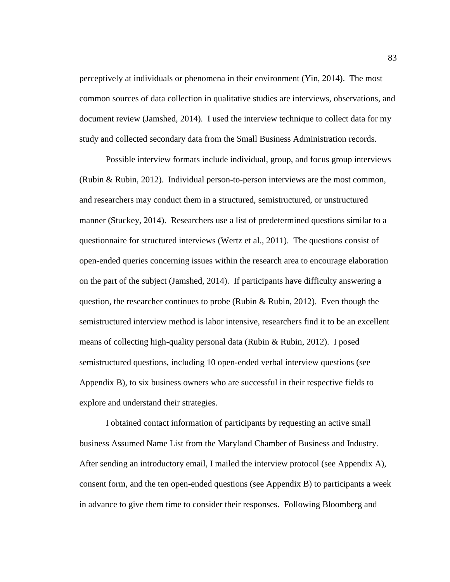perceptively at individuals or phenomena in their environment (Yin, 2014). The most common sources of data collection in qualitative studies are interviews, observations, and document review (Jamshed, 2014). I used the interview technique to collect data for my study and collected secondary data from the Small Business Administration records.

Possible interview formats include individual, group, and focus group interviews (Rubin & Rubin, 2012). Individual person-to-person interviews are the most common, and researchers may conduct them in a structured, semistructured, or unstructured manner (Stuckey, 2014). Researchers use a list of predetermined questions similar to a questionnaire for structured interviews (Wertz et al., 2011). The questions consist of open-ended queries concerning issues within the research area to encourage elaboration on the part of the subject (Jamshed, 2014). If participants have difficulty answering a question, the researcher continues to probe (Rubin & Rubin, 2012). Even though the semistructured interview method is labor intensive, researchers find it to be an excellent means of collecting high-quality personal data (Rubin & Rubin, 2012). I posed semistructured questions, including 10 open-ended verbal interview questions (see Appendix B), to six business owners who are successful in their respective fields to explore and understand their strategies.

I obtained contact information of participants by requesting an active small business Assumed Name List from the Maryland Chamber of Business and Industry. After sending an introductory email, I mailed the interview protocol (see Appendix A), consent form, and the ten open-ended questions (see Appendix B) to participants a week in advance to give them time to consider their responses. Following Bloomberg and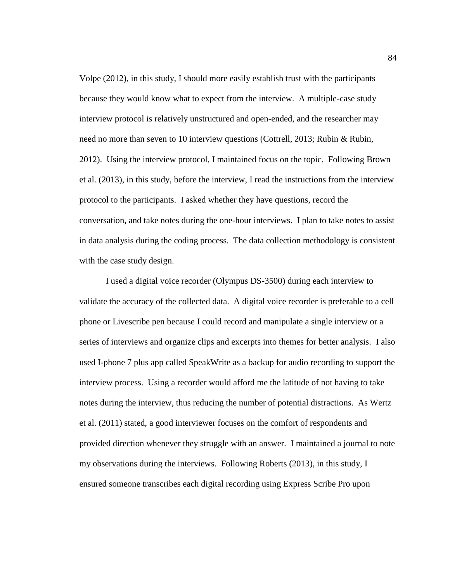Volpe (2012), in this study, I should more easily establish trust with the participants because they would know what to expect from the interview. A multiple-case study interview protocol is relatively unstructured and open-ended, and the researcher may need no more than seven to 10 interview questions (Cottrell, 2013; Rubin & Rubin, 2012). Using the interview protocol, I maintained focus on the topic. Following Brown et al. (2013), in this study, before the interview, I read the instructions from the interview protocol to the participants. I asked whether they have questions, record the conversation, and take notes during the one-hour interviews. I plan to take notes to assist in data analysis during the coding process. The data collection methodology is consistent with the case study design.

I used a digital voice recorder (Olympus DS-3500) during each interview to validate the accuracy of the collected data. A digital voice recorder is preferable to a cell phone or Livescribe pen because I could record and manipulate a single interview or a series of interviews and organize clips and excerpts into themes for better analysis. I also used I-phone 7 plus app called SpeakWrite as a backup for audio recording to support the interview process. Using a recorder would afford me the latitude of not having to take notes during the interview, thus reducing the number of potential distractions. As Wertz et al. (2011) stated, a good interviewer focuses on the comfort of respondents and provided direction whenever they struggle with an answer. I maintained a journal to note my observations during the interviews. Following Roberts (2013), in this study, I ensured someone transcribes each digital recording using Express Scribe Pro upon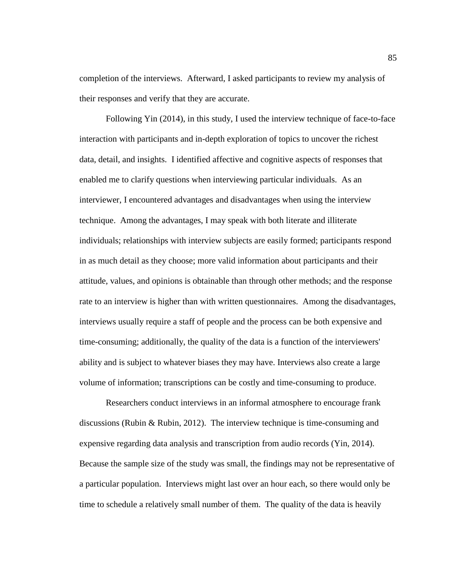completion of the interviews. Afterward, I asked participants to review my analysis of their responses and verify that they are accurate.

Following Yin (2014), in this study, I used the interview technique of face-to-face interaction with participants and in-depth exploration of topics to uncover the richest data, detail, and insights. I identified affective and cognitive aspects of responses that enabled me to clarify questions when interviewing particular individuals. As an interviewer, I encountered advantages and disadvantages when using the interview technique. Among the advantages, I may speak with both literate and illiterate individuals; relationships with interview subjects are easily formed; participants respond in as much detail as they choose; more valid information about participants and their attitude, values, and opinions is obtainable than through other methods; and the response rate to an interview is higher than with written questionnaires. Among the disadvantages, interviews usually require a staff of people and the process can be both expensive and time-consuming; additionally, the quality of the data is a function of the interviewers' ability and is subject to whatever biases they may have. Interviews also create a large volume of information; transcriptions can be costly and time-consuming to produce.

Researchers conduct interviews in an informal atmosphere to encourage frank discussions (Rubin & Rubin, 2012). The interview technique is time-consuming and expensive regarding data analysis and transcription from audio records (Yin, 2014). Because the sample size of the study was small, the findings may not be representative of a particular population. Interviews might last over an hour each, so there would only be time to schedule a relatively small number of them. The quality of the data is heavily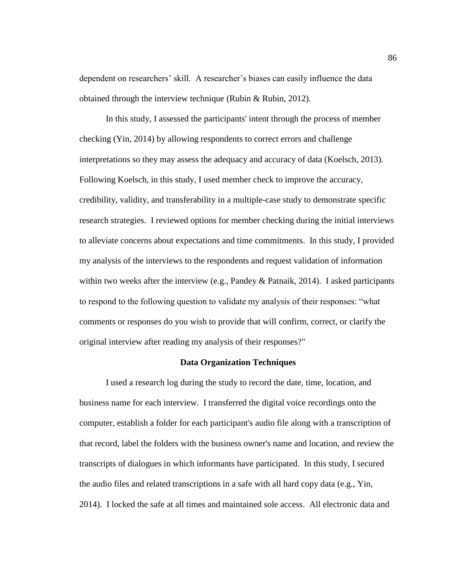dependent on researchers' skill. A researcher's biases can easily influence the data obtained through the interview technique (Rubin & Rubin, 2012).

In this study, I assessed the participants' intent through the process of member checking (Yin, 2014) by allowing respondents to correct errors and challenge interpretations so they may assess the adequacy and accuracy of data (Koelsch, 2013). Following Koelsch, in this study, I used member check to improve the accuracy, credibility, validity, and transferability in a multiple-case study to demonstrate specific research strategies. I reviewed options for member checking during the initial interviews to alleviate concerns about expectations and time commitments. In this study, I provided my analysis of the interviews to the respondents and request validation of information within two weeks after the interview (e.g., Pandey  $&$  Patnaik, 2014). I asked participants to respond to the following question to validate my analysis of their responses: "what comments or responses do you wish to provide that will confirm, correct, or clarify the original interview after reading my analysis of their responses?"

## **Data Organization Techniques**

I used a research log during the study to record the date, time, location, and business name for each interview. I transferred the digital voice recordings onto the computer, establish a folder for each participant's audio file along with a transcription of that record, label the folders with the business owner's name and location, and review the transcripts of dialogues in which informants have participated. In this study, I secured the audio files and related transcriptions in a safe with all hard copy data (e.g., Yin, 2014). I locked the safe at all times and maintained sole access. All electronic data and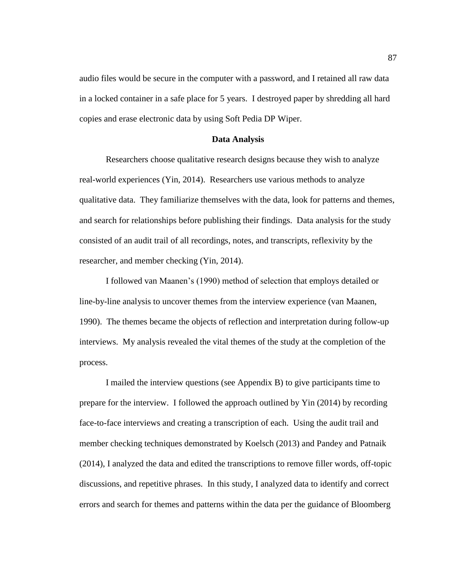audio files would be secure in the computer with a password, and I retained all raw data in a locked container in a safe place for 5 years. I destroyed paper by shredding all hard copies and erase electronic data by using Soft Pedia DP Wiper.

#### **Data Analysis**

Researchers choose qualitative research designs because they wish to analyze real-world experiences (Yin, 2014). Researchers use various methods to analyze qualitative data. They familiarize themselves with the data, look for patterns and themes, and search for relationships before publishing their findings. Data analysis for the study consisted of an audit trail of all recordings, notes, and transcripts, reflexivity by the researcher, and member checking (Yin, 2014).

I followed van Maanen's (1990) method of selection that employs detailed or line-by-line analysis to uncover themes from the interview experience (van Maanen, 1990). The themes became the objects of reflection and interpretation during follow-up interviews. My analysis revealed the vital themes of the study at the completion of the process.

I mailed the interview questions (see Appendix B) to give participants time to prepare for the interview. I followed the approach outlined by Yin (2014) by recording face-to-face interviews and creating a transcription of each. Using the audit trail and member checking techniques demonstrated by Koelsch (2013) and Pandey and Patnaik (2014), I analyzed the data and edited the transcriptions to remove filler words, off-topic discussions, and repetitive phrases. In this study, I analyzed data to identify and correct errors and search for themes and patterns within the data per the guidance of Bloomberg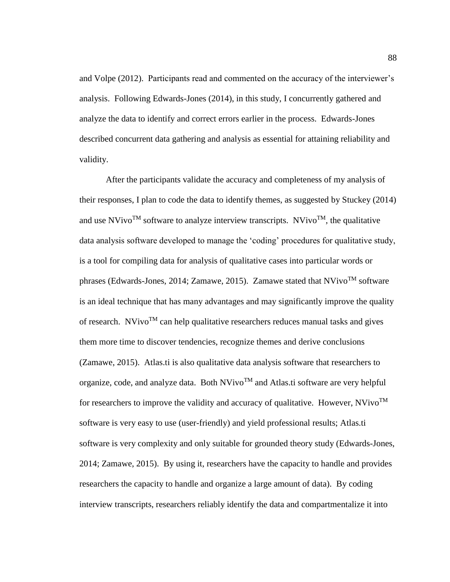and Volpe (2012). Participants read and commented on the accuracy of the interviewer's analysis. Following Edwards-Jones (2014), in this study, I concurrently gathered and analyze the data to identify and correct errors earlier in the process. Edwards-Jones described concurrent data gathering and analysis as essential for attaining reliability and validity.

After the participants validate the accuracy and completeness of my analysis of their responses, I plan to code the data to identify themes, as suggested by Stuckey (2014) and use NVivo<sup>TM</sup> software to analyze interview transcripts. NVivo<sup>TM</sup>, the qualitative data analysis software developed to manage the 'coding' procedures for qualitative study, is a tool for compiling data for analysis of qualitative cases into particular words or phrases (Edwards-Jones, 2014; Zamawe, 2015). Zamawe stated that  $N$ Vivo<sup>TM</sup> software is an ideal technique that has many advantages and may significantly improve the quality of research. NVivo<sup>TM</sup> can help qualitative researchers reduces manual tasks and gives them more time to discover tendencies, recognize themes and derive conclusions (Zamawe, 2015). Atlas.ti is also qualitative data analysis software that researchers to organize, code, and analyze data. Both  $N$ Vivo<sup>TM</sup> and Atlas.ti software are very helpful for researchers to improve the validity and accuracy of qualitative. However,  $N$ Vivo<sup>TM</sup> software is very easy to use (user-friendly) and yield professional results; Atlas.ti software is very complexity and only suitable for grounded theory study (Edwards-Jones, 2014; Zamawe, 2015). By using it, researchers have the capacity to handle and provides researchers the capacity to handle and organize a large amount of data). By coding interview transcripts, researchers reliably identify the data and compartmentalize it into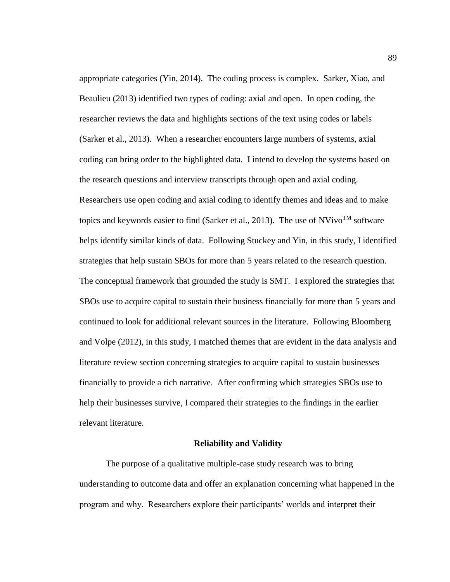appropriate categories (Yin, 2014). The coding process is complex. Sarker, Xiao, and Beaulieu (2013) identified two types of coding: axial and open. In open coding, the researcher reviews the data and highlights sections of the text using codes or labels (Sarker et al., 2013). When a researcher encounters large numbers of systems, axial coding can bring order to the highlighted data. I intend to develop the systems based on the research questions and interview transcripts through open and axial coding. Researchers use open coding and axial coding to identify themes and ideas and to make topics and keywords easier to find (Sarker et al., 2013). The use of  $N$ Vivo<sup>TM</sup> software helps identify similar kinds of data. Following Stuckey and Yin, in this study, I identified strategies that help sustain SBOs for more than 5 years related to the research question. The conceptual framework that grounded the study is SMT. I explored the strategies that SBOs use to acquire capital to sustain their business financially for more than 5 years and continued to look for additional relevant sources in the literature. Following Bloomberg and Volpe (2012), in this study, I matched themes that are evident in the data analysis and literature review section concerning strategies to acquire capital to sustain businesses financially to provide a rich narrative. After confirming which strategies SBOs use to help their businesses survive, I compared their strategies to the findings in the earlier relevant literature.

## **Reliability and Validity**

The purpose of a qualitative multiple-case study research was to bring understanding to outcome data and offer an explanation concerning what happened in the program and why. Researchers explore their participants' worlds and interpret their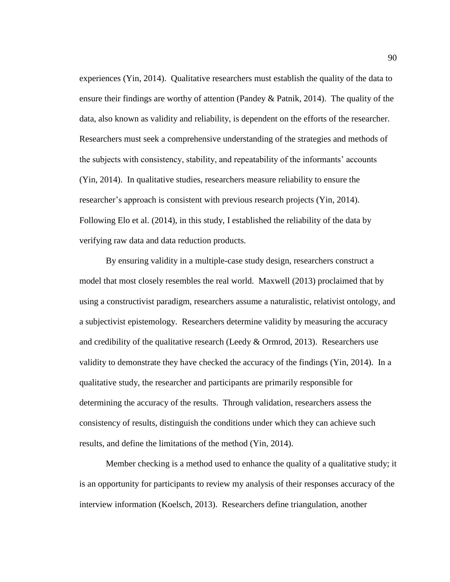experiences (Yin, 2014). Qualitative researchers must establish the quality of the data to ensure their findings are worthy of attention (Pandey & Patnik, 2014). The quality of the data, also known as validity and reliability, is dependent on the efforts of the researcher. Researchers must seek a comprehensive understanding of the strategies and methods of the subjects with consistency, stability, and repeatability of the informants' accounts (Yin, 2014). In qualitative studies, researchers measure reliability to ensure the researcher's approach is consistent with previous research projects (Yin, 2014). Following Elo et al. (2014), in this study, I established the reliability of the data by verifying raw data and data reduction products.

By ensuring validity in a multiple-case study design, researchers construct a model that most closely resembles the real world. Maxwell (2013) proclaimed that by using a constructivist paradigm, researchers assume a naturalistic, relativist ontology, and a subjectivist epistemology. Researchers determine validity by measuring the accuracy and credibility of the qualitative research (Leedy & Ormrod, 2013). Researchers use validity to demonstrate they have checked the accuracy of the findings (Yin, 2014). In a qualitative study, the researcher and participants are primarily responsible for determining the accuracy of the results. Through validation, researchers assess the consistency of results, distinguish the conditions under which they can achieve such results, and define the limitations of the method (Yin, 2014).

Member checking is a method used to enhance the quality of a qualitative study; it is an opportunity for participants to review my analysis of their responses accuracy of the interview information (Koelsch, 2013). Researchers define triangulation, another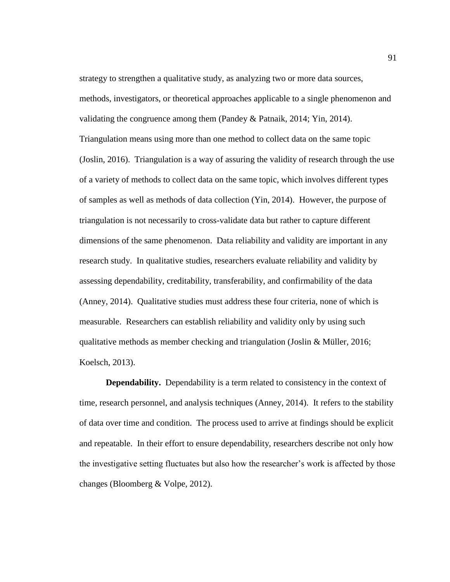strategy to strengthen a qualitative study, as analyzing two or more data sources, methods, investigators, or theoretical approaches applicable to a single phenomenon and validating the congruence among them (Pandey & Patnaik, 2014; Yin, 2014). Triangulation means using more than one method to collect data on the same topic (Joslin, 2016). Triangulation is a way of assuring the validity of research through the use of a variety of methods to collect data on the same topic, which involves different types of samples as well as methods of data collection (Yin, 2014). However, the purpose of triangulation is not necessarily to cross-validate data but rather to capture different dimensions of the same phenomenon. Data reliability and validity are important in any research study. In qualitative studies, researchers evaluate reliability and validity by assessing dependability, creditability, transferability, and confirmability of the data (Anney, 2014). Qualitative studies must address these four criteria, none of which is measurable. Researchers can establish reliability and validity only by using such qualitative methods as member checking and triangulation (Joslin & Müller, 2016; Koelsch, 2013).

**Dependability.** Dependability is a term related to consistency in the context of time, research personnel, and analysis techniques (Anney, 2014). It refers to the stability of data over time and condition. The process used to arrive at findings should be explicit and repeatable. In their effort to ensure dependability, researchers describe not only how the investigative setting fluctuates but also how the researcher's work is affected by those changes (Bloomberg & Volpe, 2012).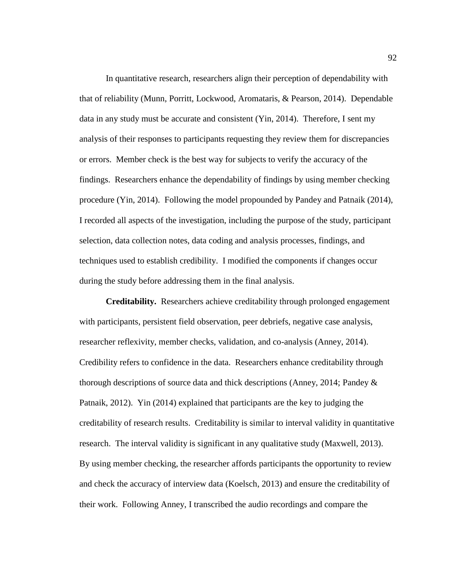In quantitative research, researchers align their perception of dependability with that of reliability (Munn, Porritt, Lockwood, Aromataris, & Pearson, 2014). Dependable data in any study must be accurate and consistent (Yin, 2014). Therefore, I sent my analysis of their responses to participants requesting they review them for discrepancies or errors. Member check is the best way for subjects to verify the accuracy of the findings. Researchers enhance the dependability of findings by using member checking procedure (Yin, 2014). Following the model propounded by Pandey and Patnaik (2014), I recorded all aspects of the investigation, including the purpose of the study, participant selection, data collection notes, data coding and analysis processes, findings, and techniques used to establish credibility. I modified the components if changes occur during the study before addressing them in the final analysis.

**Creditability.** Researchers achieve creditability through prolonged engagement with participants, persistent field observation, peer debriefs, negative case analysis, researcher reflexivity, member checks, validation, and co-analysis (Anney, 2014). Credibility refers to confidence in the data. Researchers enhance creditability through thorough descriptions of source data and thick descriptions (Anney, 2014; Pandey & Patnaik, 2012). Yin (2014) explained that participants are the key to judging the creditability of research results. Creditability is similar to interval validity in quantitative research. The interval validity is significant in any qualitative study (Maxwell, 2013). By using member checking, the researcher affords participants the opportunity to review and check the accuracy of interview data (Koelsch, 2013) and ensure the creditability of their work. Following Anney, I transcribed the audio recordings and compare the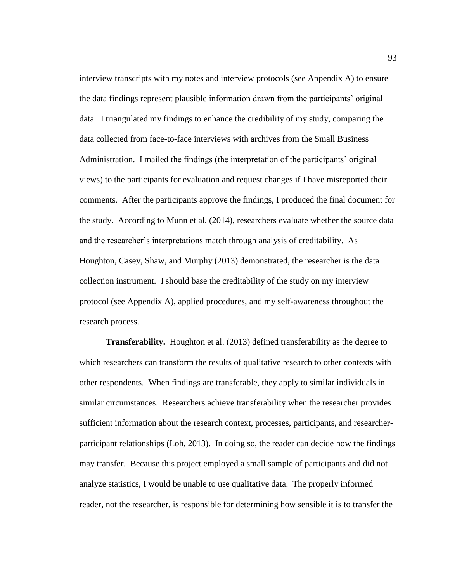interview transcripts with my notes and interview protocols (see Appendix A) to ensure the data findings represent plausible information drawn from the participants' original data. I triangulated my findings to enhance the credibility of my study, comparing the data collected from face-to-face interviews with archives from the Small Business Administration. I mailed the findings (the interpretation of the participants' original views) to the participants for evaluation and request changes if I have misreported their comments. After the participants approve the findings, I produced the final document for the study. According to Munn et al. (2014), researchers evaluate whether the source data and the researcher's interpretations match through analysis of creditability. As Houghton, Casey, Shaw, and Murphy (2013) demonstrated, the researcher is the data collection instrument. I should base the creditability of the study on my interview protocol (see Appendix A), applied procedures, and my self-awareness throughout the research process.

**Transferability.** Houghton et al. (2013) defined transferability as the degree to which researchers can transform the results of qualitative research to other contexts with other respondents. When findings are transferable, they apply to similar individuals in similar circumstances. Researchers achieve transferability when the researcher provides sufficient information about the research context, processes, participants, and researcherparticipant relationships (Loh, 2013). In doing so, the reader can decide how the findings may transfer. Because this project employed a small sample of participants and did not analyze statistics, I would be unable to use qualitative data. The properly informed reader, not the researcher, is responsible for determining how sensible it is to transfer the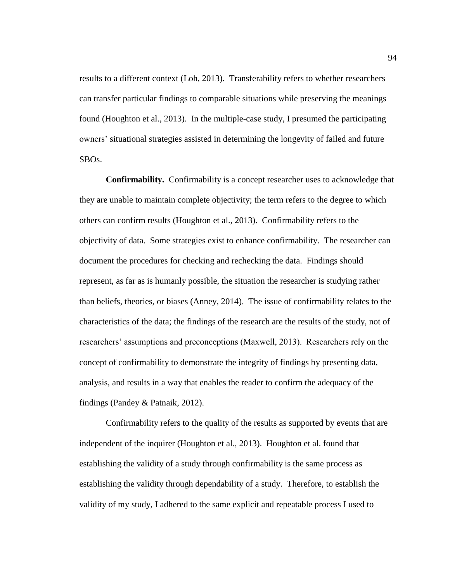results to a different context (Loh, 2013). Transferability refers to whether researchers can transfer particular findings to comparable situations while preserving the meanings found (Houghton et al., 2013). In the multiple-case study, I presumed the participating owners' situational strategies assisted in determining the longevity of failed and future SBOs.

**Confirmability.** Confirmability is a concept researcher uses to acknowledge that they are unable to maintain complete objectivity; the term refers to the degree to which others can confirm results (Houghton et al., 2013). Confirmability refers to the objectivity of data. Some strategies exist to enhance confirmability. The researcher can document the procedures for checking and rechecking the data. Findings should represent, as far as is humanly possible, the situation the researcher is studying rather than beliefs, theories, or biases (Anney, 2014). The issue of confirmability relates to the characteristics of the data; the findings of the research are the results of the study, not of researchers' assumptions and preconceptions (Maxwell, 2013). Researchers rely on the concept of confirmability to demonstrate the integrity of findings by presenting data, analysis, and results in a way that enables the reader to confirm the adequacy of the findings (Pandey & Patnaik, 2012).

Confirmability refers to the quality of the results as supported by events that are independent of the inquirer (Houghton et al., 2013). Houghton et al. found that establishing the validity of a study through confirmability is the same process as establishing the validity through dependability of a study. Therefore, to establish the validity of my study, I adhered to the same explicit and repeatable process I used to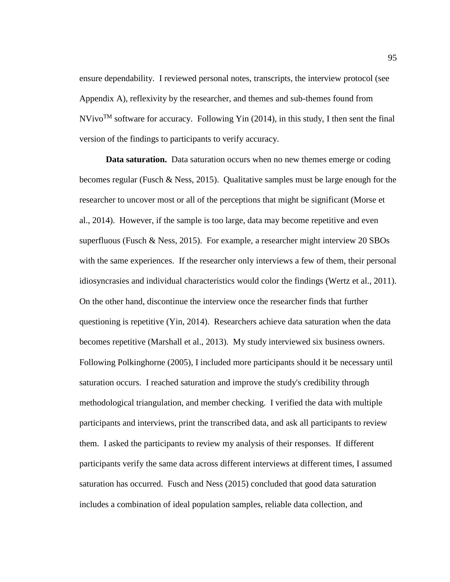ensure dependability. I reviewed personal notes, transcripts, the interview protocol (see Appendix A), reflexivity by the researcher, and themes and sub-themes found from  $N$ Vivo<sup>TM</sup> software for accuracy. Following Yin (2014), in this study, I then sent the final version of the findings to participants to verify accuracy.

**Data saturation.** Data saturation occurs when no new themes emerge or coding becomes regular (Fusch & Ness, 2015). Qualitative samples must be large enough for the researcher to uncover most or all of the perceptions that might be significant (Morse et al., 2014). However, if the sample is too large, data may become repetitive and even superfluous (Fusch & Ness, 2015). For example, a researcher might interview 20 SBOs with the same experiences. If the researcher only interviews a few of them, their personal idiosyncrasies and individual characteristics would color the findings (Wertz et al., 2011). On the other hand, discontinue the interview once the researcher finds that further questioning is repetitive (Yin, 2014). Researchers achieve data saturation when the data becomes repetitive (Marshall et al., 2013). My study interviewed six business owners. Following Polkinghorne (2005), I included more participants should it be necessary until saturation occurs. I reached saturation and improve the study's credibility through methodological triangulation, and member checking. I verified the data with multiple participants and interviews, print the transcribed data, and ask all participants to review them. I asked the participants to review my analysis of their responses. If different participants verify the same data across different interviews at different times, I assumed saturation has occurred. Fusch and Ness (2015) concluded that good data saturation includes a combination of ideal population samples, reliable data collection, and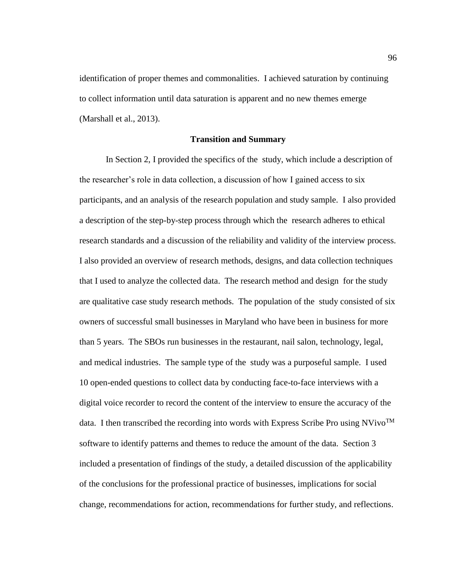identification of proper themes and commonalities. I achieved saturation by continuing to collect information until data saturation is apparent and no new themes emerge (Marshall et al., 2013).

# **Transition and Summary**

In Section 2, I provided the specifics of the study, which include a description of the researcher's role in data collection, a discussion of how I gained access to six participants, and an analysis of the research population and study sample. I also provided a description of the step-by-step process through which the research adheres to ethical research standards and a discussion of the reliability and validity of the interview process. I also provided an overview of research methods, designs, and data collection techniques that I used to analyze the collected data. The research method and design for the study are qualitative case study research methods. The population of the study consisted of six owners of successful small businesses in Maryland who have been in business for more than 5 years. The SBOs run businesses in the restaurant, nail salon, technology, legal, and medical industries. The sample type of the study was a purposeful sample. I used 10 open-ended questions to collect data by conducting face-to-face interviews with a digital voice recorder to record the content of the interview to ensure the accuracy of the data. I then transcribed the recording into words with Express Scribe Pro using NVivo<sup>TM</sup> software to identify patterns and themes to reduce the amount of the data. Section 3 included a presentation of findings of the study, a detailed discussion of the applicability of the conclusions for the professional practice of businesses, implications for social change, recommendations for action, recommendations for further study, and reflections.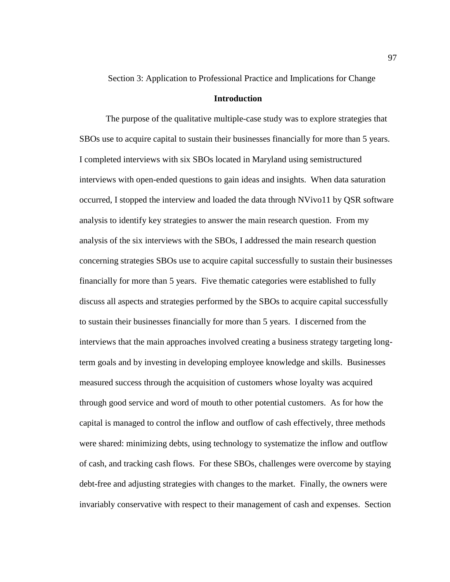Section 3: Application to Professional Practice and Implications for Change

### **Introduction**

The purpose of the qualitative multiple-case study was to explore strategies that SBOs use to acquire capital to sustain their businesses financially for more than 5 years. I completed interviews with six SBOs located in Maryland using semistructured interviews with open-ended questions to gain ideas and insights. When data saturation occurred, I stopped the interview and loaded the data through NVivo11 by QSR software analysis to identify key strategies to answer the main research question. From my analysis of the six interviews with the SBOs, I addressed the main research question concerning strategies SBOs use to acquire capital successfully to sustain their businesses financially for more than 5 years. Five thematic categories were established to fully discuss all aspects and strategies performed by the SBOs to acquire capital successfully to sustain their businesses financially for more than 5 years. I discerned from the interviews that the main approaches involved creating a business strategy targeting longterm goals and by investing in developing employee knowledge and skills. Businesses measured success through the acquisition of customers whose loyalty was acquired through good service and word of mouth to other potential customers. As for how the capital is managed to control the inflow and outflow of cash effectively, three methods were shared: minimizing debts, using technology to systematize the inflow and outflow of cash, and tracking cash flows. For these SBOs, challenges were overcome by staying debt-free and adjusting strategies with changes to the market. Finally, the owners were invariably conservative with respect to their management of cash and expenses. Section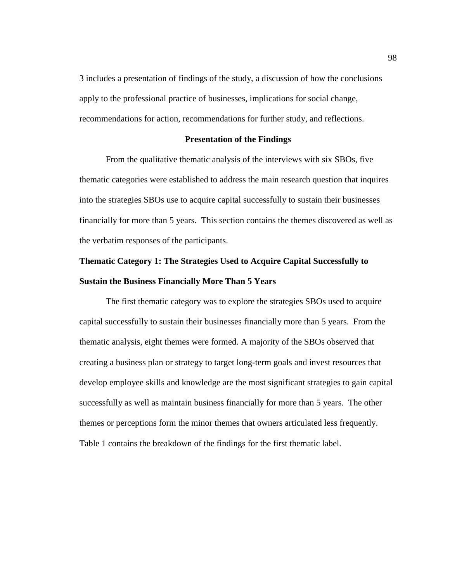3 includes a presentation of findings of the study, a discussion of how the conclusions apply to the professional practice of businesses, implications for social change, recommendations for action, recommendations for further study, and reflections.

### **Presentation of the Findings**

From the qualitative thematic analysis of the interviews with six SBOs, five thematic categories were established to address the main research question that inquires into the strategies SBOs use to acquire capital successfully to sustain their businesses financially for more than 5 years. This section contains the themes discovered as well as the verbatim responses of the participants.

# **Thematic Category 1: The Strategies Used to Acquire Capital Successfully to Sustain the Business Financially More Than 5 Years**

The first thematic category was to explore the strategies SBOs used to acquire capital successfully to sustain their businesses financially more than 5 years. From the thematic analysis, eight themes were formed. A majority of the SBOs observed that creating a business plan or strategy to target long-term goals and invest resources that develop employee skills and knowledge are the most significant strategies to gain capital successfully as well as maintain business financially for more than 5 years. The other themes or perceptions form the minor themes that owners articulated less frequently. Table 1 contains the breakdown of the findings for the first thematic label.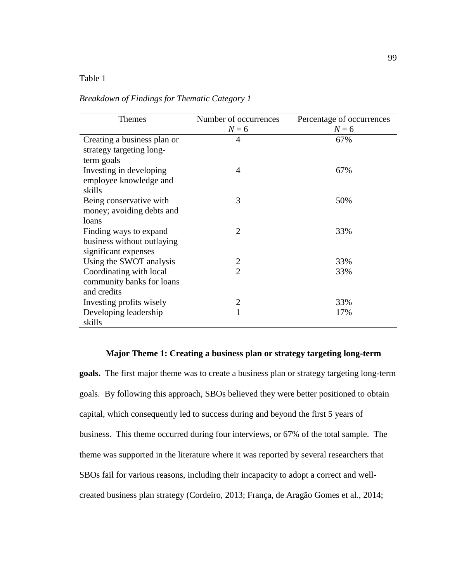### Table 1

| <b>Themes</b>               | Number of occurrences | Percentage of occurrences |
|-----------------------------|-----------------------|---------------------------|
|                             | $N=6$                 | $N=6$                     |
| Creating a business plan or | 4                     | 67%                       |
| strategy targeting long-    |                       |                           |
| term goals                  |                       |                           |
| Investing in developing     | $\overline{4}$        | 67%                       |
| employee knowledge and      |                       |                           |
| skills                      |                       |                           |
| Being conservative with     | 3                     | 50%                       |
| money; avoiding debts and   |                       |                           |
| loans                       |                       |                           |
| Finding ways to expand      | $\overline{2}$        | 33%                       |
| business without outlaying  |                       |                           |
| significant expenses        |                       |                           |
| Using the SWOT analysis     | $\overline{2}$        | 33%                       |
| Coordinating with local     | $\overline{2}$        | 33%                       |
| community banks for loans   |                       |                           |
| and credits                 |                       |                           |
| Investing profits wisely    | $\overline{2}$        | 33%                       |
| Developing leadership       |                       | 17%                       |
| skills                      |                       |                           |

*Breakdown of Findings for Thematic Category 1*

### **Major Theme 1: Creating a business plan or strategy targeting long-term**

**goals.** The first major theme was to create a business plan or strategy targeting long-term goals. By following this approach, SBOs believed they were better positioned to obtain capital, which consequently led to success during and beyond the first 5 years of business. This theme occurred during four interviews, or 67% of the total sample. The theme was supported in the literature where it was reported by several researchers that SBOs fail for various reasons, including their incapacity to adopt a correct and wellcreated business plan strategy (Cordeiro, 2013; França, de Aragão Gomes et al., 2014;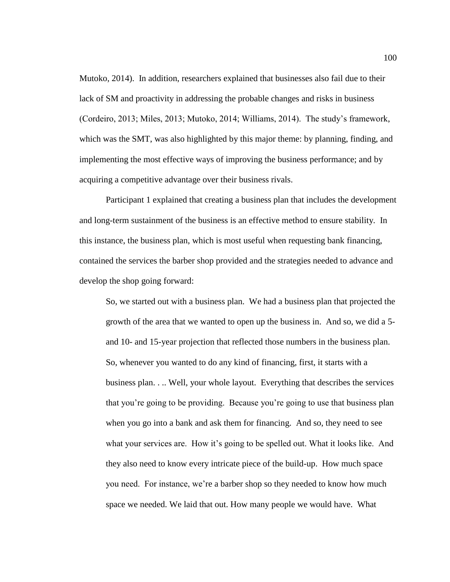Mutoko, 2014). In addition, researchers explained that businesses also fail due to their lack of SM and proactivity in addressing the probable changes and risks in business (Cordeiro, 2013; Miles, 2013; Mutoko, 2014; Williams, 2014). The study's framework, which was the SMT, was also highlighted by this major theme: by planning, finding, and implementing the most effective ways of improving the business performance; and by acquiring a competitive advantage over their business rivals.

Participant 1 explained that creating a business plan that includes the development and long-term sustainment of the business is an effective method to ensure stability. In this instance, the business plan, which is most useful when requesting bank financing, contained the services the barber shop provided and the strategies needed to advance and develop the shop going forward:

So, we started out with a business plan. We had a business plan that projected the growth of the area that we wanted to open up the business in. And so, we did a 5 and 10- and 15-year projection that reflected those numbers in the business plan. So, whenever you wanted to do any kind of financing, first, it starts with a business plan. . .. Well, your whole layout. Everything that describes the services that you're going to be providing. Because you're going to use that business plan when you go into a bank and ask them for financing. And so, they need to see what your services are. How it's going to be spelled out. What it looks like. And they also need to know every intricate piece of the build-up. How much space you need. For instance, we're a barber shop so they needed to know how much space we needed. We laid that out. How many people we would have. What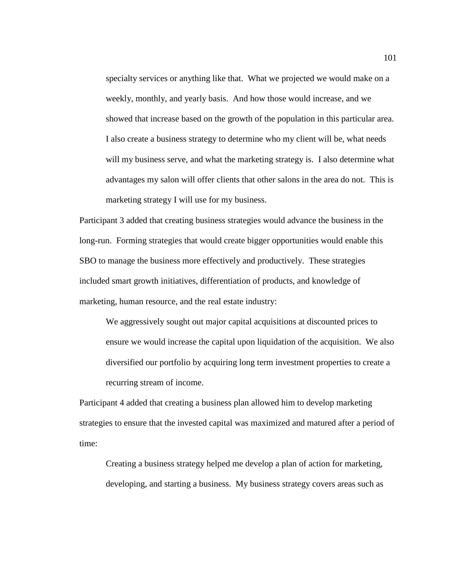specialty services or anything like that. What we projected we would make on a weekly, monthly, and yearly basis. And how those would increase, and we showed that increase based on the growth of the population in this particular area. I also create a business strategy to determine who my client will be, what needs will my business serve, and what the marketing strategy is. I also determine what advantages my salon will offer clients that other salons in the area do not. This is marketing strategy I will use for my business.

Participant 3 added that creating business strategies would advance the business in the long-run. Forming strategies that would create bigger opportunities would enable this SBO to manage the business more effectively and productively. These strategies included smart growth initiatives, differentiation of products, and knowledge of marketing, human resource, and the real estate industry:

We aggressively sought out major capital acquisitions at discounted prices to ensure we would increase the capital upon liquidation of the acquisition. We also diversified our portfolio by acquiring long term investment properties to create a recurring stream of income.

Participant 4 added that creating a business plan allowed him to develop marketing strategies to ensure that the invested capital was maximized and matured after a period of time:

Creating a business strategy helped me develop a plan of action for marketing, developing, and starting a business. My business strategy covers areas such as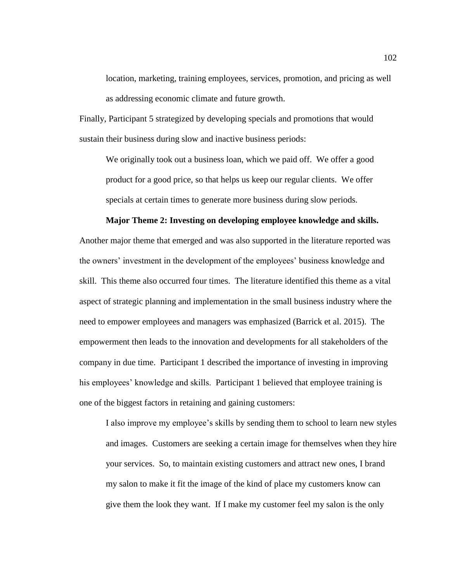location, marketing, training employees, services, promotion, and pricing as well as addressing economic climate and future growth.

Finally, Participant 5 strategized by developing specials and promotions that would sustain their business during slow and inactive business periods:

We originally took out a business loan, which we paid off. We offer a good product for a good price, so that helps us keep our regular clients. We offer specials at certain times to generate more business during slow periods.

### **Major Theme 2: Investing on developing employee knowledge and skills.**

Another major theme that emerged and was also supported in the literature reported was the owners' investment in the development of the employees' business knowledge and skill. This theme also occurred four times. The literature identified this theme as a vital aspect of strategic planning and implementation in the small business industry where the need to empower employees and managers was emphasized (Barrick et al. 2015). The empowerment then leads to the innovation and developments for all stakeholders of the company in due time. Participant 1 described the importance of investing in improving his employees' knowledge and skills. Participant 1 believed that employee training is one of the biggest factors in retaining and gaining customers:

I also improve my employee's skills by sending them to school to learn new styles and images. Customers are seeking a certain image for themselves when they hire your services. So, to maintain existing customers and attract new ones, I brand my salon to make it fit the image of the kind of place my customers know can give them the look they want. If I make my customer feel my salon is the only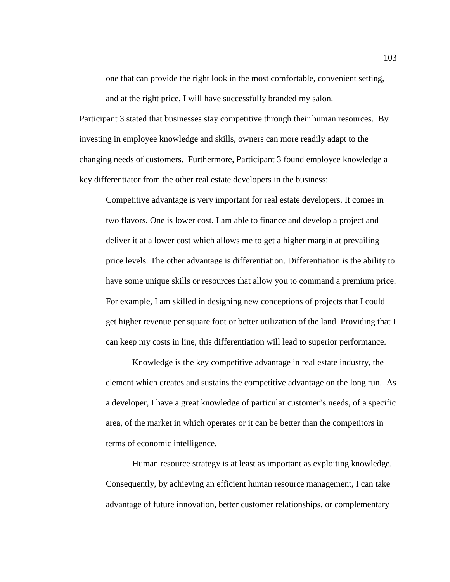one that can provide the right look in the most comfortable, convenient setting, and at the right price, I will have successfully branded my salon.

Participant 3 stated that businesses stay competitive through their human resources. By investing in employee knowledge and skills, owners can more readily adapt to the changing needs of customers. Furthermore, Participant 3 found employee knowledge a key differentiator from the other real estate developers in the business:

Competitive advantage is very important for real estate developers. It comes in two flavors. One is lower cost. I am able to finance and develop a project and deliver it at a lower cost which allows me to get a higher margin at prevailing price levels. The other advantage is differentiation. Differentiation is the ability to have some unique skills or resources that allow you to command a premium price. For example, I am skilled in designing new conceptions of projects that I could get higher revenue per square foot or better utilization of the land. Providing that I can keep my costs in line, this differentiation will lead to superior performance.

Knowledge is the key competitive advantage in real estate industry, the element which creates and sustains the competitive advantage on the long run. As a developer, I have a great knowledge of particular customer's needs, of a specific area, of the market in which operates or it can be better than the competitors in terms of economic intelligence.

Human resource strategy is at least as important as exploiting knowledge. Consequently, by achieving an efficient human resource management, I can take advantage of future innovation, better customer relationships, or complementary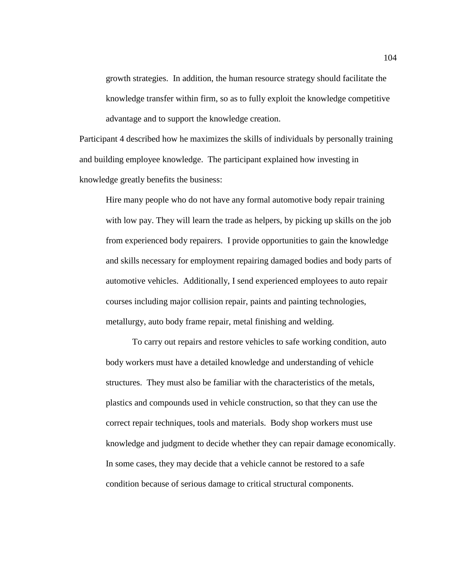growth strategies. In addition, the human resource strategy should facilitate the knowledge transfer within firm, so as to fully exploit the knowledge competitive advantage and to support the knowledge creation.

Participant 4 described how he maximizes the skills of individuals by personally training and building employee knowledge. The participant explained how investing in knowledge greatly benefits the business:

Hire many people who do not have any formal automotive body repair training with low pay. They will learn the trade as helpers, by picking up skills on the job from experienced body repairers. I provide opportunities to gain the knowledge and skills necessary for employment repairing damaged bodies and body parts of automotive vehicles. Additionally, I send experienced employees to auto repair courses including major collision repair, paints and painting technologies, metallurgy, auto body frame repair, metal finishing and welding.

To carry out repairs and restore vehicles to safe working condition, auto body workers must have a detailed knowledge and understanding of vehicle structures. They must also be familiar with the characteristics of the metals, plastics and compounds used in vehicle construction, so that they can use the correct repair techniques, tools and materials. Body shop workers must use knowledge and judgment to decide whether they can repair damage economically. In some cases, they may decide that a vehicle cannot be restored to a safe condition because of serious damage to critical structural components.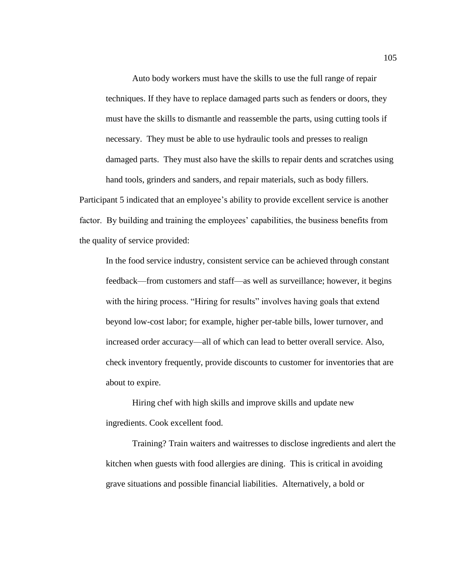Auto body workers must have the skills to use the full range of repair techniques. If they have to replace damaged parts such as fenders or doors, they must have the skills to dismantle and reassemble the parts, using cutting tools if necessary. They must be able to use hydraulic tools and presses to realign damaged parts. They must also have the skills to repair dents and scratches using hand tools, grinders and sanders, and repair materials, such as body fillers.

Participant 5 indicated that an employee's ability to provide excellent service is another factor. By building and training the employees' capabilities, the business benefits from the quality of service provided:

In the food service industry, consistent service can be achieved through constant feedback—from customers and staff—as well as surveillance; however, it begins with the hiring process. "Hiring for results" involves having goals that extend beyond low-cost labor; for example, higher per-table bills, lower turnover, and increased order accuracy—all of which can lead to better overall service. Also, check inventory frequently, provide discounts to customer for inventories that are about to expire.

Hiring chef with high skills and improve skills and update new ingredients. Cook excellent food.

Training? Train waiters and waitresses to disclose ingredients and alert the kitchen when guests with food allergies are dining. This is critical in avoiding grave situations and possible financial liabilities. Alternatively, a bold or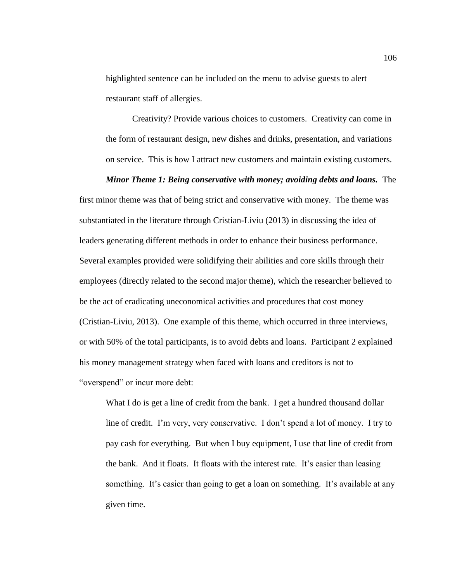highlighted sentence can be included on the menu to advise guests to alert restaurant staff of allergies.

Creativity? Provide various choices to customers. Creativity can come in the form of restaurant design, new dishes and drinks, presentation, and variations on service. This is how I attract new customers and maintain existing customers.

#### *Minor Theme 1: Being conservative with money; avoiding debts and loans.* The

first minor theme was that of being strict and conservative with money. The theme was substantiated in the literature through Cristian-Liviu (2013) in discussing the idea of leaders generating different methods in order to enhance their business performance. Several examples provided were solidifying their abilities and core skills through their employees (directly related to the second major theme), which the researcher believed to be the act of eradicating uneconomical activities and procedures that cost money (Cristian-Liviu, 2013). One example of this theme, which occurred in three interviews, or with 50% of the total participants, is to avoid debts and loans. Participant 2 explained his money management strategy when faced with loans and creditors is not to "overspend" or incur more debt:

What I do is get a line of credit from the bank. I get a hundred thousand dollar line of credit. I'm very, very conservative. I don't spend a lot of money. I try to pay cash for everything. But when I buy equipment, I use that line of credit from the bank. And it floats. It floats with the interest rate. It's easier than leasing something. It's easier than going to get a loan on something. It's available at any given time.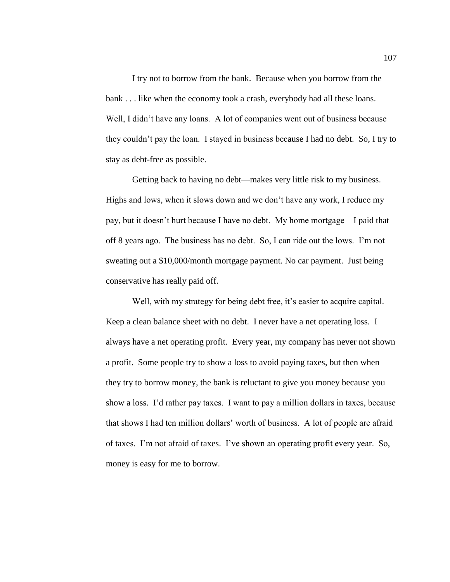I try not to borrow from the bank. Because when you borrow from the bank . . . like when the economy took a crash, everybody had all these loans. Well, I didn't have any loans. A lot of companies went out of business because they couldn't pay the loan. I stayed in business because I had no debt. So, I try to stay as debt-free as possible.

Getting back to having no debt—makes very little risk to my business. Highs and lows, when it slows down and we don't have any work, I reduce my pay, but it doesn't hurt because I have no debt. My home mortgage—I paid that off 8 years ago. The business has no debt. So, I can ride out the lows. I'm not sweating out a \$10,000/month mortgage payment. No car payment. Just being conservative has really paid off.

Well, with my strategy for being debt free, it's easier to acquire capital. Keep a clean balance sheet with no debt. I never have a net operating loss. I always have a net operating profit. Every year, my company has never not shown a profit. Some people try to show a loss to avoid paying taxes, but then when they try to borrow money, the bank is reluctant to give you money because you show a loss. I'd rather pay taxes. I want to pay a million dollars in taxes, because that shows I had ten million dollars' worth of business. A lot of people are afraid of taxes. I'm not afraid of taxes. I've shown an operating profit every year. So, money is easy for me to borrow.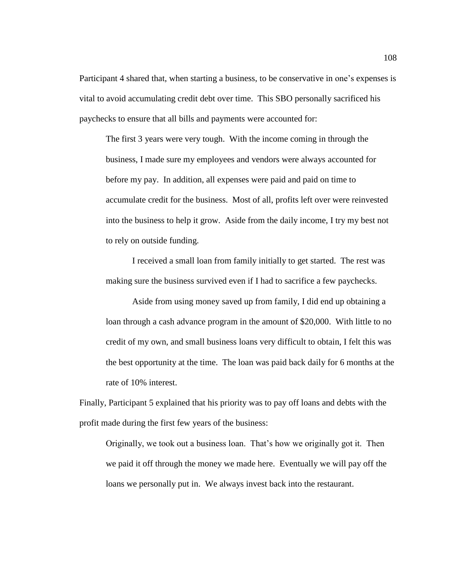Participant 4 shared that, when starting a business, to be conservative in one's expenses is vital to avoid accumulating credit debt over time. This SBO personally sacrificed his paychecks to ensure that all bills and payments were accounted for:

The first 3 years were very tough. With the income coming in through the business, I made sure my employees and vendors were always accounted for before my pay. In addition, all expenses were paid and paid on time to accumulate credit for the business. Most of all, profits left over were reinvested into the business to help it grow. Aside from the daily income, I try my best not to rely on outside funding.

I received a small loan from family initially to get started. The rest was making sure the business survived even if I had to sacrifice a few paychecks.

Aside from using money saved up from family, I did end up obtaining a loan through a cash advance program in the amount of \$20,000. With little to no credit of my own, and small business loans very difficult to obtain, I felt this was the best opportunity at the time. The loan was paid back daily for 6 months at the rate of 10% interest.

Finally, Participant 5 explained that his priority was to pay off loans and debts with the profit made during the first few years of the business:

Originally, we took out a business loan. That's how we originally got it. Then we paid it off through the money we made here. Eventually we will pay off the loans we personally put in. We always invest back into the restaurant.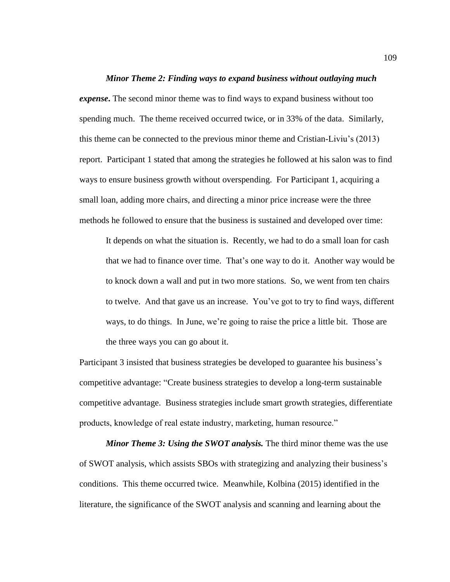### *Minor Theme 2: Finding ways to expand business without outlaying much*

*expense***.** The second minor theme was to find ways to expand business without too spending much. The theme received occurred twice, or in 33% of the data. Similarly, this theme can be connected to the previous minor theme and Cristian-Liviu's (2013) report. Participant 1 stated that among the strategies he followed at his salon was to find ways to ensure business growth without overspending. For Participant 1, acquiring a small loan, adding more chairs, and directing a minor price increase were the three methods he followed to ensure that the business is sustained and developed over time:

It depends on what the situation is. Recently, we had to do a small loan for cash that we had to finance over time. That's one way to do it. Another way would be to knock down a wall and put in two more stations. So, we went from ten chairs to twelve. And that gave us an increase. You've got to try to find ways, different ways, to do things. In June, we're going to raise the price a little bit. Those are the three ways you can go about it.

Participant 3 insisted that business strategies be developed to guarantee his business's competitive advantage: "Create business strategies to develop a long-term sustainable competitive advantage. Business strategies include smart growth strategies, differentiate products, knowledge of real estate industry, marketing, human resource."

*Minor Theme 3: Using the SWOT analysis.* The third minor theme was the use of SWOT analysis, which assists SBOs with strategizing and analyzing their business's conditions. This theme occurred twice. Meanwhile, Kolbina (2015) identified in the literature, the significance of the SWOT analysis and scanning and learning about the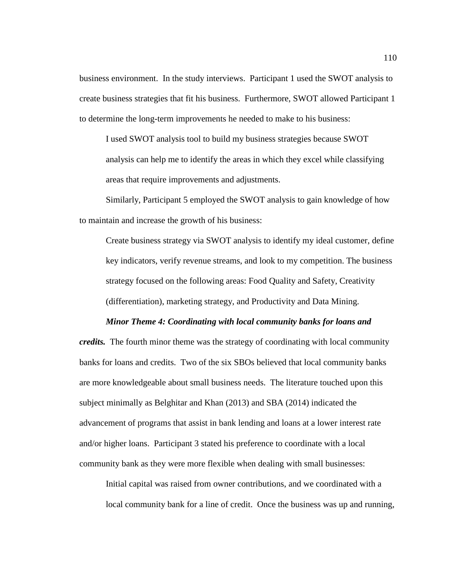business environment. In the study interviews. Participant 1 used the SWOT analysis to create business strategies that fit his business. Furthermore, SWOT allowed Participant 1 to determine the long-term improvements he needed to make to his business:

I used SWOT analysis tool to build my business strategies because SWOT analysis can help me to identify the areas in which they excel while classifying areas that require improvements and adjustments.

Similarly, Participant 5 employed the SWOT analysis to gain knowledge of how to maintain and increase the growth of his business:

Create business strategy via SWOT analysis to identify my ideal customer, define key indicators, verify revenue streams, and look to my competition. The business strategy focused on the following areas: Food Quality and Safety, Creativity (differentiation), marketing strategy, and Productivity and Data Mining.

#### *Minor Theme 4: Coordinating with local community banks for loans and*

*credits.* The fourth minor theme was the strategy of coordinating with local community banks for loans and credits. Two of the six SBOs believed that local community banks are more knowledgeable about small business needs. The literature touched upon this subject minimally as Belghitar and Khan (2013) and SBA (2014) indicated the advancement of programs that assist in bank lending and loans at a lower interest rate and/or higher loans. Participant 3 stated his preference to coordinate with a local community bank as they were more flexible when dealing with small businesses:

Initial capital was raised from owner contributions, and we coordinated with a local community bank for a line of credit. Once the business was up and running,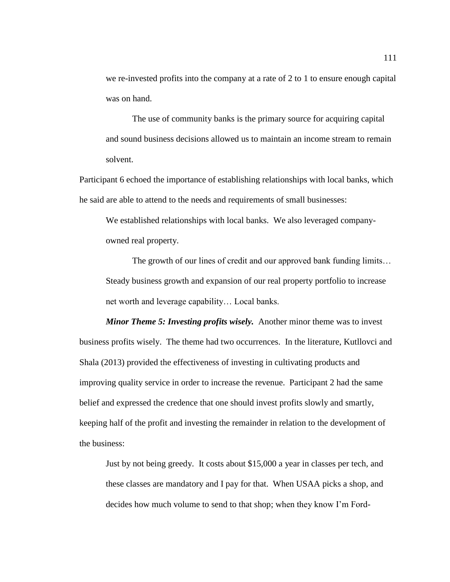we re-invested profits into the company at a rate of 2 to 1 to ensure enough capital was on hand.

The use of community banks is the primary source for acquiring capital and sound business decisions allowed us to maintain an income stream to remain solvent.

Participant 6 echoed the importance of establishing relationships with local banks, which he said are able to attend to the needs and requirements of small businesses:

We established relationships with local banks. We also leveraged companyowned real property.

The growth of our lines of credit and our approved bank funding limits… Steady business growth and expansion of our real property portfolio to increase net worth and leverage capability… Local banks.

*Minor Theme 5: Investing profits wisely.* Another minor theme was to invest business profits wisely. The theme had two occurrences. In the literature, Kutllovci and Shala (2013) provided the effectiveness of investing in cultivating products and improving quality service in order to increase the revenue. Participant 2 had the same belief and expressed the credence that one should invest profits slowly and smartly, keeping half of the profit and investing the remainder in relation to the development of the business:

Just by not being greedy. It costs about \$15,000 a year in classes per tech, and these classes are mandatory and I pay for that. When USAA picks a shop, and decides how much volume to send to that shop; when they know I'm Ford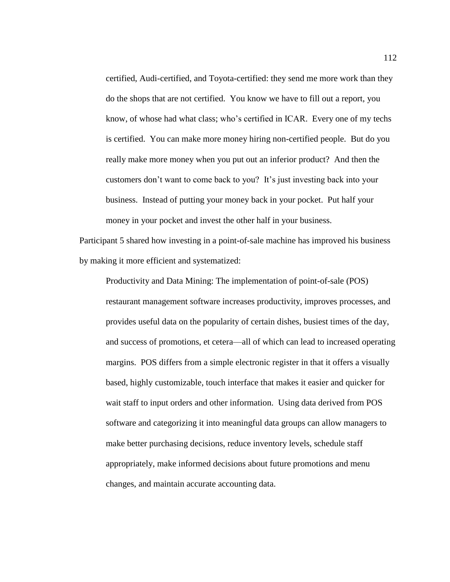certified, Audi-certified, and Toyota-certified: they send me more work than they do the shops that are not certified. You know we have to fill out a report, you know, of whose had what class; who's certified in ICAR. Every one of my techs is certified. You can make more money hiring non-certified people. But do you really make more money when you put out an inferior product? And then the customers don't want to come back to you? It's just investing back into your business. Instead of putting your money back in your pocket. Put half your money in your pocket and invest the other half in your business.

Participant 5 shared how investing in a point-of-sale machine has improved his business by making it more efficient and systematized:

Productivity and Data Mining: The implementation of point-of-sale (POS) restaurant management software increases productivity, improves processes, and provides useful data on the popularity of certain dishes, busiest times of the day, and success of promotions, et cetera—all of which can lead to increased operating margins. POS differs from a simple electronic register in that it offers a visually based, highly customizable, touch interface that makes it easier and quicker for wait staff to input orders and other information. Using data derived from POS software and categorizing it into meaningful data groups can allow managers to make better purchasing decisions, reduce inventory levels, schedule staff appropriately, make informed decisions about future promotions and menu changes, and maintain accurate accounting data.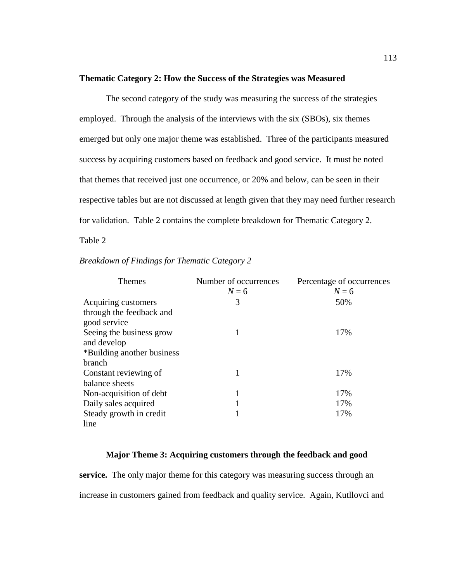### **Thematic Category 2: How the Success of the Strategies was Measured**

The second category of the study was measuring the success of the strategies employed. Through the analysis of the interviews with the six (SBOs), six themes emerged but only one major theme was established. Three of the participants measured success by acquiring customers based on feedback and good service. It must be noted that themes that received just one occurrence, or 20% and below, can be seen in their respective tables but are not discussed at length given that they may need further research for validation. Table 2 contains the complete breakdown for Thematic Category 2. Table 2

| <b>Themes</b>              | Number of occurrences | Percentage of occurrences |
|----------------------------|-----------------------|---------------------------|
|                            | $N=6$                 | $N=6$                     |
| Acquiring customers        | 3                     | 50%                       |
| through the feedback and   |                       |                           |
| good service               |                       |                           |
| Seeing the business grow   |                       | 17%                       |
| and develop                |                       |                           |
| *Building another business |                       |                           |
| branch                     |                       |                           |
| Constant reviewing of      |                       | 17%                       |
| balance sheets             |                       |                           |
| Non-acquisition of debt    |                       | 17%                       |
| Daily sales acquired       |                       | 17%                       |
| Steady growth in credit    |                       | 17%                       |
| line                       |                       |                           |

| Breakdown of Findings for Thematic Category 2 |  |  |
|-----------------------------------------------|--|--|
|-----------------------------------------------|--|--|

### **Major Theme 3: Acquiring customers through the feedback and good**

**service.** The only major theme for this category was measuring success through an increase in customers gained from feedback and quality service. Again, Kutllovci and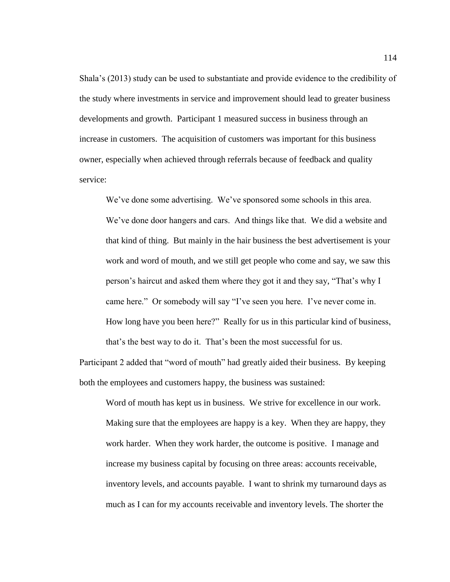Shala's (2013) study can be used to substantiate and provide evidence to the credibility of the study where investments in service and improvement should lead to greater business developments and growth. Participant 1 measured success in business through an increase in customers. The acquisition of customers was important for this business owner, especially when achieved through referrals because of feedback and quality service:

We've done some advertising. We've sponsored some schools in this area. We've done door hangers and cars. And things like that. We did a website and that kind of thing. But mainly in the hair business the best advertisement is your work and word of mouth, and we still get people who come and say, we saw this person's haircut and asked them where they got it and they say, "That's why I came here." Or somebody will say "I've seen you here. I've never come in. How long have you been here?" Really for us in this particular kind of business, that's the best way to do it. That's been the most successful for us.

Participant 2 added that "word of mouth" had greatly aided their business. By keeping both the employees and customers happy, the business was sustained:

Word of mouth has kept us in business. We strive for excellence in our work. Making sure that the employees are happy is a key. When they are happy, they work harder. When they work harder, the outcome is positive. I manage and increase my business capital by focusing on three areas: accounts receivable, inventory levels, and accounts payable. I want to shrink my turnaround days as much as I can for my accounts receivable and inventory levels. The shorter the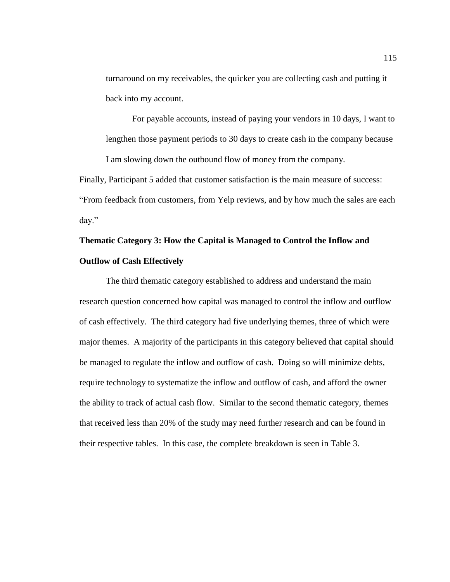turnaround on my receivables, the quicker you are collecting cash and putting it back into my account.

For payable accounts, instead of paying your vendors in 10 days, I want to lengthen those payment periods to 30 days to create cash in the company because

I am slowing down the outbound flow of money from the company.

Finally, Participant 5 added that customer satisfaction is the main measure of success: "From feedback from customers, from Yelp reviews, and by how much the sales are each day."

# **Thematic Category 3: How the Capital is Managed to Control the Inflow and Outflow of Cash Effectively**

The third thematic category established to address and understand the main research question concerned how capital was managed to control the inflow and outflow of cash effectively. The third category had five underlying themes, three of which were major themes. A majority of the participants in this category believed that capital should be managed to regulate the inflow and outflow of cash. Doing so will minimize debts, require technology to systematize the inflow and outflow of cash, and afford the owner the ability to track of actual cash flow. Similar to the second thematic category, themes that received less than 20% of the study may need further research and can be found in their respective tables. In this case, the complete breakdown is seen in Table 3.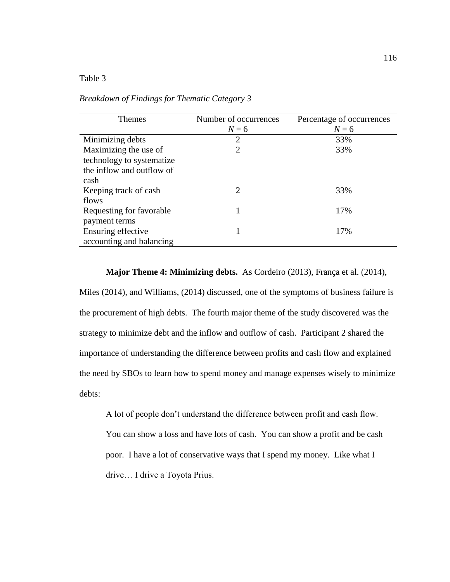### Table 3

| <b>Themes</b>             | Number of occurrences | Percentage of occurrences |
|---------------------------|-----------------------|---------------------------|
|                           | $N=6$                 | $N=6$                     |
| Minimizing debts          | 2                     | 33%                       |
| Maximizing the use of     | 2                     | 33%                       |
| technology to systematize |                       |                           |
| the inflow and outflow of |                       |                           |
| cash                      |                       |                           |
| Keeping track of cash     | 2                     | 33%                       |
| flows                     |                       |                           |
| Requesting for favorable  |                       | 17%                       |
| payment terms             |                       |                           |
| Ensuring effective        |                       | 17%                       |
| accounting and balancing  |                       |                           |

## *Breakdown of Findings for Thematic Category 3*

**Major Theme 4: Minimizing debts.** As Cordeiro (2013), França et al. (2014),

Miles (2014), and Williams, (2014) discussed, one of the symptoms of business failure is the procurement of high debts. The fourth major theme of the study discovered was the strategy to minimize debt and the inflow and outflow of cash. Participant 2 shared the importance of understanding the difference between profits and cash flow and explained the need by SBOs to learn how to spend money and manage expenses wisely to minimize debts:

A lot of people don't understand the difference between profit and cash flow. You can show a loss and have lots of cash. You can show a profit and be cash poor. I have a lot of conservative ways that I spend my money. Like what I drive… I drive a Toyota Prius.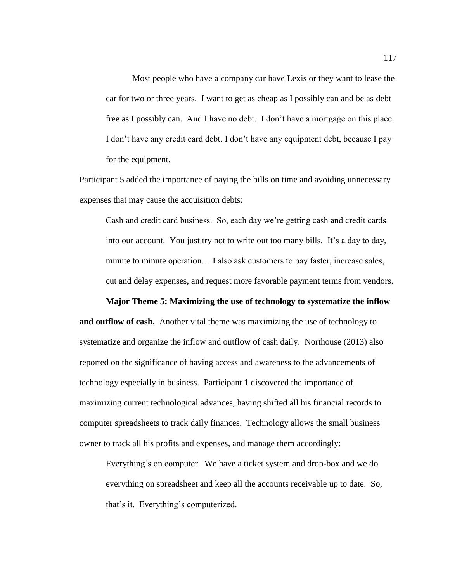Most people who have a company car have Lexis or they want to lease the car for two or three years. I want to get as cheap as I possibly can and be as debt free as I possibly can. And I have no debt. I don't have a mortgage on this place. I don't have any credit card debt. I don't have any equipment debt, because I pay for the equipment.

Participant 5 added the importance of paying the bills on time and avoiding unnecessary expenses that may cause the acquisition debts:

Cash and credit card business. So, each day we're getting cash and credit cards into our account. You just try not to write out too many bills. It's a day to day, minute to minute operation… I also ask customers to pay faster, increase sales, cut and delay expenses, and request more favorable payment terms from vendors.

**Major Theme 5: Maximizing the use of technology to systematize the inflow** 

**and outflow of cash.** Another vital theme was maximizing the use of technology to systematize and organize the inflow and outflow of cash daily. Northouse (2013) also reported on the significance of having access and awareness to the advancements of technology especially in business. Participant 1 discovered the importance of maximizing current technological advances, having shifted all his financial records to computer spreadsheets to track daily finances. Technology allows the small business owner to track all his profits and expenses, and manage them accordingly:

Everything's on computer. We have a ticket system and drop-box and we do everything on spreadsheet and keep all the accounts receivable up to date. So, that's it. Everything's computerized.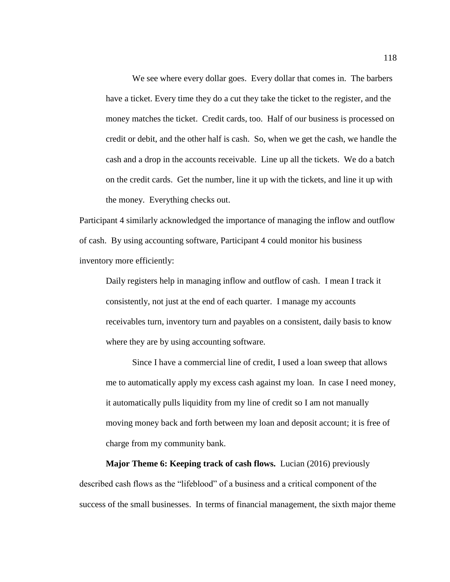We see where every dollar goes. Every dollar that comes in. The barbers have a ticket. Every time they do a cut they take the ticket to the register, and the money matches the ticket. Credit cards, too. Half of our business is processed on credit or debit, and the other half is cash. So, when we get the cash, we handle the cash and a drop in the accounts receivable. Line up all the tickets. We do a batch on the credit cards. Get the number, line it up with the tickets, and line it up with the money. Everything checks out.

Participant 4 similarly acknowledged the importance of managing the inflow and outflow of cash. By using accounting software, Participant 4 could monitor his business inventory more efficiently:

Daily registers help in managing inflow and outflow of cash. I mean I track it consistently, not just at the end of each quarter. I manage my accounts receivables turn, inventory turn and payables on a consistent, daily basis to know where they are by using accounting software.

Since I have a commercial line of credit, I used a loan sweep that allows me to automatically apply my excess cash against my loan. In case I need money, it automatically pulls liquidity from my line of credit so I am not manually moving money back and forth between my loan and deposit account; it is free of charge from my community bank.

**Major Theme 6: Keeping track of cash flows.** Lucian (2016) previously described cash flows as the "lifeblood" of a business and a critical component of the success of the small businesses. In terms of financial management, the sixth major theme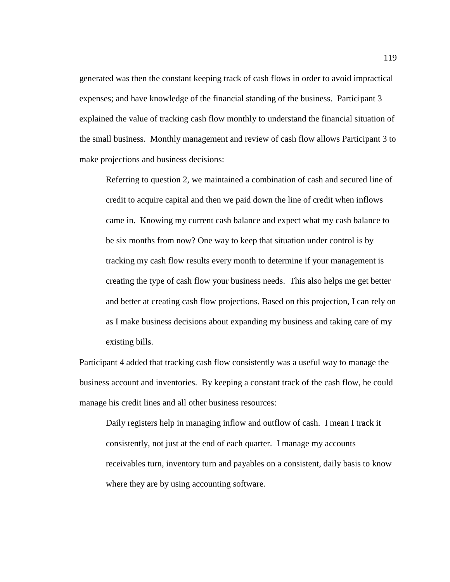generated was then the constant keeping track of cash flows in order to avoid impractical expenses; and have knowledge of the financial standing of the business. Participant 3 explained the value of tracking cash flow monthly to understand the financial situation of the small business. Monthly management and review of cash flow allows Participant 3 to make projections and business decisions:

Referring to question 2, we maintained a combination of cash and secured line of credit to acquire capital and then we paid down the line of credit when inflows came in. Knowing my current cash balance and expect what my cash balance to be six months from now? One way to keep that situation under control is by tracking my cash flow results every month to determine if your management is creating the type of cash flow your business needs. This also helps me get better and better at creating cash flow projections. Based on this projection, I can rely on as I make business decisions about expanding my business and taking care of my existing bills.

Participant 4 added that tracking cash flow consistently was a useful way to manage the business account and inventories. By keeping a constant track of the cash flow, he could manage his credit lines and all other business resources:

Daily registers help in managing inflow and outflow of cash. I mean I track it consistently, not just at the end of each quarter. I manage my accounts receivables turn, inventory turn and payables on a consistent, daily basis to know where they are by using accounting software.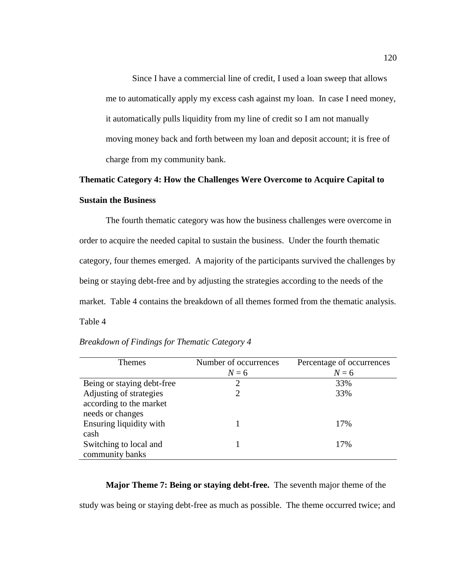Since I have a commercial line of credit, I used a loan sweep that allows me to automatically apply my excess cash against my loan. In case I need money, it automatically pulls liquidity from my line of credit so I am not manually moving money back and forth between my loan and deposit account; it is free of charge from my community bank.

# **Thematic Category 4: How the Challenges Were Overcome to Acquire Capital to Sustain the Business**

The fourth thematic category was how the business challenges were overcome in order to acquire the needed capital to sustain the business. Under the fourth thematic category, four themes emerged. A majority of the participants survived the challenges by being or staying debt-free and by adjusting the strategies according to the needs of the market. Table 4 contains the breakdown of all themes formed from the thematic analysis. Table 4

| <b>Themes</b>              | Number of occurrences | Percentage of occurrences |
|----------------------------|-----------------------|---------------------------|
|                            | $N=6$                 | $N=6$                     |
| Being or staying debt-free | 2                     | 33%                       |
| Adjusting of strategies    |                       | 33%                       |
| according to the market    |                       |                           |
| needs or changes           |                       |                           |
| Ensuring liquidity with    |                       | 17%                       |
| cash                       |                       |                           |
| Switching to local and     |                       | 17%                       |
| community banks            |                       |                           |

### *Breakdown of Findings for Thematic Category 4*

#### **Major Theme 7: Being or staying debt-free.** The seventh major theme of the

study was being or staying debt-free as much as possible. The theme occurred twice; and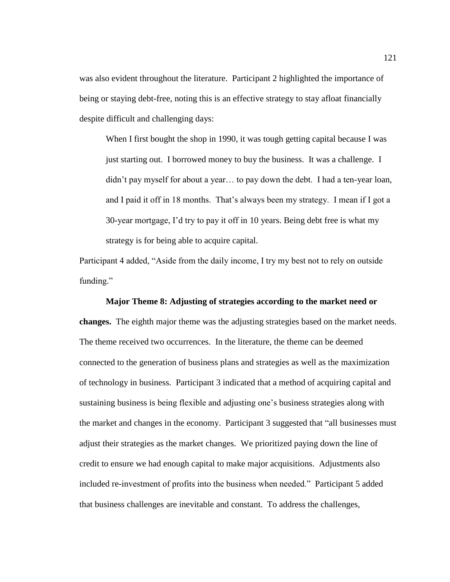was also evident throughout the literature. Participant 2 highlighted the importance of being or staying debt-free, noting this is an effective strategy to stay afloat financially despite difficult and challenging days:

When I first bought the shop in 1990, it was tough getting capital because I was just starting out. I borrowed money to buy the business. It was a challenge. I didn't pay myself for about a year… to pay down the debt. I had a ten-year loan, and I paid it off in 18 months. That's always been my strategy. I mean if I got a 30-year mortgage, I'd try to pay it off in 10 years. Being debt free is what my strategy is for being able to acquire capital.

Participant 4 added, "Aside from the daily income, I try my best not to rely on outside funding."

# **Major Theme 8: Adjusting of strategies according to the market need or**

**changes.** The eighth major theme was the adjusting strategies based on the market needs. The theme received two occurrences. In the literature, the theme can be deemed connected to the generation of business plans and strategies as well as the maximization of technology in business. Participant 3 indicated that a method of acquiring capital and sustaining business is being flexible and adjusting one's business strategies along with the market and changes in the economy. Participant 3 suggested that "all businesses must adjust their strategies as the market changes. We prioritized paying down the line of credit to ensure we had enough capital to make major acquisitions. Adjustments also included re-investment of profits into the business when needed." Participant 5 added that business challenges are inevitable and constant. To address the challenges,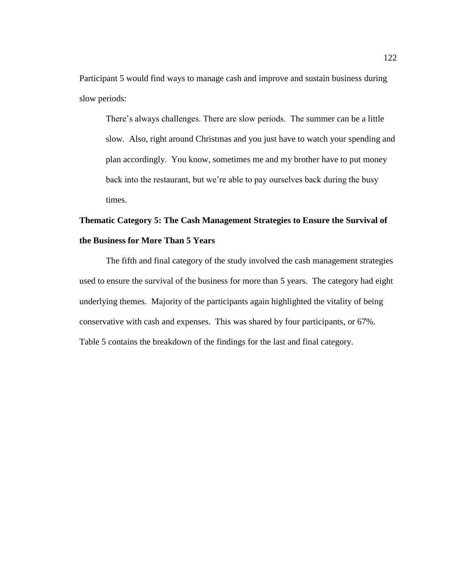Participant 5 would find ways to manage cash and improve and sustain business during slow periods:

There's always challenges. There are slow periods. The summer can be a little slow. Also, right around Christmas and you just have to watch your spending and plan accordingly. You know, sometimes me and my brother have to put money back into the restaurant, but we're able to pay ourselves back during the busy times.

# **Thematic Category 5: The Cash Management Strategies to Ensure the Survival of the Business for More Than 5 Years**

The fifth and final category of the study involved the cash management strategies used to ensure the survival of the business for more than 5 years. The category had eight underlying themes. Majority of the participants again highlighted the vitality of being conservative with cash and expenses. This was shared by four participants, or 67%. Table 5 contains the breakdown of the findings for the last and final category.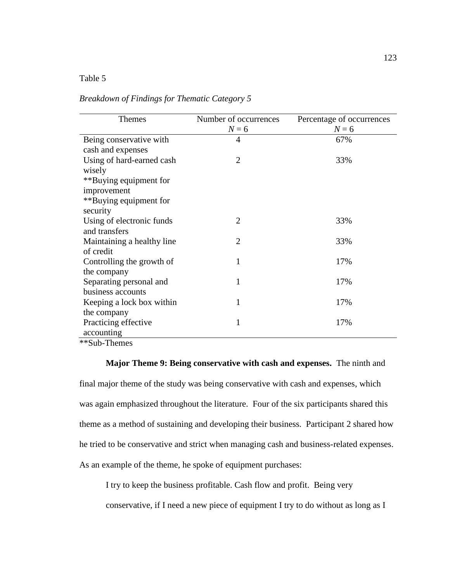### Table 5

| <b>Themes</b>               | Number of occurrences | Percentage of occurrences |
|-----------------------------|-----------------------|---------------------------|
|                             | $N=6$                 | $N=6$                     |
| Being conservative with     | $\overline{4}$        | 67%                       |
| cash and expenses           |                       |                           |
| Using of hard-earned cash   | $\overline{2}$        | 33%                       |
| wisely                      |                       |                           |
| **Buying equipment for      |                       |                           |
| improvement                 |                       |                           |
| **Buying equipment for      |                       |                           |
| security                    |                       |                           |
| Using of electronic funds   | $\mathfrak{D}$        | 33%                       |
| and transfers               |                       |                           |
| Maintaining a healthy line. | $\overline{2}$        | 33%                       |
| of credit                   |                       |                           |
| Controlling the growth of   |                       | 17%                       |
| the company                 |                       |                           |
| Separating personal and     | 1                     | 17%                       |
| business accounts           |                       |                           |
| Keeping a lock box within   | 1                     | 17%                       |
| the company                 |                       |                           |
| Practicing effective        | 1                     | 17%                       |
| accounting                  |                       |                           |

## *Breakdown of Findings for Thematic Category 5*

\*\*Sub-Themes

# **Major Theme 9: Being conservative with cash and expenses.** The ninth and final major theme of the study was being conservative with cash and expenses, which was again emphasized throughout the literature. Four of the six participants shared this

theme as a method of sustaining and developing their business. Participant 2 shared how he tried to be conservative and strict when managing cash and business-related expenses. As an example of the theme, he spoke of equipment purchases:

I try to keep the business profitable. Cash flow and profit. Being very conservative, if I need a new piece of equipment I try to do without as long as I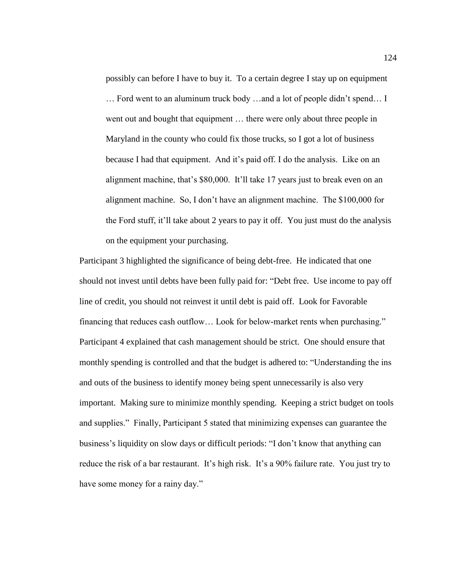possibly can before I have to buy it. To a certain degree I stay up on equipment … Ford went to an aluminum truck body …and a lot of people didn't spend… I went out and bought that equipment … there were only about three people in Maryland in the county who could fix those trucks, so I got a lot of business because I had that equipment. And it's paid off. I do the analysis. Like on an alignment machine, that's \$80,000. It'll take 17 years just to break even on an alignment machine. So, I don't have an alignment machine. The \$100,000 for the Ford stuff, it'll take about 2 years to pay it off. You just must do the analysis on the equipment your purchasing.

Participant 3 highlighted the significance of being debt-free. He indicated that one should not invest until debts have been fully paid for: "Debt free. Use income to pay off line of credit, you should not reinvest it until debt is paid off. Look for Favorable financing that reduces cash outflow… Look for below-market rents when purchasing." Participant 4 explained that cash management should be strict. One should ensure that monthly spending is controlled and that the budget is adhered to: "Understanding the ins and outs of the business to identify money being spent unnecessarily is also very important. Making sure to minimize monthly spending. Keeping a strict budget on tools and supplies." Finally, Participant 5 stated that minimizing expenses can guarantee the business's liquidity on slow days or difficult periods: "I don't know that anything can reduce the risk of a bar restaurant. It's high risk. It's a 90% failure rate. You just try to have some money for a rainy day."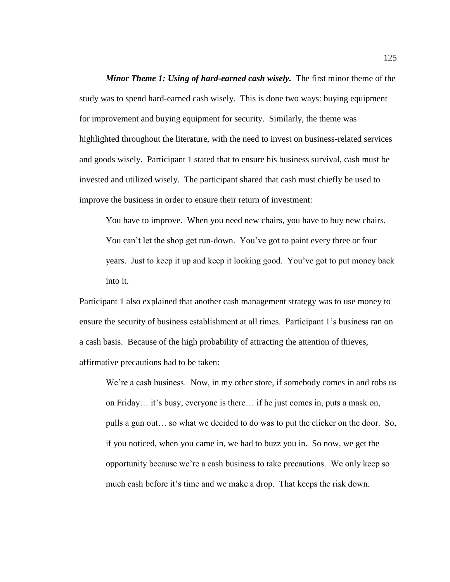*Minor Theme 1: Using of hard-earned cash wisely.* The first minor theme of the study was to spend hard-earned cash wisely. This is done two ways: buying equipment for improvement and buying equipment for security. Similarly, the theme was highlighted throughout the literature, with the need to invest on business-related services and goods wisely. Participant 1 stated that to ensure his business survival, cash must be invested and utilized wisely. The participant shared that cash must chiefly be used to improve the business in order to ensure their return of investment:

You have to improve. When you need new chairs, you have to buy new chairs. You can't let the shop get run-down. You've got to paint every three or four years. Just to keep it up and keep it looking good. You've got to put money back into it.

Participant 1 also explained that another cash management strategy was to use money to ensure the security of business establishment at all times. Participant 1's business ran on a cash basis. Because of the high probability of attracting the attention of thieves, affirmative precautions had to be taken:

We're a cash business. Now, in my other store, if somebody comes in and robs us on Friday… it's busy, everyone is there… if he just comes in, puts a mask on, pulls a gun out… so what we decided to do was to put the clicker on the door. So, if you noticed, when you came in, we had to buzz you in. So now, we get the opportunity because we're a cash business to take precautions. We only keep so much cash before it's time and we make a drop. That keeps the risk down.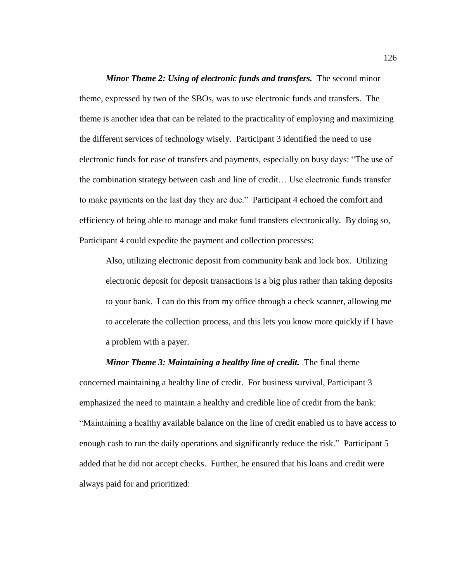*Minor Theme 2: Using of electronic funds and transfers.* The second minor theme, expressed by two of the SBOs, was to use electronic funds and transfers. The theme is another idea that can be related to the practicality of employing and maximizing the different services of technology wisely. Participant 3 identified the need to use electronic funds for ease of transfers and payments, especially on busy days: "The use of the combination strategy between cash and line of credit… Use electronic funds transfer to make payments on the last day they are due." Participant 4 echoed the comfort and efficiency of being able to manage and make fund transfers electronically. By doing so, Participant 4 could expedite the payment and collection processes:

Also, utilizing electronic deposit from community bank and lock box. Utilizing electronic deposit for deposit transactions is a big plus rather than taking deposits to your bank. I can do this from my office through a check scanner, allowing me to accelerate the collection process, and this lets you know more quickly if I have a problem with a payer.

#### *Minor Theme 3: Maintaining a healthy line of credit.* The final theme

concerned maintaining a healthy line of credit. For business survival, Participant 3 emphasized the need to maintain a healthy and credible line of credit from the bank: "Maintaining a healthy available balance on the line of credit enabled us to have access to enough cash to run the daily operations and significantly reduce the risk." Participant 5 added that he did not accept checks. Further, he ensured that his loans and credit were always paid for and prioritized: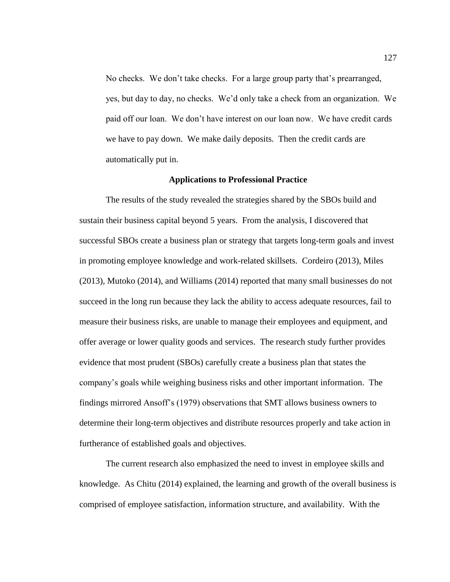No checks. We don't take checks. For a large group party that's prearranged, yes, but day to day, no checks. We'd only take a check from an organization. We paid off our loan. We don't have interest on our loan now. We have credit cards we have to pay down. We make daily deposits. Then the credit cards are automatically put in.

### **Applications to Professional Practice**

The results of the study revealed the strategies shared by the SBOs build and sustain their business capital beyond 5 years. From the analysis, I discovered that successful SBOs create a business plan or strategy that targets long-term goals and invest in promoting employee knowledge and work-related skillsets. Cordeiro (2013), Miles (2013), Mutoko (2014), and Williams (2014) reported that many small businesses do not succeed in the long run because they lack the ability to access adequate resources, fail to measure their business risks, are unable to manage their employees and equipment, and offer average or lower quality goods and services. The research study further provides evidence that most prudent (SBOs) carefully create a business plan that states the company's goals while weighing business risks and other important information. The findings mirrored Ansoff's (1979) observations that SMT allows business owners to determine their long-term objectives and distribute resources properly and take action in furtherance of established goals and objectives.

The current research also emphasized the need to invest in employee skills and knowledge. As Chitu (2014) explained, the learning and growth of the overall business is comprised of employee satisfaction, information structure, and availability. With the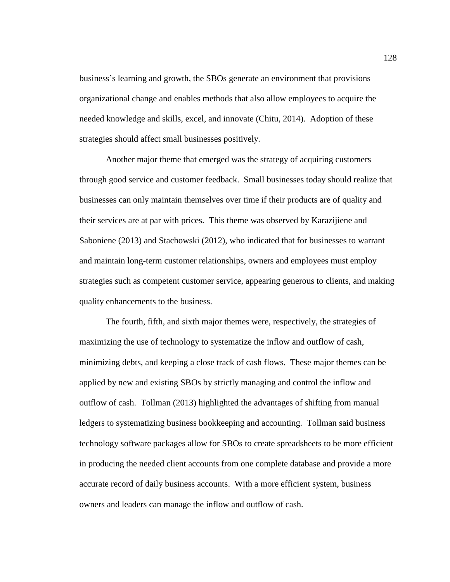business's learning and growth, the SBOs generate an environment that provisions organizational change and enables methods that also allow employees to acquire the needed knowledge and skills, excel, and innovate (Chitu, 2014). Adoption of these strategies should affect small businesses positively.

Another major theme that emerged was the strategy of acquiring customers through good service and customer feedback. Small businesses today should realize that businesses can only maintain themselves over time if their products are of quality and their services are at par with prices. This theme was observed by Karazijiene and Saboniene (2013) and Stachowski (2012), who indicated that for businesses to warrant and maintain long-term customer relationships, owners and employees must employ strategies such as competent customer service, appearing generous to clients, and making quality enhancements to the business.

The fourth, fifth, and sixth major themes were, respectively, the strategies of maximizing the use of technology to systematize the inflow and outflow of cash, minimizing debts, and keeping a close track of cash flows. These major themes can be applied by new and existing SBOs by strictly managing and control the inflow and outflow of cash. Tollman (2013) highlighted the advantages of shifting from manual ledgers to systematizing business bookkeeping and accounting. Tollman said business technology software packages allow for SBOs to create spreadsheets to be more efficient in producing the needed client accounts from one complete database and provide a more accurate record of daily business accounts. With a more efficient system, business owners and leaders can manage the inflow and outflow of cash.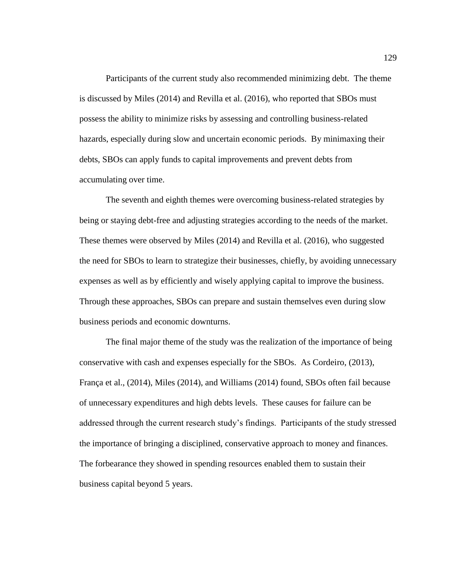Participants of the current study also recommended minimizing debt. The theme is discussed by Miles (2014) and Revilla et al. (2016), who reported that SBOs must possess the ability to minimize risks by assessing and controlling business-related hazards, especially during slow and uncertain economic periods. By minimaxing their debts, SBOs can apply funds to capital improvements and prevent debts from accumulating over time.

The seventh and eighth themes were overcoming business-related strategies by being or staying debt-free and adjusting strategies according to the needs of the market. These themes were observed by Miles (2014) and Revilla et al. (2016), who suggested the need for SBOs to learn to strategize their businesses, chiefly, by avoiding unnecessary expenses as well as by efficiently and wisely applying capital to improve the business. Through these approaches, SBOs can prepare and sustain themselves even during slow business periods and economic downturns.

The final major theme of the study was the realization of the importance of being conservative with cash and expenses especially for the SBOs. As Cordeiro, (2013), França et al., (2014), Miles (2014), and Williams (2014) found, SBOs often fail because of unnecessary expenditures and high debts levels. These causes for failure can be addressed through the current research study's findings. Participants of the study stressed the importance of bringing a disciplined, conservative approach to money and finances. The forbearance they showed in spending resources enabled them to sustain their business capital beyond 5 years.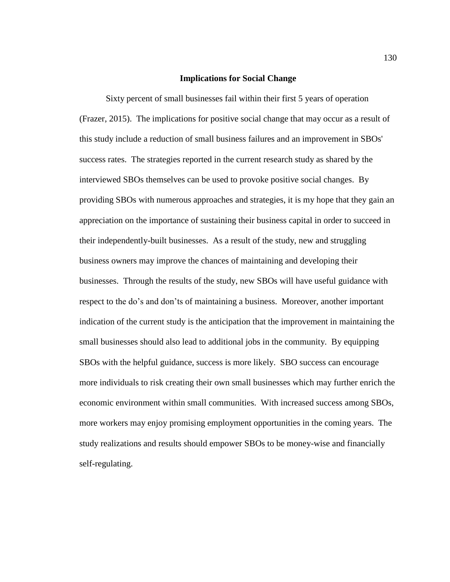### **Implications for Social Change**

Sixty percent of small businesses fail within their first 5 years of operation (Frazer, 2015). The implications for positive social change that may occur as a result of this study include a reduction of small business failures and an improvement in SBOs' success rates. The strategies reported in the current research study as shared by the interviewed SBOs themselves can be used to provoke positive social changes. By providing SBOs with numerous approaches and strategies, it is my hope that they gain an appreciation on the importance of sustaining their business capital in order to succeed in their independently-built businesses. As a result of the study, new and struggling business owners may improve the chances of maintaining and developing their businesses. Through the results of the study, new SBOs will have useful guidance with respect to the do's and don'ts of maintaining a business. Moreover, another important indication of the current study is the anticipation that the improvement in maintaining the small businesses should also lead to additional jobs in the community. By equipping SBOs with the helpful guidance, success is more likely. SBO success can encourage more individuals to risk creating their own small businesses which may further enrich the economic environment within small communities. With increased success among SBOs, more workers may enjoy promising employment opportunities in the coming years. The study realizations and results should empower SBOs to be money-wise and financially self-regulating.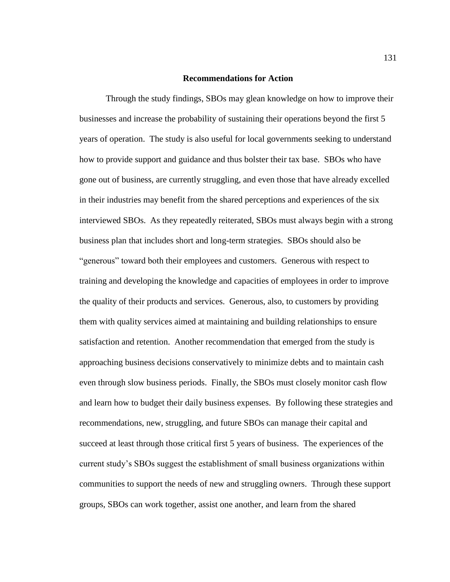#### **Recommendations for Action**

Through the study findings, SBOs may glean knowledge on how to improve their businesses and increase the probability of sustaining their operations beyond the first 5 years of operation. The study is also useful for local governments seeking to understand how to provide support and guidance and thus bolster their tax base. SBOs who have gone out of business, are currently struggling, and even those that have already excelled in their industries may benefit from the shared perceptions and experiences of the six interviewed SBOs. As they repeatedly reiterated, SBOs must always begin with a strong business plan that includes short and long-term strategies. SBOs should also be "generous" toward both their employees and customers. Generous with respect to training and developing the knowledge and capacities of employees in order to improve the quality of their products and services. Generous, also, to customers by providing them with quality services aimed at maintaining and building relationships to ensure satisfaction and retention. Another recommendation that emerged from the study is approaching business decisions conservatively to minimize debts and to maintain cash even through slow business periods. Finally, the SBOs must closely monitor cash flow and learn how to budget their daily business expenses. By following these strategies and recommendations, new, struggling, and future SBOs can manage their capital and succeed at least through those critical first 5 years of business. The experiences of the current study's SBOs suggest the establishment of small business organizations within communities to support the needs of new and struggling owners. Through these support groups, SBOs can work together, assist one another, and learn from the shared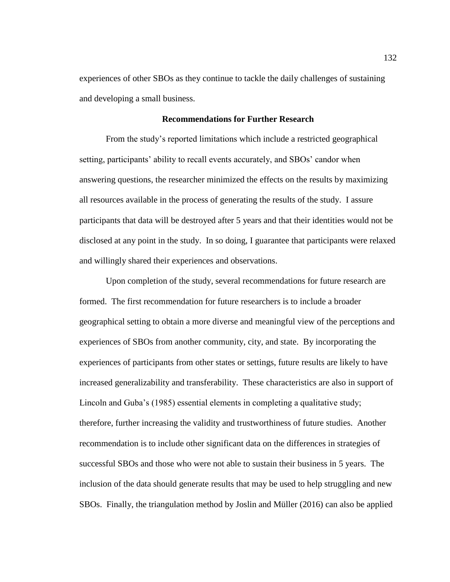experiences of other SBOs as they continue to tackle the daily challenges of sustaining and developing a small business.

### **Recommendations for Further Research**

From the study's reported limitations which include a restricted geographical setting, participants' ability to recall events accurately, and SBOs' candor when answering questions, the researcher minimized the effects on the results by maximizing all resources available in the process of generating the results of the study. I assure participants that data will be destroyed after 5 years and that their identities would not be disclosed at any point in the study. In so doing, I guarantee that participants were relaxed and willingly shared their experiences and observations.

Upon completion of the study, several recommendations for future research are formed. The first recommendation for future researchers is to include a broader geographical setting to obtain a more diverse and meaningful view of the perceptions and experiences of SBOs from another community, city, and state. By incorporating the experiences of participants from other states or settings, future results are likely to have increased generalizability and transferability. These characteristics are also in support of Lincoln and Guba's (1985) essential elements in completing a qualitative study; therefore, further increasing the validity and trustworthiness of future studies. Another recommendation is to include other significant data on the differences in strategies of successful SBOs and those who were not able to sustain their business in 5 years. The inclusion of the data should generate results that may be used to help struggling and new SBOs. Finally, the triangulation method by Joslin and Müller (2016) can also be applied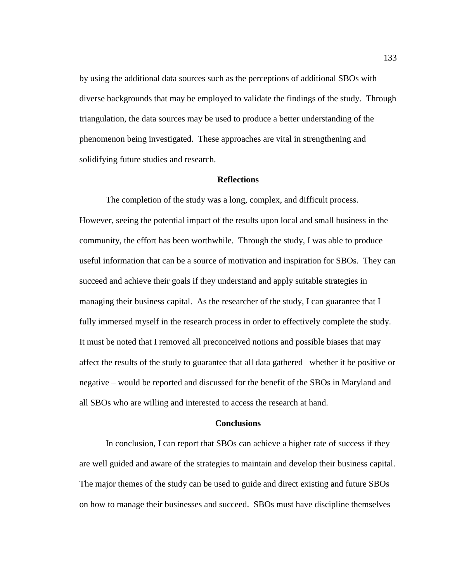by using the additional data sources such as the perceptions of additional SBOs with diverse backgrounds that may be employed to validate the findings of the study. Through triangulation, the data sources may be used to produce a better understanding of the phenomenon being investigated. These approaches are vital in strengthening and solidifying future studies and research.

#### **Reflections**

The completion of the study was a long, complex, and difficult process. However, seeing the potential impact of the results upon local and small business in the community, the effort has been worthwhile. Through the study, I was able to produce useful information that can be a source of motivation and inspiration for SBOs. They can succeed and achieve their goals if they understand and apply suitable strategies in managing their business capital. As the researcher of the study, I can guarantee that I fully immersed myself in the research process in order to effectively complete the study. It must be noted that I removed all preconceived notions and possible biases that may affect the results of the study to guarantee that all data gathered –whether it be positive or negative – would be reported and discussed for the benefit of the SBOs in Maryland and all SBOs who are willing and interested to access the research at hand.

#### **Conclusions**

In conclusion, I can report that SBOs can achieve a higher rate of success if they are well guided and aware of the strategies to maintain and develop their business capital. The major themes of the study can be used to guide and direct existing and future SBOs on how to manage their businesses and succeed. SBOs must have discipline themselves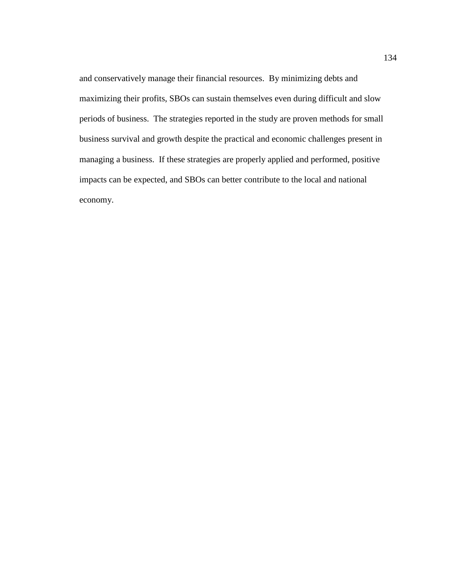and conservatively manage their financial resources. By minimizing debts and maximizing their profits, SBOs can sustain themselves even during difficult and slow periods of business. The strategies reported in the study are proven methods for small business survival and growth despite the practical and economic challenges present in managing a business. If these strategies are properly applied and performed, positive impacts can be expected, and SBOs can better contribute to the local and national economy.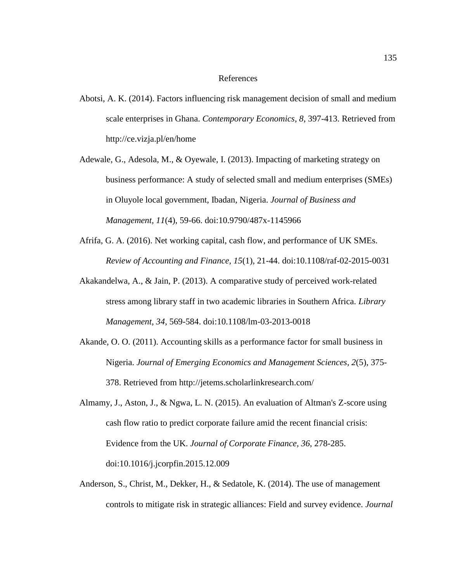#### References

- Abotsi, A. K. (2014). Factors influencing risk management decision of small and medium scale enterprises in Ghana. *Contemporary Economics, 8*, 397-413. Retrieved from <http://ce.vizja.pl/en/home>
- Adewale, G., Adesola, M., & Oyewale, I. (2013). Impacting of marketing strategy on business performance: A study of selected small and medium enterprises (SMEs) in Oluyole local government, Ibadan, Nigeria. *Journal of Business and Management, 11*(4), 59-66. doi:10.9790/487x-1145966
- Afrifa, G. A. (2016). Net working capital, cash flow, and performance of UK SMEs. *Review of Accounting and Finance, 15*(1), 21-44. doi:10.1108/raf-02-2015-0031
- Akakandelwa, A., & Jain, P. (2013). A comparative study of perceived work-related stress among library staff in two academic libraries in Southern Africa. *Library Management, 34*, 569-584. doi:10.1108/lm-03-2013-0018
- Akande, O. O. (2011). Accounting skills as a performance factor for small business in Nigeria. *Journal of Emerging Economics and Management Sciences, 2*(5), 375- 378. Retrieved from http://jetems.scholarlinkresearch.com/
- Almamy, J., Aston, J., & Ngwa, L. N. (2015). An evaluation of Altman's Z-score using cash flow ratio to predict corporate failure amid the recent financial crisis: Evidence from the UK. *Journal of Corporate Finance, 36*, 278-285. doi:10.1016/j.jcorpfin.2015.12.009
- Anderson, S., Christ, M., Dekker, H., & Sedatole, K. (2014). The use of management controls to mitigate risk in strategic alliances: Field and survey evidence. *Journal*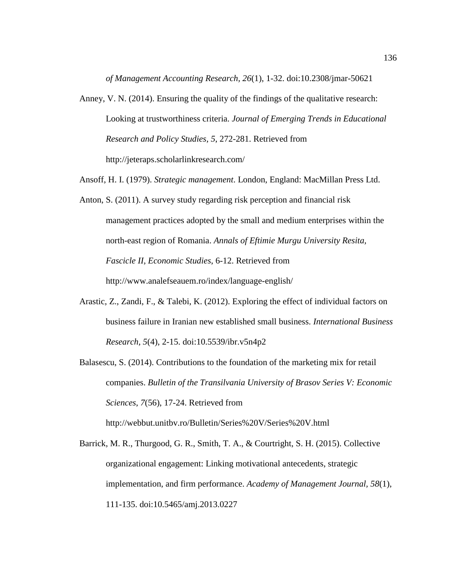*of Management Accounting Research, 26*(1), 1-32. doi:10.2308/jmar-50621

- Anney, V. N. (2014). Ensuring the quality of the findings of the qualitative research: Looking at trustworthiness criteria. *Journal of Emerging Trends in Educational Research and Policy Studies, 5*, 272-281. Retrieved from [http://jeteraps.](http://jeteraps/)scholarlinkresearch.com/
- Ansoff, H. I. (1979). *Strategic management*. London, England: MacMillan Press Ltd.
- Anton, S. (2011). A survey study regarding risk perception and financial risk management practices adopted by the small and medium enterprises within the north-east region of Romania. *Annals of Eftimie Murgu University Resita, Fascicle II, Economic Studies*, 6-12. Retrieved from <http://www.analefseauem.ro/>index/language-english/
- Arastic, Z., Zandi, F., & Talebi, K. (2012). Exploring the effect of individual factors on business failure in Iranian new established small business. *International Business Research, 5*(4), 2-15. doi:10.5539/ibr.v5n4p2
- Balasescu, S. (2014). Contributions to the foundation of the marketing mix for retail companies. *Bulletin of the Transilvania University of Brasov Series V: Economic Sciences*, *7*(56), 17-24. Retrieved from

[http://webbut.unitbv.ro/Bulletin/S](http://webbut.unitbv.ro/Bulletin/)eries%20V/Series%20V.html

Barrick, M. R., Thurgood, G. R., Smith, T. A., & Courtright, S. H. (2015). Collective organizational engagement: Linking motivational antecedents, strategic implementation, and firm performance. *Academy of Management Journal, 58*(1), 111-135. doi:10.5465/amj.2013.0227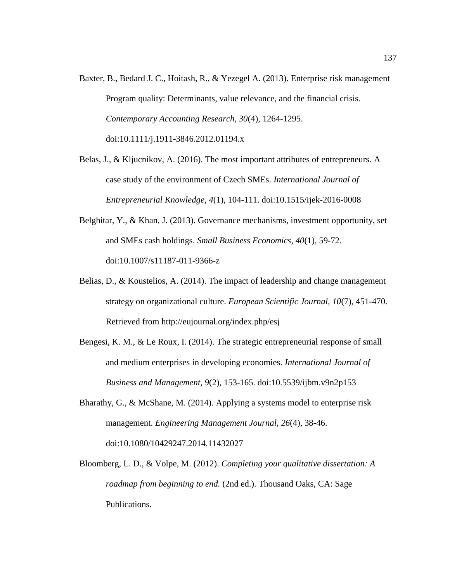- Baxter, B., Bedard J. C., Hoitash, R., & Yezegel A. (2013). Enterprise risk management Program quality: Determinants, value relevance, and the financial crisis. *Contemporary Accounting Research, 30*(4), 1264-1295. doi:10.1111/j.1911-3846.2012.01194.x
- Belas, J., & Kljucnikov, A. (2016). The most important attributes of entrepreneurs. A case study of the environment of Czech SMEs. *International Journal of Entrepreneurial Knowledge, 4*(1), 104-111. doi:10.1515/ijek-2016-0008
- Belghitar, Y., & Khan, J. (2013). Governance mechanisms, investment opportunity, set and SMEs cash holdings. *Small Business Economics, 40*(1), 59-72. doi:10.1007/s11187-011-9366-z
- Belias, D., & Koustelios, A.  $(2014)$ . The impact of leadership and change management strategy on organizational culture. *European Scientific Journal, 10*(7), 451-470. Retrieved from http://eujournal.org/index.php/esj
- Bengesi, K. M., & Le Roux, I. (2014). The strategic entrepreneurial response of small and medium enterprises in developing economies. *International Journal of Business and Management, 9*(2), 153-165. doi:10.5539/ijbm.v9n2p153
- Bharathy, G., & McShane, M. (2014). Applying a systems model to enterprise risk management. *Engineering Management Journal, 26*(4), 38-46. doi:10.1080/10429247.2014.11432027
- Bloomberg, L. D., & Volpe, M. (2012). *Completing your qualitative dissertation: A roadmap from beginning to end.* (2nd ed.). Thousand Oaks, CA: Sage Publications.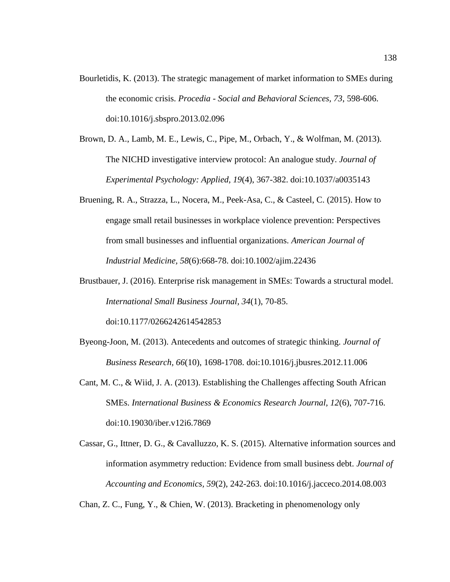- Bourletidis, K. (2013). The strategic management of market information to SMEs during the economic crisis. *Procedia - Social and Behavioral Sciences, 73*, 598-606. doi:10.1016/j.sbspro.2013.02.096
- Brown, D. A., Lamb, M. E., Lewis, C., Pipe, M., Orbach, Y., & Wolfman, M. (2013). The NICHD investigative interview protocol: An analogue study. *Journal of Experimental Psychology: Applied, 19*(4), 367-382. doi:10.1037/a0035143
- Bruening, R. A., Strazza, L., Nocera, M., Peek-Asa, C., & Casteel, C. (2015). How to engage small retail businesses in workplace violence prevention: Perspectives from small businesses and influential organizations. *American Journal of Industrial Medicine, 58*(6):668-78. doi:10.1002/ajim.22436

Brustbauer, J. (2016). Enterprise risk management in SMEs: Towards a structural model. *International Small Business Journal, 34*(1), 70-85. doi:10.1177/0266242614542853

- Byeong-Joon, M. (2013). Antecedents and outcomes of strategic thinking. *Journal of Business Research, 66*(10), 1698-1708. doi:10.1016/j.jbusres.2012.11.006
- Cant, M. C., & Wiid, J. A. (2013). Establishing the Challenges affecting South African SMEs. *International Business & Economics Research Journal, 12*(6), 707-716. doi:10.19030/iber.v12i6.7869
- Cassar, G., Ittner, D. G., & Cavalluzzo, K. S. (2015). Alternative information sources and information asymmetry reduction: Evidence from small business debt. *Journal of Accounting and Economics, 59*(2), 242-263. doi:10.1016/j.jacceco.2014.08.003

Chan, Z. C., Fung, Y., & Chien, W. (2013). Bracketing in phenomenology only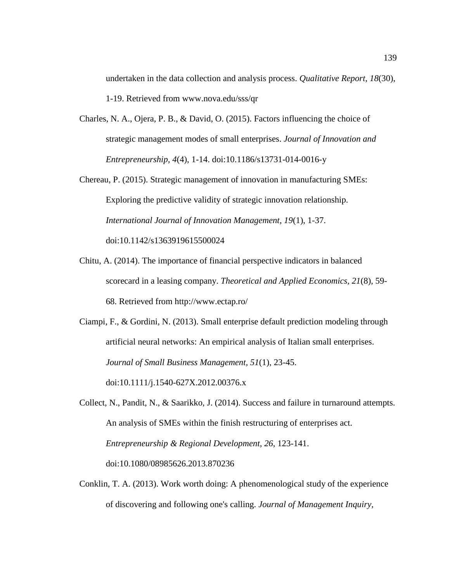undertaken in the data collection and analysis process. *Qualitative Report, 18*(30), 1-19. Retrieved from www.nova.edu/sss/qr

- Charles, N. A., Ojera, P. B., & David, O. (2015). Factors influencing the choice of strategic management modes of small enterprises. *Journal of Innovation and Entrepreneurship, 4*(4), 1-14. doi:10.1186/s13731-014-0016-y
- Chereau, P. (2015). Strategic management of innovation in manufacturing SMEs: Exploring the predictive validity of strategic innovation relationship. *International Journal of Innovation Management, 19*(1), 1-37. doi:10.1142/s1363919615500024
- Chitu, A. (2014). The importance of financial perspective indicators in balanced scorecard in a leasing company. *Theoretical and Applied Economics, 21*(8), 59- 68. Retrieved from http://www.ectap.ro/
- Ciampi, F., & Gordini, N. (2013). Small enterprise default prediction modeling through artificial neural networks: An empirical analysis of Italian small enterprises. *Journal of Small Business Management, 51*(1), 23-45. doi:10.1111/j.1540-627X.2012.00376.x
- Collect, N., Pandit, N., & Saarikko, J. (2014). Success and failure in turnaround attempts. An analysis of SMEs within the finish restructuring of enterprises act. *Entrepreneurship & Regional Development, 26*, 123-141. doi:10.1080/08985626.2013.870236
- Conklin, T. A. (2013). Work worth doing: A phenomenological study of the experience of discovering and following one's calling. *Journal of Management Inquiry,*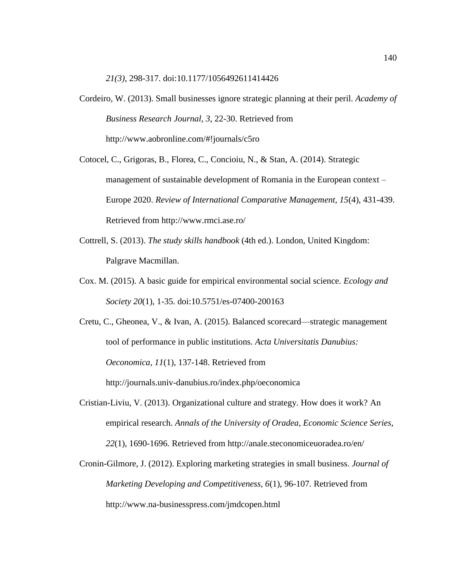*21(3)*, 298-317. doi:10.1177/1056492611414426

- Cordeiro, W. (2013). Small businesses ignore strategic planning at their peril. *Academy of Business Research Journal, 3*, 22-30. Retrieved from http://www.aobronline.com/#!journals/c5ro
- Cotocel, C., Grigoras, B., Florea, C., Concioiu, N., & Stan, A. (2014). Strategic management of sustainable development of Romania in the European context – Europe 2020. *Review of International Comparative Management, 15*(4), 431-439. Retrieved from http://www.rmci.ase.ro/
- Cottrell, S. (2013). *The study skills handbook* (4th ed.). London, United Kingdom: Palgrave Macmillan.
- Cox. M. (2015). A basic guide for empirical environmental social science. *Ecology and Society 20*(1), 1-35. doi:10.5751/es-07400-200163

Cretu, C., Gheonea, V., & Ivan, A. (2015). Balanced scorecard—strategic management tool of performance in public institutions*. Acta Universitatis Danubius: Oeconomica, 11*(1), 137-148. Retrieved from http://journals.univ-danubius.ro/index.php/oeconomica

- Cristian-Liviu, V. (2013). Organizational culture and strategy. How does it work? An empirical research. *Annals of the University of Oradea, Economic Science Series, 22*(1), 1690-1696. Retrieved from http://anale.steconomiceuoradea.ro/en/
- Cronin-Gilmore, J. (2012). Exploring marketing strategies in small business. *Journal of Marketing Developing and Competitiveness, 6*(1), 96-107. Retrieved from http://www.na-businesspress.com/jmdcopen.html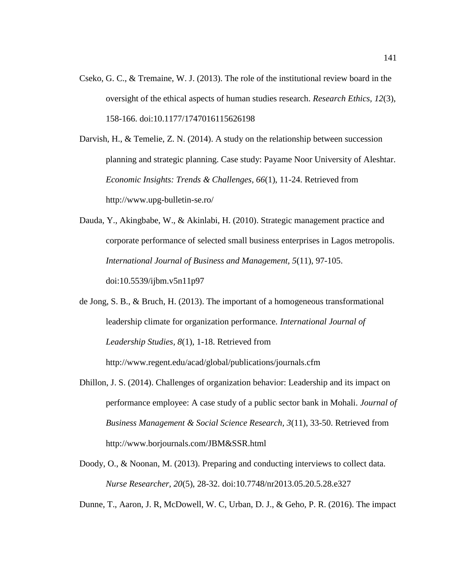Cseko, G. C., & Tremaine, W. J. (2013). The role of the institutional review board in the oversight of the ethical aspects of human studies research. *Research Ethics, 12*(3), 158-166. doi:10.1177/1747016115626198

Darvish, H., & Temelie, Z. N. (2014). A study on the relationship between succession planning and strategic planning. Case study: Payame Noor University of Aleshtar. *Economic Insights: Trends & Challenges, 66*(1), 11-24. Retrieved from http://www.upg-bulletin-se.ro/

Dauda, Y., Akingbabe, W., & Akinlabi, H. (2010). Strategic management practice and corporate performance of selected small business enterprises in Lagos metropolis. *International Journal of Business and Management, 5*(11), 97-105. doi:10.5539/ijbm.v5n11p97

de Jong, S. B., & Bruch, H. (2013). The important of a homogeneous transformational leadership climate for organization performance*. International Journal of Leadership Studies, 8*(1), 1-18. Retrieved from http://www.regent.edu/acad/global/publications/journals.cfm

Dhillon, J. S. (2014). Challenges of organization behavior: Leadership and its impact on performance employee: A case study of a public sector bank in Mohali. *Journal of Business Management & Social Science Research, 3*(11), 33-50. Retrieved from http://www.borjournals.com/JBM&SSR.html

Doody, O., & Noonan, M. (2013). Preparing and conducting interviews to collect data. *Nurse Researcher, 20*(5), 28-32. doi:10.7748/nr2013.05.20.5.28.e327

Dunne, T., Aaron, J. R, McDowell, W. C, Urban, D. J., & Geho, P. R. (2016). The impact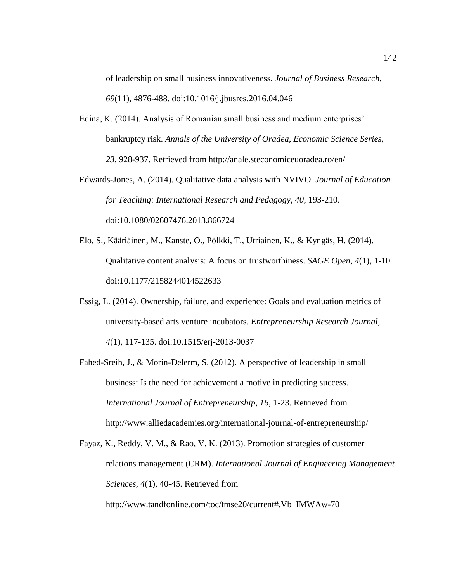of leadership on small business innovativeness. *Journal of Business Research, 69*(11), 4876-488. doi:10.1016/j.jbusres.2016.04.046

- Edina, K. (2014). Analysis of Romanian small business and medium enterprises' bankruptcy risk. *Annals of the University of Oradea, Economic Science Series, 23*, 928-937. Retrieved from http://anale.steconomiceuoradea.ro/en/
- Edwards-Jones, A. (2014). Qualitative data analysis with NVIVO. *Journal of Education for Teaching: International Research and Pedagogy, 40*, 193-210. doi:10.1080/02607476.2013.866724
- Elo, S., Kääriäinen, M., Kanste, O., Pölkki, T., Utriainen, K., & Kyngäs, H. (2014). Qualitative content analysis: A focus on trustworthiness. *SAGE Open*, *4*(1), 1-10. doi:10.1177/2158244014522633
- Essig, L. (2014). Ownership, failure, and experience: Goals and evaluation metrics of university-based arts venture incubators. *Entrepreneurship Research Journal, 4*(1), 117-135. doi:10.1515/erj-2013-0037
- Fahed-Sreih, J., & Morin-Delerm, S. (2012). A perspective of leadership in small business: Is the need for achievement a motive in predicting success. *International Journal of Entrepreneurship, 16*, 1-23. Retrieved from http://www.alliedacademies.org/international-journal-of-entrepreneurship/

Fayaz, K., Reddy, V. M., & Rao, V. K. (2013). Promotion strategies of customer relations management (CRM). *International Journal of Engineering Management Sciences, 4*(1), 40-45. Retrieved from [http://www.tandfonline.com/toc/t](http://www.tandfonline.com/toc/)mse20/current#.Vb\_IMWAw-70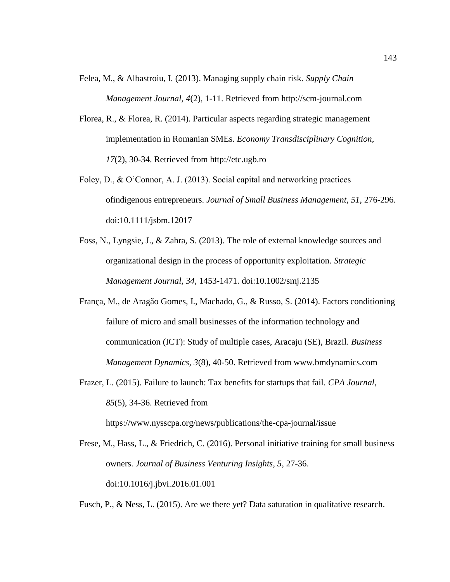- Felea, M., & Albastroiu, I. (2013). Managing supply chain risk. *Supply Chain Management Journal, 4*(2), 1-11. Retrieved from http://scm-journal.com
- Florea, R., & Florea, R. (2014). Particular aspects regarding strategic management implementation in Romanian SMEs. *Economy Transdisciplinary Cognition, 17*(2), 30-34. Retrieved from http://etc.ugb.ro
- Foley, D., & O'Connor, A. J. (2013). Social capital and networking practices ofindigenous entrepreneurs. *Journal of Small Business Management, 51*, 276-296. doi:10.1111/jsbm.12017
- Foss, N., Lyngsie, J., & Zahra, S. (2013). The role of external knowledge sources and organizational design in the process of opportunity exploitation. *Strategic Management Journal, 34*, 1453-1471. doi:10.1002/smj.2135
- França, M., de Aragão Gomes, I., Machado, G., & Russo, S. (2014). Factors conditioning failure of micro and small businesses of the information technology and communication (ICT): Study of multiple cases, Aracaju (SE), Brazil. *Business Management Dynamics, 3*(8), 40-50. Retrieved from www.bmdynamics.com
- Frazer, L. (2015). Failure to launch: Tax benefits for startups that fail. *CPA Journal, 85*(5), 34-36. Retrieved from

https://www.nysscpa.org/news/publications/the-cpa-journal/issue

Frese, M., Hass, L., & Friedrich, C. (2016). Personal initiative training for small business owners. *Journal of Business Venturing Insights, 5*, 27-36. doi:10.1016/j.jbvi.2016.01.001

Fusch, P., & Ness, L. (2015). Are we there yet? Data saturation in qualitative research.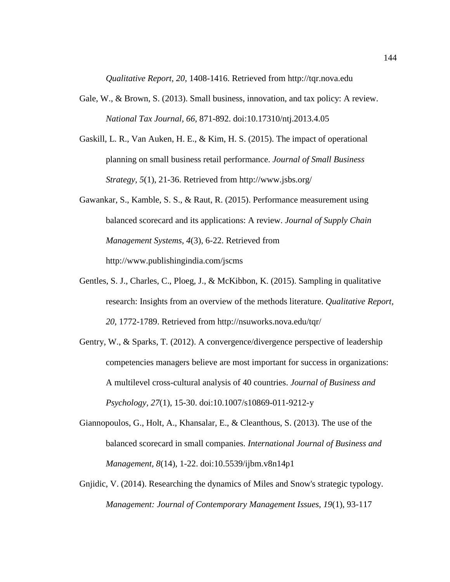*Qualitative Report, 20*, 1408-1416. Retrieved from http://tqr.nova.edu

- Gale, W., & Brown, S. (2013). Small business, innovation, and tax policy: A review. *National Tax Journal, 66*, 871-892. doi:10.17310/ntj.2013.4.05
- Gaskill, L. R., Van Auken, H. E., & Kim, H. S. (2015). The impact of operational planning on small business retail performance. *Journal of Small Business Strategy, 5*(1), 21-36. Retrieved from http://www.jsbs.org/
- Gawankar, S., Kamble, S. S., & Raut, R. (2015). Performance measurement using balanced scorecard and its applications: A review. *Journal of Supply Chain Management Systems, 4*(3), 6-22. Retrieved from http://www.publishingindia.com/jscms
- Gentles, S. J., Charles, C., Ploeg, J., & McKibbon, K. (2015). Sampling in qualitative research: Insights from an overview of the methods literature. *Qualitative Report, 20*, 1772-1789. Retrieved from http://nsuworks.nova.edu/tqr/
- Gentry, W., & Sparks, T. (2012). A convergence/divergence perspective of leadership competencies managers believe are most important for success in organizations: A multilevel cross-cultural analysis of 40 countries. *Journal of Business and Psychology, 27*(1), 15-30. doi:10.1007/s10869-011-9212-y
- Giannopoulos, G., Holt, A., Khansalar, E., & Cleanthous, S. (2013). The use of the balanced scorecard in small companies. *International Journal of Business and Management, 8*(14), 1-22. doi:10.5539/ijbm.v8n14p1
- Gnjidic, V. (2014). Researching the dynamics of Miles and Snow's strategic typology. *Management: Journal of Contemporary Management Issues, 19*(1), 93-117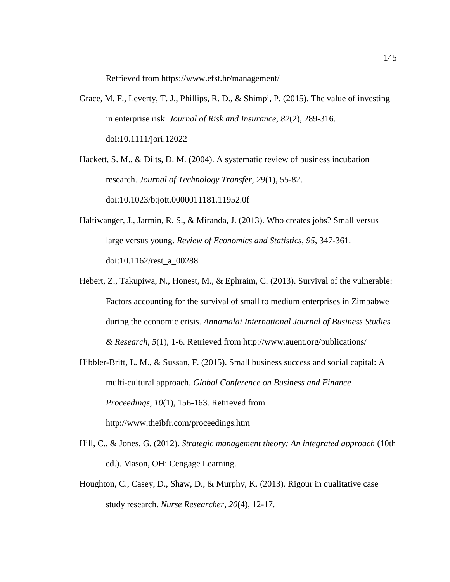Retrieved from https://www.efst.hr/management/

Grace, M. F., Leverty, T. J., Phillips, R. D., & Shimpi, P. (2015). The value of investing in enterprise risk. *Journal of Risk and Insurance, 82*(2), 289-316. doi:10.1111/jori.12022

Hackett, S. M., & Dilts, D. M. (2004). A systematic review of business incubation research. *Journal of Technology Transfer, 29*(1), 55-82. doi:10.1023/b:jott.0000011181.11952.0f

- Haltiwanger, J., Jarmin, R. S., & Miranda, J. (2013). Who creates jobs? Small versus large versus young. *Review of Economics and Statistics*, *95*, 347-361. doi:10.1162/rest\_a\_00288
- Hebert, Z., Takupiwa, N., Honest, M., & Ephraim, C. (2013). Survival of the vulnerable: Factors accounting for the survival of small to medium enterprises in Zimbabwe during the economic crisis. *Annamalai International Journal of Business Studies & Research*, *5*(1), 1-6. Retrieved from http://www.auent.org/publications/
- Hibbler-Britt, L. M., & Sussan, F. (2015). Small business success and social capital: A multi-cultural approach. *Global Conference on Business and Finance Proceedings, 10*(1), 156-163. Retrieved from <http://www.theibfr.com/>proceedings.htm
- Hill, C., & Jones, G. (2012). *Strategic management theory: An integrated approach* (10th ed.). Mason, OH: Cengage Learning.
- Houghton, C., Casey, D., Shaw, D., & Murphy, K. (2013). Rigour in qualitative case study research. *Nurse Researcher*, *20*(4), 12-17.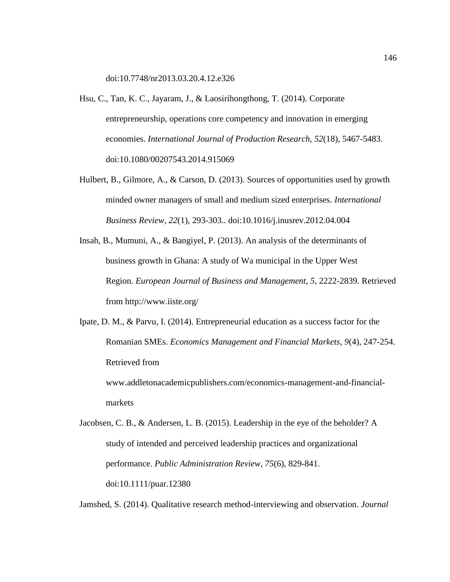doi:10.7748/nr2013.03.20.4.12.e326

- Hsu, C., Tan, K. C., Jayaram, J., & Laosirihongthong, T. (2014). Corporate entrepreneurship, operations core competency and innovation in emerging economies. *International Journal of Production Research, 52*(18), 5467-5483. doi:10.1080/00207543.2014.915069
- Hulbert, B., Gilmore, A., & Carson, D. (2013). Sources of opportunities used by growth minded owner managers of small and medium sized enterprises. *International Business Review, 22*(1), 293-303.. doi:10.1016/j.inusrev.2012.04.004
- Insah, B., Mumuni, A., & Bangiyel, P. (2013). An analysis of the determinants of business growth in Ghana: A study of Wa municipal in the Upper West Region. *European Journal of Business and Management, 5*, 2222-2839. Retrieved from http://www.iiste.org/
- Ipate, D. M., & Parvu, I. (2014). Entrepreneurial education as a success factor for the Romanian SMEs. *Economics Management and Financial Markets, 9*(4), 247-254. Retrieved from www.addletonacademicpublishers.com/economics-management-and-financialmarkets
- Jacobsen, C. B., & Andersen, L. B. (2015). Leadership in the eye of the beholder? A study of intended and perceived leadership practices and organizational performance. *Public Administration Review, 75*(6), 829-841. doi:10.1111/puar.12380

Jamshed, S. (2014). Qualitative research method-interviewing and observation. *Journal*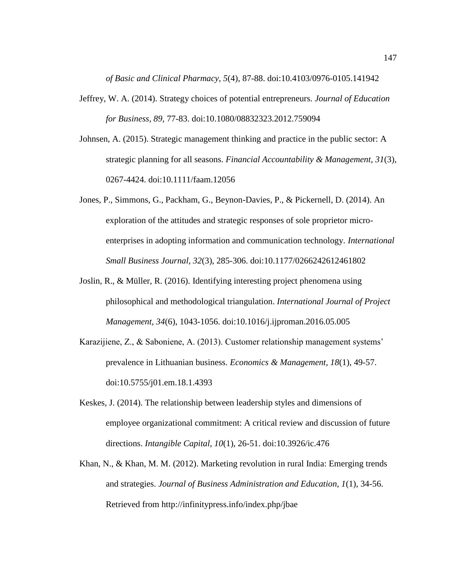*of Basic and Clinical Pharmacy, 5*(4), 87-88. doi:10.4103/0976-0105.141942

- Jeffrey, W. A. (2014). Strategy choices of potential entrepreneurs. *Journal of Education for Business, 89*, 77-83. doi:10.1080/08832323.2012.759094
- Johnsen, A. (2015). Strategic management thinking and practice in the public sector: A strategic planning for all seasons. *Financial Accountability & Management, 31*(3), 0267-4424. doi:10.1111/faam.12056
- Jones, P., Simmons, G., Packham, G., Beynon-Davies, P., & Pickernell, D. (2014). An exploration of the attitudes and strategic responses of sole proprietor microenterprises in adopting information and communication technology. *International Small Business Journal, 32*(3), 285-306. doi:10.1177/0266242612461802
- Joslin, R., & Müller, R. (2016). Identifying interesting project phenomena using philosophical and methodological triangulation. *International Journal of Project Management, 34*(6), 1043-1056. doi:10.1016/j.ijproman.2016.05.005
- Karazijiene, Z., & Saboniene, A. (2013). Customer relationship management systems' prevalence in Lithuanian business. *Economics & Management, 18*(1), 49-57. doi:10.5755/j01.em.18.1.4393
- Keskes, J. (2014). The relationship between leadership styles and dimensions of employee organizational commitment: A critical review and discussion of future directions. *Intangible Capital, 10*(1), 26-51. doi:10.3926/ic.476
- Khan, N., & Khan, M. M. (2012). Marketing revolution in rural India: Emerging trends and strategies. *Journal of Business Administration and Education, 1*(1), 34-56. Retrieved from http://infinitypress.info/index.php/jbae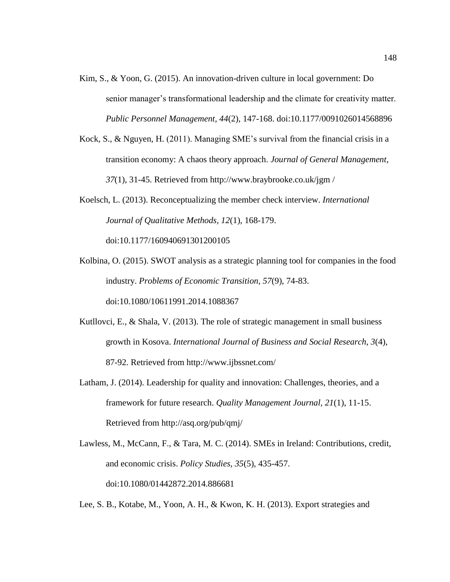- Kim, S., & Yoon, G. (2015). An innovation-driven culture in local government: Do senior manager's transformational leadership and the climate for creativity matter. *Public Personnel Management, 44*(2), 147-168. doi:10.1177/0091026014568896
- Kock, S., & Nguyen, H. (2011). Managing SME's survival from the financial crisis in a transition economy: A chaos theory approach. *Journal of General Management*, *37*(1), 31-45. Retrieved from http://www.braybrooke.co.uk/jgm /
- Koelsch, L. (2013). Reconceptualizing the member check interview. *International Journal of Qualitative Methods, 12*(1), 168-179.

doi:10.1177/160940691301200105

- Kolbina, O. (2015). SWOT analysis as a strategic planning tool for companies in the food industry. *Problems of Economic Transition, 57*(9), 74-83. doi:10.1080/10611991.2014.1088367
- Kutllovci, E., & Shala, V. (2013). The role of strategic management in small business growth in Kosova. *International Journal of Business and Social Research, 3*(4), 87-92. Retrieved from http://www.ijbssnet.com/
- Latham, J. (2014). Leadership for quality and innovation: Challenges, theories, and a framework for future research. *Quality Management Journal, 21*(1), 11-15. Retrieved from http://asq.org/pub/qmj/
- Lawless, M., McCann, F., & Tara, M. C. (2014). SMEs in Ireland: Contributions, credit, and economic crisis. *Policy Studies, 35*(5), 435-457. doi:10.1080/01442872.2014.886681

Lee, S. B., Kotabe, M., Yoon, A. H., & Kwon, K. H. (2013). Export strategies and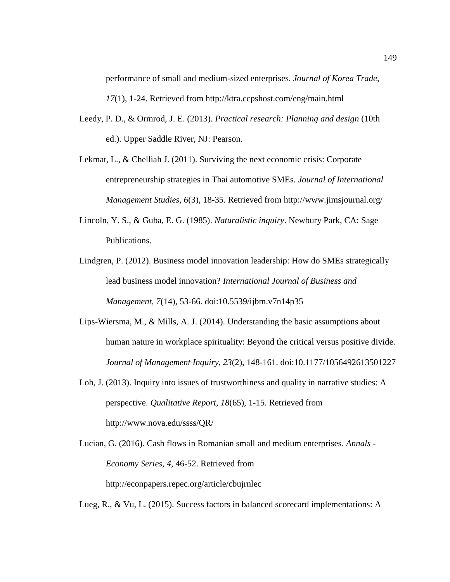performance of small and medium-sized enterprises. *Journal of Korea Trade, 17*(1), 1-24. Retrieved from http://ktra.ccpshost.com/eng/main.html

- Leedy, P. D., & Ormrod, J. E. (2013). *Practical research: Planning and design* (10th ed.). Upper Saddle River, NJ: Pearson.
- Lekmat, L., & Chelliah J. (2011). Surviving the next economic crisis: Corporate entrepreneurship strategies in Thai automotive SMEs. *Journal of International Management Studies, 6*(3), 18-35. Retrieved from http://www.jimsjournal.org/
- Lincoln, Y. S., & Guba, E. G. (1985). *Naturalistic inquiry*. Newbury Park, CA: Sage Publications.
- Lindgren, P. (2012). Business model innovation leadership: How do SMEs strategically lead business model innovation? *International Journal of Business and Management, 7*(14), 53-66. doi:10.5539/ijbm.v7n14p35
- Lips-Wiersma, M., & Mills, A. J. (2014). Understanding the basic assumptions about human nature in workplace spirituality: Beyond the critical versus positive divide. *Journal of Management Inquiry, 23*(2), 148-161. doi:10.1177/1056492613501227
- Loh, J. (2013). Inquiry into issues of trustworthiness and quality in narrative studies: A perspective. *Qualitative Report, 18*(65), 1-15. Retrieved from http://www.nova.edu/ssss/QR/
- Lucian, G. (2016). Cash flows in Romanian small and medium enterprises. *Annals - Economy Series, 4*, 46-52. Retrieved from http://econpapers.repec.org/article/cbujrnlec

Lueg, R., & Vu, L. (2015). Success factors in balanced scorecard implementations: A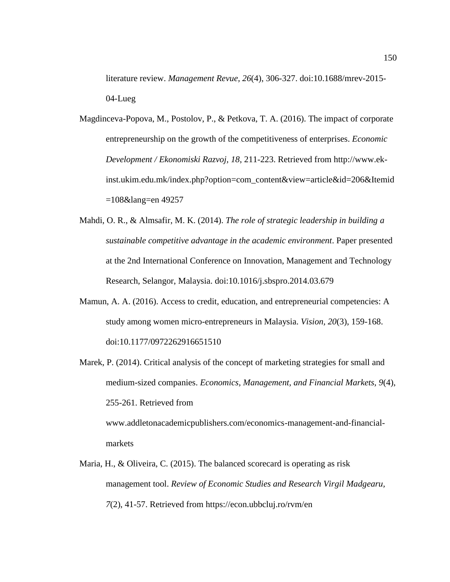literature review. *Management Revue, 26*(4), 306-327. doi:10.1688/mrev-2015- 04-Lueg

- Magdinceva-Popova, M., Postolov, P., & Petkova, T. A. (2016). The impact of corporate entrepreneurship on the growth of the competitiveness of enterprises. *Economic Development / Ekonomiski Razvoj, 18*, 211-223. Retrieved from http://www.ekinst.ukim.edu.mk/index.php?option=com\_content&view=article&id=206&Itemid =108&lang=en 49257
- Mahdi, O. R., & Almsafir, M. K. (2014). *The role of strategic leadership in building a sustainable competitive advantage in the academic environment*. Paper presented at the 2nd International Conference on Innovation, Management and Technology Research, Selangor, Malaysia. doi:10.1016/j.sbspro.2014.03.679
- Mamun, A. A. (2016). Access to credit, education, and entrepreneurial competencies: A study among women micro-entrepreneurs in Malaysia. *Vision, 20*(3), 159-168. doi:10.1177/0972262916651510
- Marek, P. (2014). Critical analysis of the concept of marketing strategies for small and medium-sized companies. *Economics, Management, and Financial Markets, 9*(4), 255-261. Retrieved from

[www.addletonacademicpublishers.com/economics-](http://www.addletonacademicpublishers.com/economics)management-and-financialmarkets

Maria, H., & Oliveira, C. (2015). The balanced scorecard is operating as risk management tool. *Review of Economic Studies and Research Virgil Madgearu, 7*(2), 41-57. Retrieved from https://econ.ubbcluj.ro/rvm/en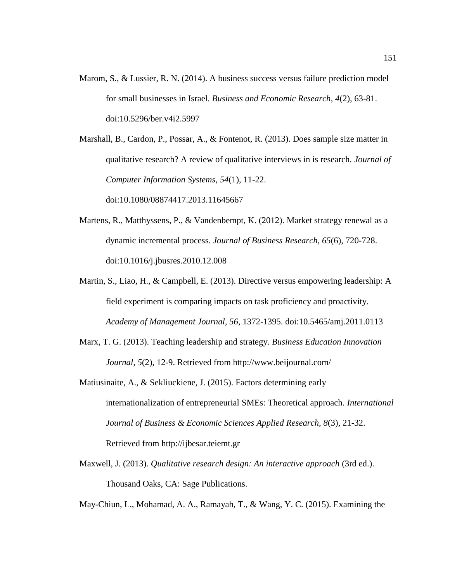- Marom, S., & Lussier, R. N. (2014). A business success versus failure prediction model for small businesses in Israel. *Business and Economic Research, 4*(2), 63-81. doi:10.5296/ber.v4i2.5997
- Marshall, B., Cardon, P., Possar, A., & Fontenot, R. (2013). Does sample size matter in qualitative research? A review of qualitative interviews in is research. *Journal of Computer Information Systems, 54*(1), 11-22.

doi:10.1080/08874417.2013.11645667

- Martens, R., Matthyssens, P., & Vandenbempt, K. (2012). Market strategy renewal as a dynamic incremental process. *Journal of Business Research, 65*(6), 720-728. doi:10.1016/j.jbusres.2010.12.008
- Martin, S., Liao, H., & Campbell, E. (2013). Directive versus empowering leadership: A field experiment is comparing impacts on task proficiency and proactivity. *Academy of Management Journal, 56*, 1372-1395. doi:10.5465/amj.2011.0113
- Marx, T. G. (2013). Teaching leadership and strategy. *Business Education Innovation Journal, 5*(2), 12-9. Retrieved from http://www.beijournal.com/
- Matiusinaite, A., & Sekliuckiene, J. (2015). Factors determining early internationalization of entrepreneurial SMEs: Theoretical approach. *International Journal of Business & Economic Sciences Applied Research, 8*(3), 21-32. Retrieved from http://ijbesar.teiemt.gr
- Maxwell, J. (2013). *Qualitative research design: An interactive approach* (3rd ed.). Thousand Oaks, CA: Sage Publications.

May-Chiun, L., Mohamad, A. A., Ramayah, T., & Wang, Y. C. (2015). Examining the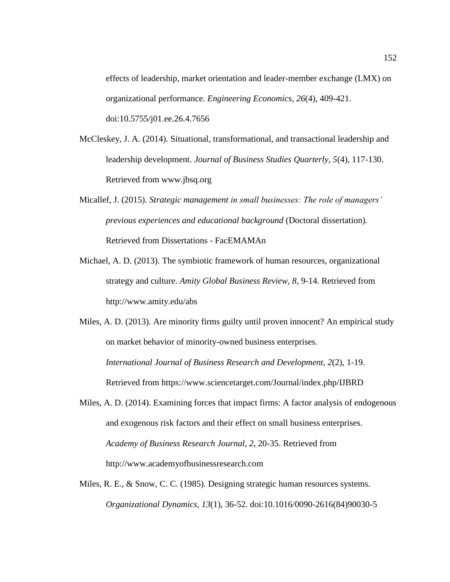effects of leadership, market orientation and leader-member exchange (LMX) on organizational performance. *Engineering Economics, 26*(4), 409-421. doi:10.5755/j01.ee.26.4.7656

- McCleskey, J. A. (2014). Situational, transformational, and transactional leadership and leadership development. *Journal of Business Studies Quarterly, 5*(4), 117-130. Retrieved from www.jbsq.org
- Micallef, J. (2015). *Strategic management in small businesses: The role of managers' previous experiences and educational background* (Doctoral dissertation)*.*  Retrieved from Dissertations - FacEMAMAn
- Michael, A. D. (2013). The symbiotic framework of human resources, organizational strategy and culture. *Amity Global Business Review, 8*, 9-14. Retrieved from http://www.amity.edu/abs

Miles, A. D. (2013). Are minority firms guilty until proven innocent? An empirical study on market behavior of minority-owned business enterprises. *International Journal of Business Research and Development, 2*(2), 1-19. Retrieved from https://www.sciencetarget.com/Journal/index.php/IJBRD

- Miles, A. D. (2014). Examining forces that impact firms: A factor analysis of endogenous and exogenous risk factors and their effect on small business enterprises. *Academy of Business Research Journal, 2*, 20-35. Retrieved from http://www.academyofbusinessresearch.com
- Miles, R. E., & Snow, C. C. (1985). Designing strategic human resources systems. *Organizational Dynamics*, *13*(1), 36-52. doi:10.1016/0090-2616(84)90030-5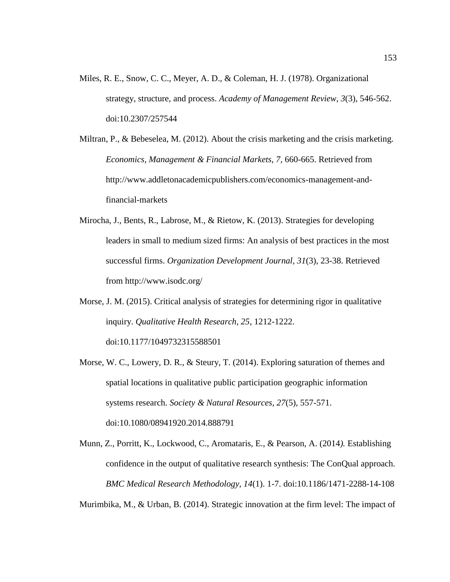- Miles, R. E., Snow, C. C., Meyer, A. D., & Coleman, H. J. (1978). Organizational strategy, structure, and process. *Academy of Management Review*, *3*(3), 546-562. doi:10.2307/257544
- Miltran, P., & Bebeselea, M. (2012). About the crisis marketing and the crisis marketing. *Economics, Management & Financial Markets, 7*, 660-665. Retrieved from http://www.addletonacademicpublishers.com/economics-management-andfinancial-markets
- Mirocha, J., Bents, R., Labrose, M., & Rietow, K. (2013). Strategies for developing leaders in small to medium sized firms: An analysis of best practices in the most successful firms. *Organization Development Journal, 31*(3), 23-38. Retrieved from http://www.isodc.org/
- Morse, J. M. (2015). Critical analysis of strategies for determining rigor in qualitative inquiry. *Qualitative Health Research, 25*, 1212-1222. doi:10.1177/1049732315588501
- Morse, W. C., Lowery, D. R., & Steury, T. (2014). Exploring saturation of themes and spatial locations in qualitative public participation geographic information systems research. *Society & Natural Resources, 27*(5), 557-571. doi:10.1080/08941920.2014.888791
- Munn, Z., Porritt, K., Lockwood, C., Aromataris, E., & Pearson, A. (2014*).* Establishing confidence in the output of qualitative research synthesis: The ConQual approach*. BMC Medical Research Methodology, 14*(1). 1-7. doi:10.1186/1471-2288-14-108

Murimbika, M., & Urban, B. (2014). Strategic innovation at the firm level: The impact of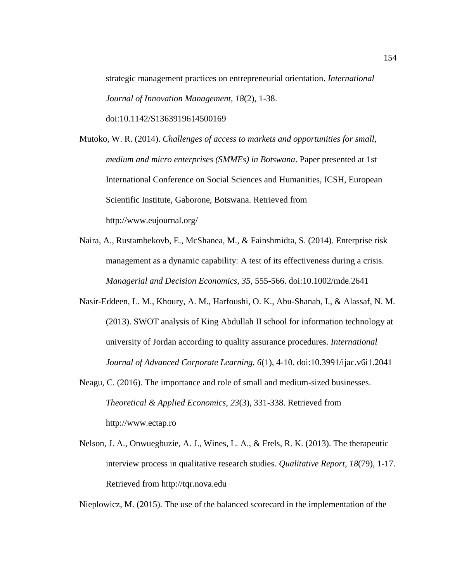strategic management practices on entrepreneurial orientation. *International Journal of Innovation Management, 18*(2), 1-38. doi:10.1142/S1363919614500169

Mutoko, W. R. (2014). *Challenges of access to markets and opportunities for small, medium and micro enterprises (SMMEs) in Botswana*. Paper presented at 1st International Conference on Social Sciences and Humanities, ICSH, European Scientific Institute, Gaborone, Botswana. Retrieved from http://www.eujournal.org/

- Naira, A., Rustambekovb, E., McShanea, M., & Fainshmidta, S. (2014). Enterprise risk management as a dynamic capability: A test of its effectiveness during a crisis. *Managerial and Decision Economics, 35*, 555-566. doi:10.1002/mde.2641
- Nasir-Eddeen, L. M., Khoury, A. M., Harfoushi, O. K., Abu-Shanab, I., & Alassaf, N. M. (2013). SWOT analysis of King Abdullah II school for information technology at university of Jordan according to quality assurance procedures. *International Journal of Advanced Corporate Learning, 6*(1), 4-10. doi:10.3991/ijac.v6i1.2041
- Neagu, C. (2016). The importance and role of small and medium-sized businesses. *Theoretical & Applied Economics, 23*(3), 331-338. Retrieved from http://www.ectap.ro
- Nelson, J. A., Onwuegbuzie, A. J., Wines, L. A., & Frels, R. K. (2013). The therapeutic interview process in qualitative research studies. *Qualitative Report*, *18*(79), 1-17. Retrieved from http://tqr.nova.edu

Nieplowicz, M. (2015). The use of the balanced scorecard in the implementation of the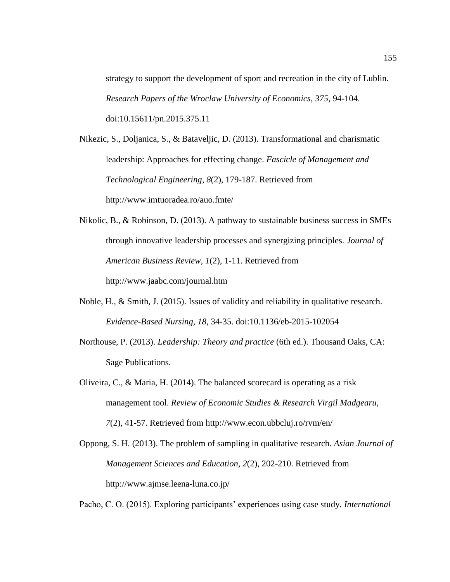strategy to support the development of sport and recreation in the city of Lublin. *Research Papers of the Wroclaw University of Economics, 375*, 94-104. doi:10.15611/pn.2015.375.11

Nikezic, S., Doljanica, S., & Bataveljic, D. (2013). Transformational and charismatic leadership: Approaches for effecting change. *Fascicle of Management and Technological Engineering*, *8*(2), 179-187. Retrieved from [http://www.](http://www/)imtuoradea.ro/auo.fmte/

- Nikolic, B., & Robinson, D. (2013). A pathway to sustainable business success in SMEs through innovative leadership processes and synergizing principles. *Journal of American Business Review, 1*(2), 1-11. Retrieved from <http://www.jaabc.com/>journal.htm
- Noble, H., & Smith, J. (2015). Issues of validity and reliability in qualitative research. *Evidence-Based Nursing, 18*, 34-35. doi:10.1136/eb-2015-102054
- Northouse, P. (2013). *Leadership: Theory and practice* (6th ed.). Thousand Oaks, CA: Sage Publications.

Oliveira, C., & Maria, H. (2014). The balanced scorecard is operating as a risk management tool. *Review of Economic Studies & Research Virgil Madgearu, 7*(2), 41-57. Retrieved from http://www.econ.ubbcluj.ro/rvm/en/

Oppong, S. H. (2013). The problem of sampling in qualitative research. *Asian Journal of Management Sciences and Education, 2*(2), 202-210. Retrieved from [http://www.](http://www/)ajmse.leena-luna.co.jp/

Pacho, C. O. (2015). Exploring participants' experiences using case study. *International*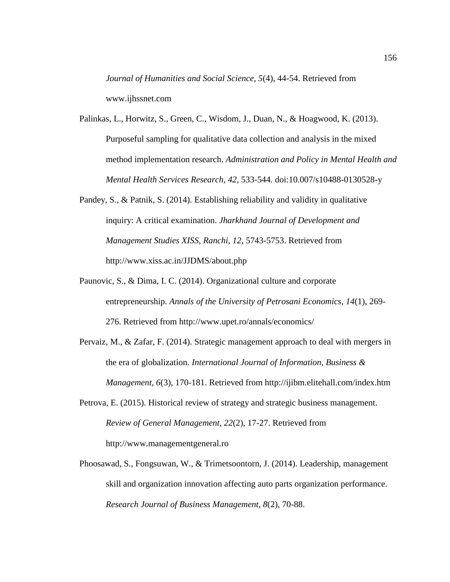*Journal of Humanities and Social Science, 5*(4), 44-54. Retrieved from www.ijhssnet.com

- Palinkas, L., Horwitz, S., Green, C., Wisdom, J., Duan, N., & Hoagwood, K. (2013). Purposeful sampling for qualitative data collection and analysis in the mixed method implementation research. *Administration and Policy in Mental Health and Mental Health Services Research*, *42*, 533-544. doi:10.007/s10488-0130528-y
- Pandey, S., & Patnik, S. (2014). Establishing reliability and validity in qualitative inquiry: A critical examination. *Jharkhand Journal of Development and Management Studies XISS, Ranchi, 12*, 5743-5753. Retrieved from http://www.xiss.ac.in/JJDMS/about.php
- Paunovic, S., & Dima, I. C. (2014). Organizational culture and corporate entrepreneurship. *Annals of the University of Petrosani Economics, 14*(1), 269- 276. Retrieved from http://www.upet.ro/annals/economics/
- Pervaiz, M., & Zafar, F. (2014). Strategic management approach to deal with mergers in the era of globalization. *International Journal of Information, Business & Management, 6*(3), 170-181. Retrieved from http://ijibm.elitehall.com/index.htm
- Petrova, E. (2015). Historical review of strategy and strategic business management. *Review of General Management, 22*(2), 17-27. Retrieved from http://www.managementgeneral.ro
- Phoosawad, S., Fongsuwan, W., & Trimetsoontorn, J. (2014). Leadership, management skill and organization innovation affecting auto parts organization performance. *Research Journal of Business Management, 8*(2), 70-88.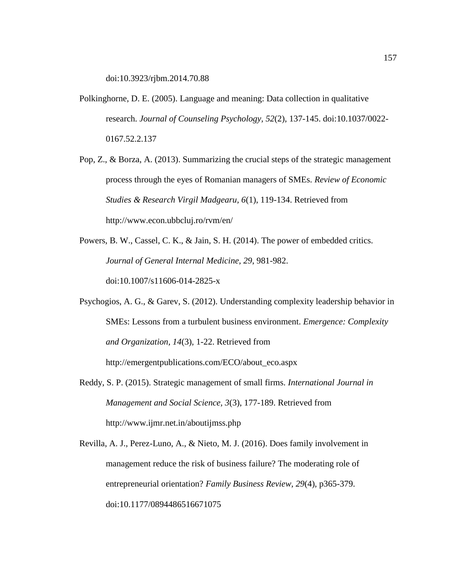doi:10.3923/rjbm.2014.70.88

- Polkinghorne, D. E. (2005). Language and meaning: Data collection in qualitative research. *Journal of Counseling Psychology, 52*(2), 137-145. doi:10.1037/0022- 0167.52.2.137
- Pop, Z., & Borza, A. (2013). Summarizing the crucial steps of the strategic management process through the eyes of Romanian managers of SMEs. *Review of Economic Studies & Research Virgil Madgearu, 6*(1), 119-134. Retrieved from [http://www.](http://www/)econ.ubbcluj.ro/rvm/en/
- Powers, B. W., Cassel, C. K., & Jain, S. H. (2014). The power of embedded critics. *Journal of General Internal Medicine, 29*, 981-982. doi:10.1007/s11606-014-2825-x
- Psychogios, A. G., & Garev, S. (2012). Understanding complexity leadership behavior in SMEs: Lessons from a turbulent business environment. *Emergence: Complexity and Organization, 14*(3), 1-22. Retrieved from <http://emergentpublications.com/>ECO/about\_eco.aspx
- Reddy, S. P. (2015). Strategic management of small firms. *International Journal in Management and Social Science, 3*(3), 177-189. Retrieved from http://www.ijmr.net.in/aboutijmss.php
- Revilla, A. J., Perez-Luno, A., & Nieto, M. J. (2016). Does family involvement in management reduce the risk of business failure? The moderating role of entrepreneurial orientation? *Family Business Review, 29*(4), p365-379. doi:10.1177/0894486516671075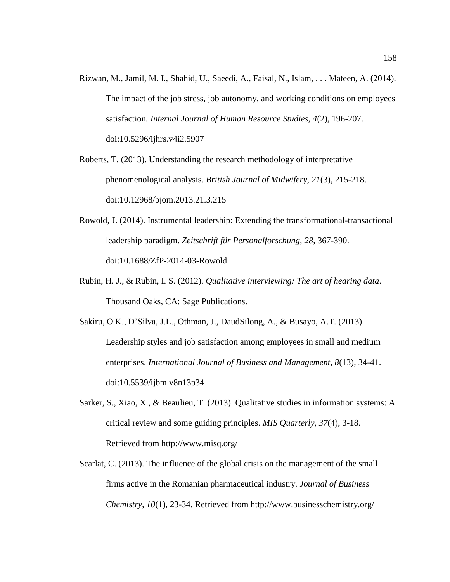- Rizwan, M., Jamil, M. I., Shahid, U., Saeedi, A., Faisal, N., Islam, . . . Mateen, A. (2014). The impact of the job stress, job autonomy, and working conditions on employees satisfaction*. Internal Journal of Human Resource Studies, 4*(2), 196-207. doi:10.5296/ijhrs.v4i2.5907
- Roberts, T. (2013). Understanding the research methodology of interpretative phenomenological analysis. *British Journal of Midwifery, 21*(3), 215-218. doi:10.12968/bjom.2013.21.3.215
- Rowold, J. (2014). Instrumental leadership: Extending the transformational-transactional leadership paradigm. *Zeitschrift für Personalforschung, 28*, 367-390. doi:10.1688/ZfP-2014-03-Rowold
- Rubin, H. J., & Rubin, I. S. (2012). *Qualitative interviewing: The art of hearing data*. Thousand Oaks, CA: Sage Publications.
- Sakiru, O.K., D'Silva, J.L., Othman, J., DaudSilong, A., & Busayo, A.T. (2013). Leadership styles and job satisfaction among employees in small and medium enterprises. *International Journal of Business and Management, 8*(13), 34-41. doi:10.5539/ijbm.v8n13p34
- Sarker, S., Xiao, X., & Beaulieu, T. (2013). Qualitative studies in information systems: A critical review and some guiding principles. *MIS Quarterly, 37*(4), 3-18. Retrieved from http://www.misq.org/
- Scarlat, C. (2013). The influence of the global crisis on the management of the small firms active in the Romanian pharmaceutical industry. *Journal of Business Chemistry, 10*(1), 23-34. Retrieved from http://www.businesschemistry.org/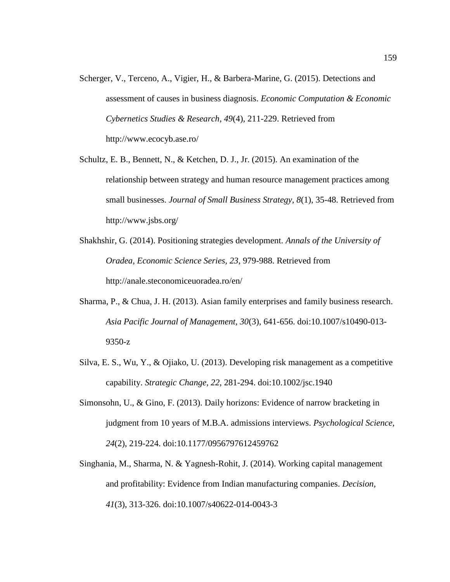- Scherger, V., Terceno, A., Vigier, H., & Barbera-Marine, G. (2015). Detections and assessment of causes in business diagnosis. *Economic Computation & Economic Cybernetics Studies & Research*, *49*(4), 211-229. Retrieved from http://www.ecocyb.ase.ro/
- Schultz, E. B., Bennett, N., & Ketchen, D. J., Jr. (2015). An examination of the relationship between strategy and human resource management practices among small businesses. *Journal of Small Business Strategy, 8*(1), 35-48. Retrieved from http://www.jsbs.org/
- Shakhshir, G. (2014). Positioning strategies development. *Annals of the University of Oradea, Economic Science Series, 23*, 979-988. Retrieved from [http://anale.](http://anale/)steconomiceuoradea.ro/en/
- Sharma, P., & Chua, J. H. (2013). Asian family enterprises and family business research. *Asia Pacific Journal of Management, 30*(3), 641-656. doi:10.1007/s10490-013- 9350-z
- Silva, E. S., Wu, Y., & Ojiako, U. (2013). Developing risk management as a competitive capability. *Strategic Change, 22*, 281-294. doi:10.1002/jsc.1940
- Simonsohn, U., & Gino, F. (2013). Daily horizons: Evidence of narrow bracketing in judgment from 10 years of M.B.A. admissions interviews. *Psychological Science, 24*(2), 219-224. doi:10.1177/0956797612459762
- Singhania, M., Sharma, N. & Yagnesh-Rohit, J. (2014). Working capital management and profitability: Evidence from Indian manufacturing companies. *Decision, 41*(3), 313-326. doi:10.1007/s40622-014-0043-3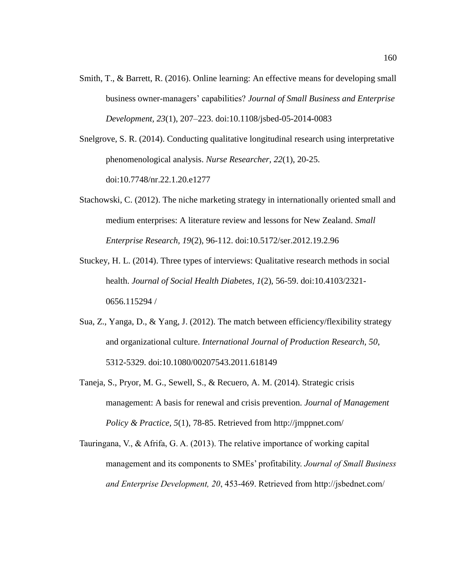- Smith, T., & Barrett, R. (2016). Online learning: An effective means for developing small business owner-managers' capabilities? *Journal of Small Business and Enterprise Development, 23*(1), 207–223. doi:10.1108/jsbed-05-2014-0083
- Snelgrove, S. R. (2014). Conducting qualitative longitudinal research using interpretative phenomenological analysis. *Nurse Researcher, 22*(1), 20-25. doi:10.7748/nr.22.1.20.e1277
- Stachowski, C. (2012). The niche marketing strategy in internationally oriented small and medium enterprises: A literature review and lessons for New Zealand. *Small Enterprise Research, 19*(2), 96-112. doi:10.5172/ser.2012.19.2.96
- Stuckey, H. L. (2014). Three types of interviews: Qualitative research methods in social health. *Journal of Social Health Diabetes, 1*(2), 56-59. doi:10.4103/2321- 0656.115294 /
- Sua, Z., Yanga, D., & Yang, J. (2012). The match between efficiency/flexibility strategy and organizational culture. *International Journal of Production Research, 50*, 5312-5329. doi:10.1080/00207543.2011.618149
- Taneja, S., Pryor, M. G., Sewell, S., & Recuero, A. M. (2014). Strategic crisis management: A basis for renewal and crisis prevention. *Journal of Management Policy & Practice, 5*(1), 78-85. Retrieved from http://jmppnet.com/
- Tauringana, V., & Afrifa, G. A. (2013). The relative importance of working capital management and its components to SMEs' profitability. *Journal of Small Business and Enterprise Development, 20*, 453-469. Retrieved from http://jsbednet.com/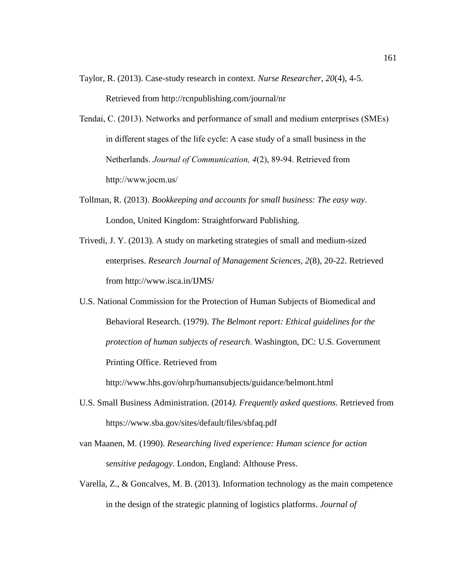- Taylor, R. (2013). Case-study research in context. *Nurse Researcher, 20*(4), 4-5. Retrieved from http://rcnpublishing.com/journal/nr
- Tendai, C. (2013). Networks and performance of small and medium enterprises (SMEs) in different stages of the life cycle: A case study of a small business in the Netherlands. *Journal of Communication, 4*(2), 89-94. Retrieved from http://www.jocm.us/
- Tollman, R. (2013). *Bookkeeping and accounts for small business: The easy way*. London, United Kingdom: Straightforward Publishing.
- Trivedi, J. Y. (2013). A study on marketing strategies of small and medium-sized enterprises. *Research Journal of Management Sciences, 2*(8), 20-22. Retrieved from http://www.isca.in/IJMS/

U.S. National Commission for the Protection of Human Subjects of Biomedical and Behavioral Research. (1979). *The Belmont report: Ethical guidelines for the protection of human subjects of research*. Washington, DC: U.S. Government Printing Office. Retrieved from

[http://www.hhs.gov/ohrp/humansubjects/g](http://www.hhs.gov/ohrp/humansubjects/)uidance/belmont.html

- U.S. Small Business Administration. (2014*). Frequently asked questions*. Retrieved from https://www.sba.gov/sites/default/files/sbfaq.pdf
- van Maanen, M. (1990). *Researching lived experience: Human science for action sensitive pedagogy*. London, England: Althouse Press.
- Varella, Z., & Goncalves, M. B. (2013). Information technology as the main competence in the design of the strategic planning of logistics platforms. *Journal of*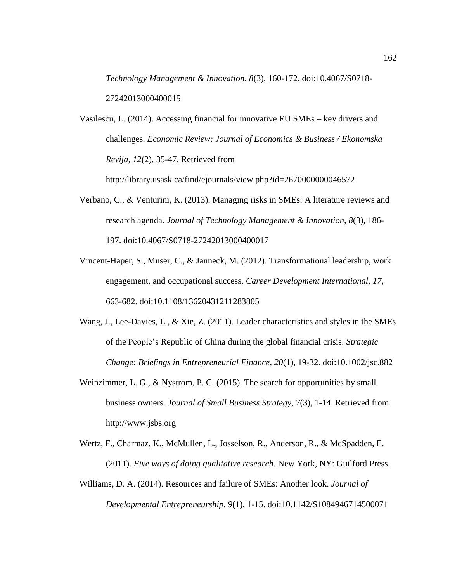*Technology Management & Innovation, 8*(3), 160-172. doi:10.4067/S0718- 27242013000400015

Vasilescu, L. (2014). Accessing financial for innovative EU SMEs – key drivers and challenges. *Economic Review: Journal of Economics & Business / Ekonomska Revija, 12*(2), 35-47. Retrieved from

http://library.usask.ca/find/ejournals/view.php?id=2670000000046572

- Verbano, C., & Venturini, K. (2013). Managing risks in SMEs: A literature reviews and research agenda. *Journal of Technology Management & Innovation, 8*(3), 186- 197. doi:10.4067/S0718-27242013000400017
- Vincent-Haper, S., Muser, C., & Janneck, M. (2012). Transformational leadership, work engagement, and occupational success. *Career Development International, 17*, 663-682. doi:10.1108/13620431211283805
- Wang, J., Lee-Davies, L., & Xie, Z. (2011). Leader characteristics and styles in the SMEs of the People's Republic of China during the global financial crisis. *Strategic Change: Briefings in Entrepreneurial Finance*, *20*(1)*,* 19-32. doi:10.1002/jsc.882
- Weinzimmer, L. G., & Nystrom, P. C. (2015). The search for opportunities by small business owners. *Journal of Small Business Strategy, 7*(3), 1-14. Retrieved from http://www.jsbs.org
- Wertz, F., Charmaz, K., McMullen, L., Josselson, R., Anderson, R., & McSpadden, E. (2011). *Five ways of doing qualitative research*. New York, NY: Guilford Press.
- Williams, D. A. (2014). Resources and failure of SMEs: Another look. *Journal of Developmental Entrepreneurship, 9*(1), 1-15. doi:10.1142/S1084946714500071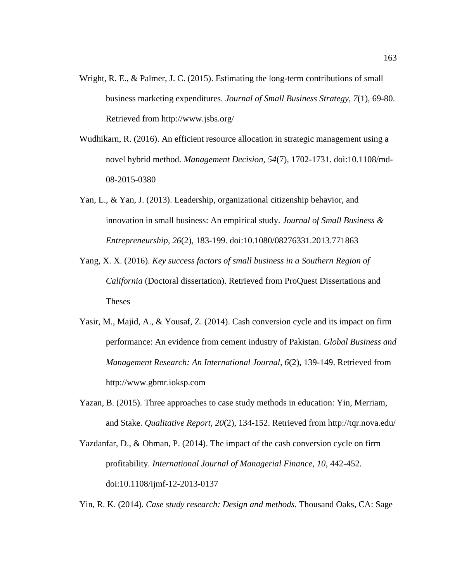- Wright, R. E., & Palmer, J. C. (2015). Estimating the long-term contributions of small business marketing expenditures. *Journal of Small Business Strategy, 7*(1), 69-80. Retrieved from http://www.jsbs.org/
- Wudhikarn, R. (2016). An efficient resource allocation in strategic management using a novel hybrid method. *Management Decision, 54*(7), 1702-1731. doi:10.1108/md-08-2015-0380
- Yan, L., & Yan, J. (2013). Leadership, organizational citizenship behavior, and innovation in small business: An empirical study. *Journal of Small Business & Entrepreneurship, 26*(2), 183-199. doi:10.1080/08276331.2013.771863
- Yang, X. X. (2016). *Key success factors of small business in a Southern Region of California* (Doctoral dissertation). Retrieved from ProQuest Dissertations and Theses
- Yasir, M., Majid, A., & Yousaf, Z. (2014). Cash conversion cycle and its impact on firm performance: An evidence from cement industry of Pakistan. *Global Business and Management Research: An International Journal, 6*(2), 139-149. Retrieved from http://www.gbmr.ioksp.com
- Yazan, B. (2015). Three approaches to case study methods in education: Yin, Merriam, and Stake. *Qualitative Report, 20*(2), 134-152. Retrieved from http://tqr.nova.edu/
- Yazdanfar, D., & Ohman, P. (2014). The impact of the cash conversion cycle on firm profitability. *International Journal of Managerial Finance, 10*, 442-452. doi:10.1108/ijmf-12-2013-0137

Yin, R. K. (2014). *Case study research: Design and methods.* Thousand Oaks, CA: Sage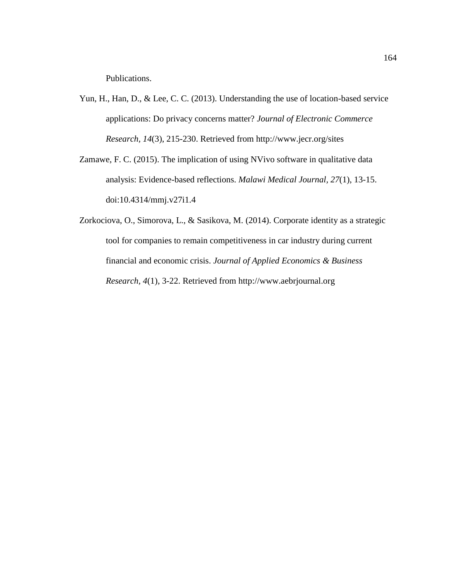Publications.

- Yun, H., Han, D., & Lee, C. C. (2013). Understanding the use of location-based service applications: Do privacy concerns matter? *Journal of Electronic Commerce Research, 14*(3), 215-230. Retrieved from<http://www.jecr.org/sites>
- Zamawe, F. C. (2015). The implication of using NVivo software in qualitative data analysis: Evidence-based reflections. *Malawi Medical Journal, 27*(1), 13-15. doi:10.4314/mmj.v27i1.4
- Zorkociova, O., Simorova, L., & Sasikova, M. (2014). Corporate identity as a strategic tool for companies to remain competitiveness in car industry during current financial and economic crisis. *Journal of Applied Economics & Business Research, 4*(1), 3-22. Retrieved from [http://www.aebrjournal.org](http://www.aebrjournal.org/)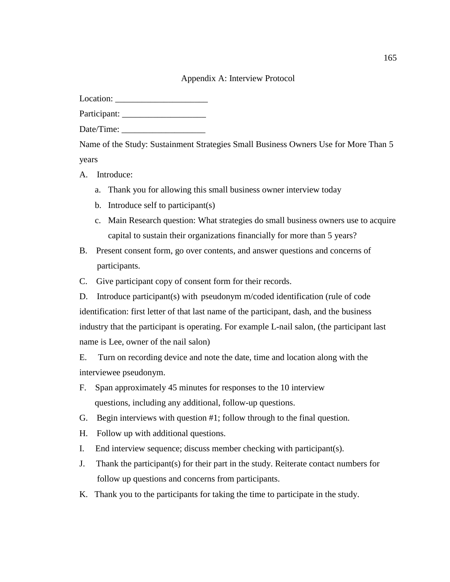## Appendix A: Interview Protocol

Location: \_\_\_\_\_\_\_\_\_\_\_\_\_\_\_\_\_\_\_\_\_

Participant: \_\_\_\_\_\_\_\_\_\_\_\_\_\_\_\_\_\_\_

Date/Time:

Name of the Study: Sustainment Strategies Small Business Owners Use for More Than 5 years

- A. Introduce:
	- a. Thank you for allowing this small business owner interview today
	- b. Introduce self to participant(s)
	- c. Main Research question: What strategies do small business owners use to acquire capital to sustain their organizations financially for more than 5 years?
- B. Present consent form, go over contents, and answer questions and concerns of participants.
- C. Give participant copy of consent form for their records.
- D. Introduce participant(s) with pseudonym m/coded identification (rule of code identification: first letter of that last name of the participant, dash, and the business industry that the participant is operating. For example L-nail salon, (the participant last name is Lee, owner of the nail salon)

E. Turn on recording device and note the date, time and location along with the interviewee pseudonym.

- F. Span approximately 45 minutes for responses to the 10 interview questions, including any additional, follow-up questions.
- G. Begin interviews with question #1; follow through to the final question.
- H. Follow up with additional questions.
- I. End interview sequence; discuss member checking with participant(s).
- J. Thank the participant(s) for their part in the study. Reiterate contact numbers for follow up questions and concerns from participants.
- K. Thank you to the participants for taking the time to participate in the study.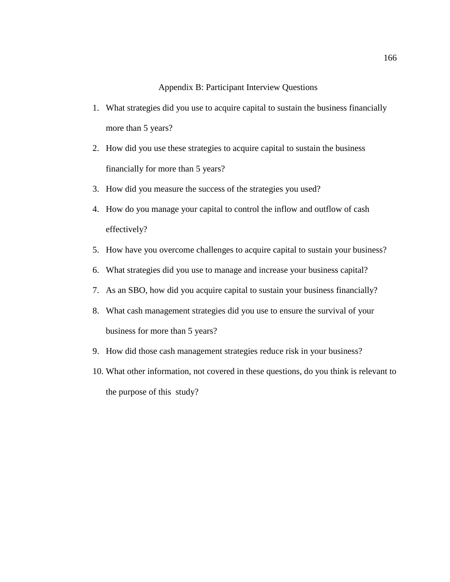# Appendix B: Participant Interview Questions

- 1. What strategies did you use to acquire capital to sustain the business financially more than 5 years?
- 2. How did you use these strategies to acquire capital to sustain the business financially for more than 5 years?
- 3. How did you measure the success of the strategies you used?
- 4. How do you manage your capital to control the inflow and outflow of cash effectively?
- 5. How have you overcome challenges to acquire capital to sustain your business?
- 6. What strategies did you use to manage and increase your business capital?
- 7. As an SBO, how did you acquire capital to sustain your business financially?
- 8. What cash management strategies did you use to ensure the survival of your business for more than 5 years?
- 9. How did those cash management strategies reduce risk in your business?
- 10. What other information, not covered in these questions, do you think is relevant to the purpose of this study?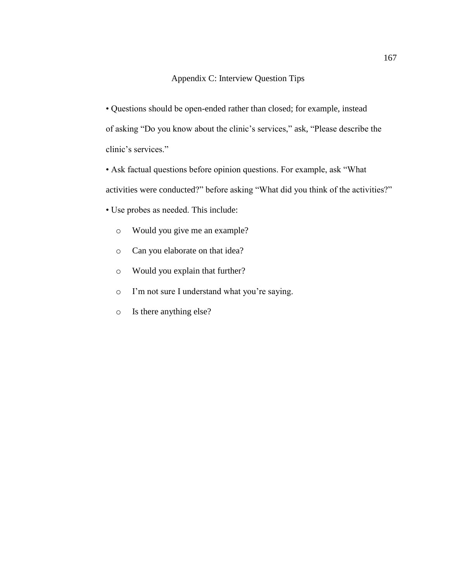## Appendix C: Interview Question Tips

• Questions should be open-ended rather than closed; for example, instead of asking "Do you know about the clinic's services," ask, "Please describe the clinic's services."

• Ask factual questions before opinion questions. For example, ask "What activities were conducted?" before asking "What did you think of the activities?"

- Use probes as needed. This include:
	- o Would you give me an example?
	- o Can you elaborate on that idea?
	- o Would you explain that further?
	- o I'm not sure I understand what you're saying.
	- o Is there anything else?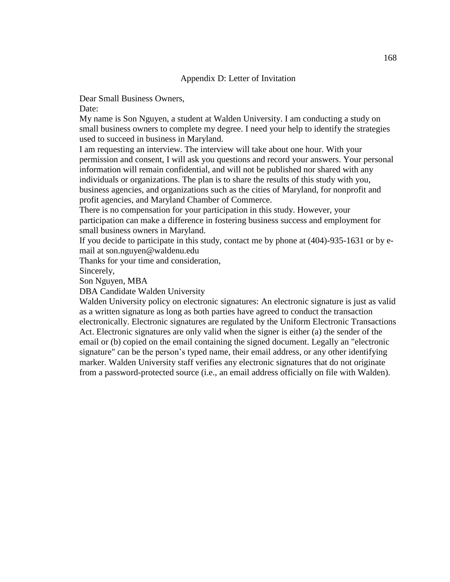### Appendix D: Letter of Invitation

Dear Small Business Owners,

Date:

My name is Son Nguyen, a student at Walden University. I am conducting a study on small business owners to complete my degree. I need your help to identify the strategies used to succeed in business in Maryland.

I am requesting an interview. The interview will take about one hour. With your permission and consent, I will ask you questions and record your answers. Your personal information will remain confidential, and will not be published nor shared with any individuals or organizations. The plan is to share the results of this study with you, business agencies, and organizations such as the cities of Maryland, for nonprofit and profit agencies, and Maryland Chamber of Commerce.

There is no compensation for your participation in this study. However, your participation can make a difference in fostering business success and employment for small business owners in Maryland.

If you decide to participate in this study, contact me by phone at (404)-935-1631 or by email at son.nguyen@waldenu.edu

Thanks for your time and consideration,

Sincerely,

Son Nguyen, MBA

DBA Candidate Walden University

Walden University policy on electronic signatures: An electronic signature is just as valid as a written signature as long as both parties have agreed to conduct the transaction electronically. Electronic signatures are regulated by the Uniform Electronic Transactions Act. Electronic signatures are only valid when the signer is either (a) the sender of the email or (b) copied on the email containing the signed document. Legally an "electronic signature" can be the person's typed name, their email address, or any other identifying marker. Walden University staff verifies any electronic signatures that do not originate from a password-protected source (i.e., an email address officially on file with Walden).